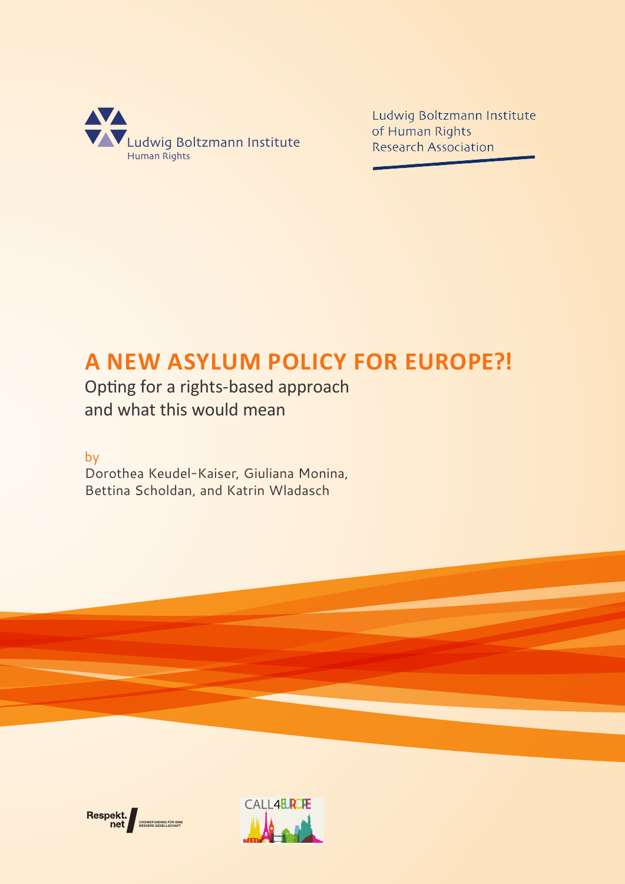

Ludwig Boltzmann Institute of Human Rights **Research Association** 

# **A NEW ASYLUM POLICY FOR EUROPE?!**

Opting for a rights-based approach and what this would mean

by

Dorothea Keudel-Kaiser, Giuliana Monina, Bettina Scholdan, and Katrin Wladasch



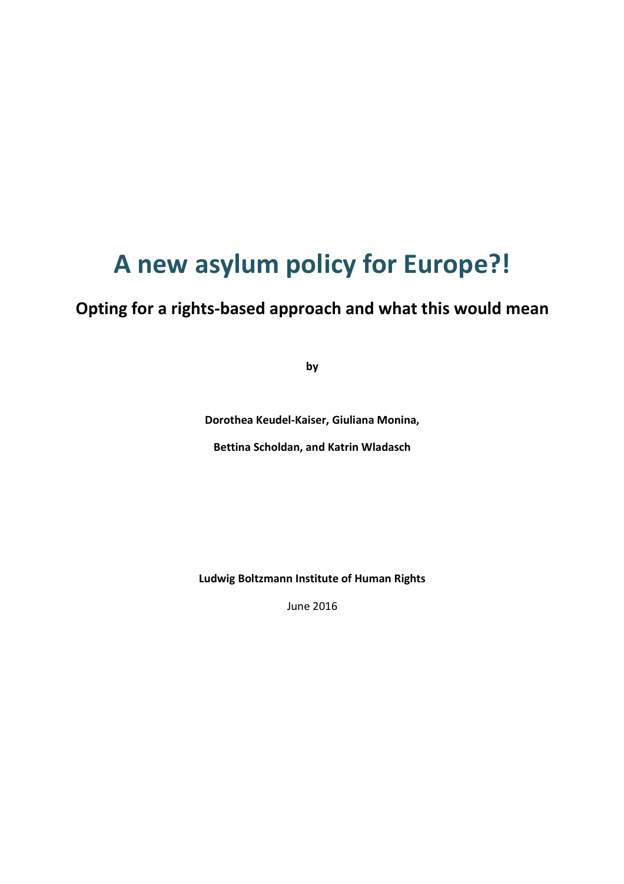# **A new asylum policy for Europe?!**

# **Opting for a rights-based approach and what this would mean**

**by** 

**Dorothea Keudel-Kaiser, Giuliana Monina,** 

**Bettina Scholdan, and Katrin Wladasch** 

**Ludwig Boltzmann Institute of Human Rights** 

June 2016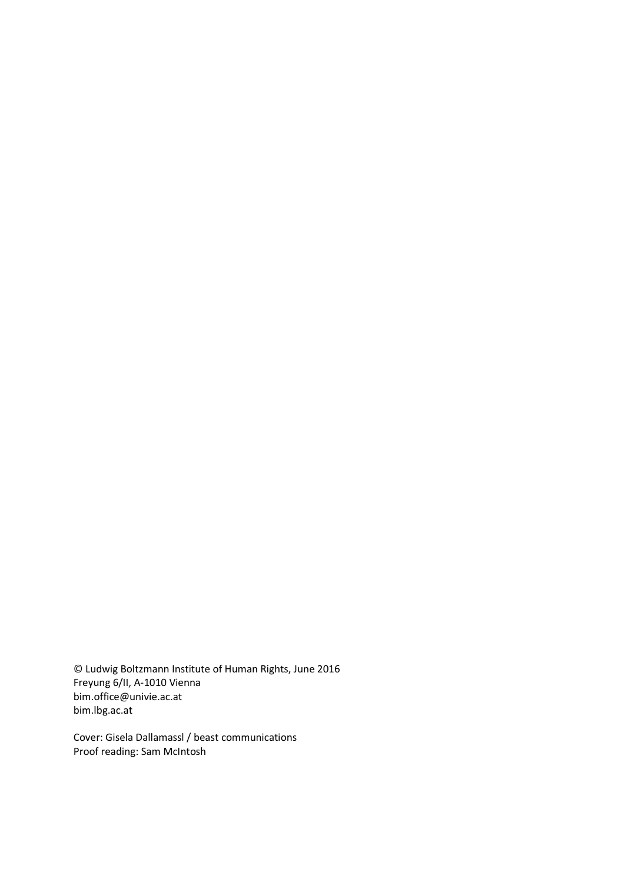© Ludwig Boltzmann Institute of Human Rights, June 2016 Freyung 6/II, A-1010 Vienna bim.office@univie.ac.at bim.lbg.ac.at

Cover: Gisela Dallamassl / beast communications Proof reading: Sam McIntosh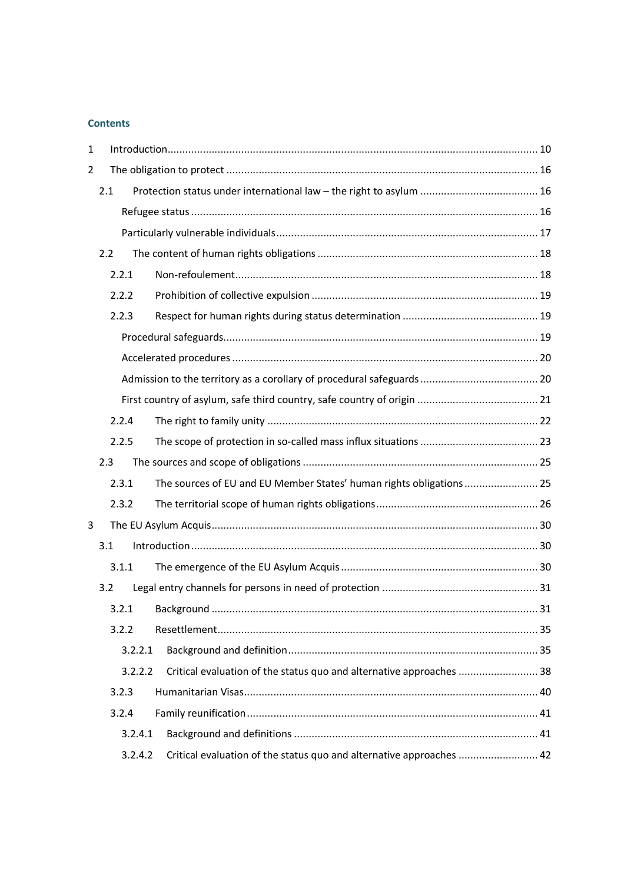# **Contents**

| 1              |     |         |                                                                      |  |  |  |  |
|----------------|-----|---------|----------------------------------------------------------------------|--|--|--|--|
| $\overline{2}$ |     |         |                                                                      |  |  |  |  |
|                | 2.1 |         |                                                                      |  |  |  |  |
|                |     |         |                                                                      |  |  |  |  |
|                |     |         |                                                                      |  |  |  |  |
|                | 2.2 |         |                                                                      |  |  |  |  |
|                |     | 2.2.1   |                                                                      |  |  |  |  |
|                |     | 2.2.2   |                                                                      |  |  |  |  |
|                |     | 2.2.3   |                                                                      |  |  |  |  |
|                |     |         |                                                                      |  |  |  |  |
|                |     |         |                                                                      |  |  |  |  |
|                |     |         |                                                                      |  |  |  |  |
|                |     |         |                                                                      |  |  |  |  |
|                |     | 2.2.4   |                                                                      |  |  |  |  |
|                |     | 2.2.5   |                                                                      |  |  |  |  |
|                | 2.3 |         |                                                                      |  |  |  |  |
|                |     | 2.3.1   | The sources of EU and EU Member States' human rights obligations 25  |  |  |  |  |
|                |     | 2.3.2   |                                                                      |  |  |  |  |
| 3              |     |         |                                                                      |  |  |  |  |
|                | 3.1 |         |                                                                      |  |  |  |  |
|                |     | 3.1.1   |                                                                      |  |  |  |  |
|                | 3.2 |         |                                                                      |  |  |  |  |
|                |     | 3.2.1   |                                                                      |  |  |  |  |
|                |     | 3.2.2   |                                                                      |  |  |  |  |
|                |     | 3.2.2.1 |                                                                      |  |  |  |  |
|                |     | 3.2.2.2 | Critical evaluation of the status quo and alternative approaches  38 |  |  |  |  |
|                |     | 3.2.3   |                                                                      |  |  |  |  |
|                |     | 3.2.4   |                                                                      |  |  |  |  |
|                |     | 3.2.4.1 |                                                                      |  |  |  |  |
|                |     | 3.2.4.2 | Critical evaluation of the status quo and alternative approaches  42 |  |  |  |  |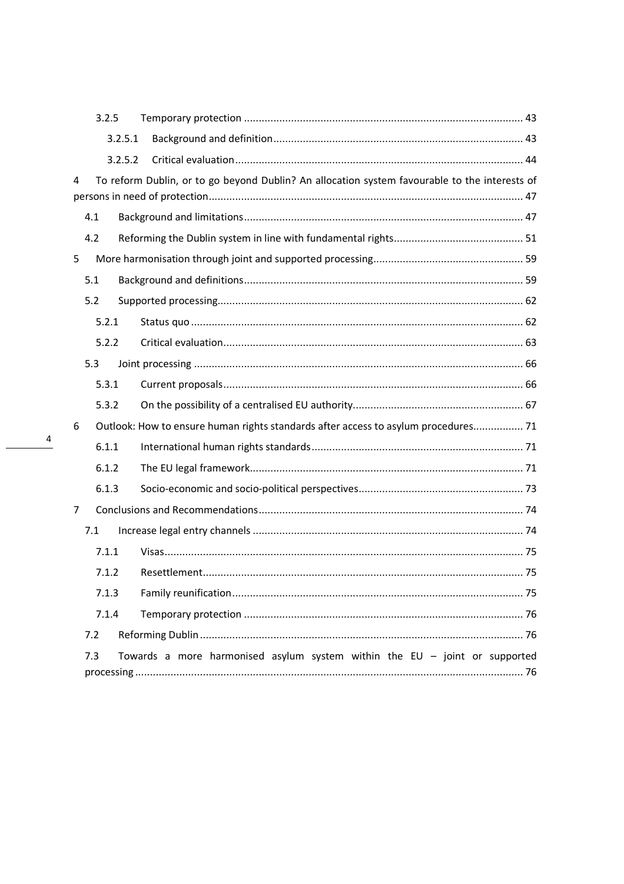|                                                                                     | 3.2.5 |         |                                                                                               |  |  |  |
|-------------------------------------------------------------------------------------|-------|---------|-----------------------------------------------------------------------------------------------|--|--|--|
|                                                                                     |       | 3.2.5.1 |                                                                                               |  |  |  |
|                                                                                     |       | 3.2.5.2 |                                                                                               |  |  |  |
| 4                                                                                   |       |         | To reform Dublin, or to go beyond Dublin? An allocation system favourable to the interests of |  |  |  |
|                                                                                     | 4.1   |         |                                                                                               |  |  |  |
|                                                                                     | 4.2   |         |                                                                                               |  |  |  |
| 5                                                                                   |       |         |                                                                                               |  |  |  |
|                                                                                     | 5.1   |         |                                                                                               |  |  |  |
|                                                                                     | 5.2   |         |                                                                                               |  |  |  |
|                                                                                     | 5.2.1 |         |                                                                                               |  |  |  |
|                                                                                     | 5.2.2 |         |                                                                                               |  |  |  |
|                                                                                     | 5.3   |         |                                                                                               |  |  |  |
|                                                                                     | 5.3.1 |         |                                                                                               |  |  |  |
|                                                                                     | 5.3.2 |         |                                                                                               |  |  |  |
| 6                                                                                   |       |         | Outlook: How to ensure human rights standards after access to asylum procedures 71            |  |  |  |
|                                                                                     | 6.1.1 |         |                                                                                               |  |  |  |
|                                                                                     | 6.1.2 |         |                                                                                               |  |  |  |
|                                                                                     | 6.1.3 |         |                                                                                               |  |  |  |
| 7                                                                                   |       |         |                                                                                               |  |  |  |
| 7.1                                                                                 |       |         |                                                                                               |  |  |  |
|                                                                                     | 7.1.1 |         |                                                                                               |  |  |  |
|                                                                                     | 7.1.2 |         |                                                                                               |  |  |  |
|                                                                                     | 7.1.3 |         |                                                                                               |  |  |  |
| 7.1.4                                                                               |       |         |                                                                                               |  |  |  |
|                                                                                     | 7.2   |         |                                                                                               |  |  |  |
| 7.3<br>Towards a more harmonised asylum system within the EU $-$ joint or supported |       |         |                                                                                               |  |  |  |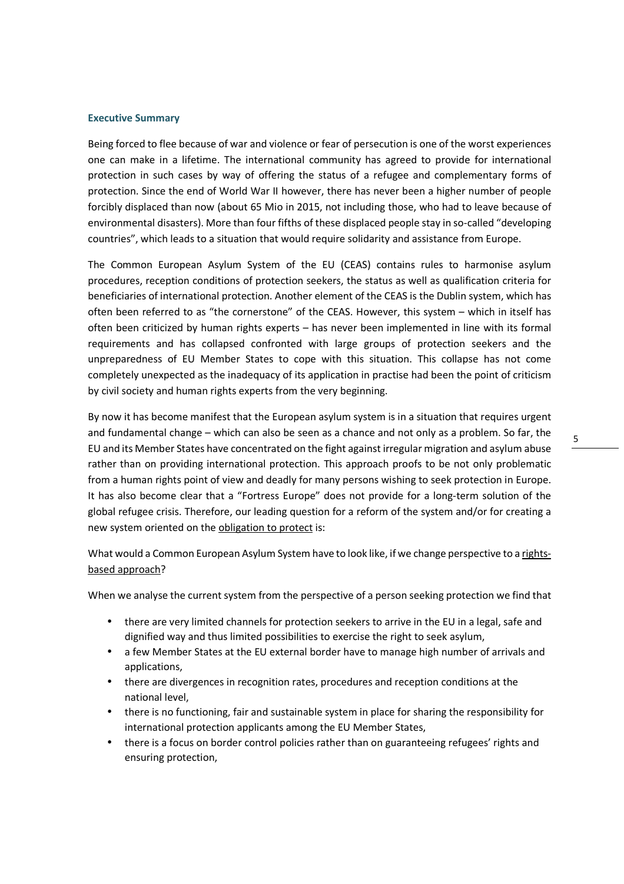#### **Executive Summary**

Being forced to flee because of war and violence or fear of persecution is one of the worst experiences one can make in a lifetime. The international community has agreed to provide for international protection in such cases by way of offering the status of a refugee and complementary forms of protection. Since the end of World War II however, there has never been a higher number of people forcibly displaced than now (about 65 Mio in 2015, not including those, who had to leave because of environmental disasters). More than four fifths of these displaced people stay in so-called "developing countries", which leads to a situation that would require solidarity and assistance from Europe.

The Common European Asylum System of the EU (CEAS) contains rules to harmonise asylum procedures, reception conditions of protection seekers, the status as well as qualification criteria for beneficiaries of international protection. Another element of the CEAS is the Dublin system, which has often been referred to as "the cornerstone" of the CEAS. However, this system – which in itself has often been criticized by human rights experts – has never been implemented in line with its formal requirements and has collapsed confronted with large groups of protection seekers and the unpreparedness of EU Member States to cope with this situation. This collapse has not come completely unexpected as the inadequacy of its application in practise had been the point of criticism by civil society and human rights experts from the very beginning.

By now it has become manifest that the European asylum system is in a situation that requires urgent and fundamental change – which can also be seen as a chance and not only as a problem. So far, the EU and its Member States have concentrated on the fight against irregular migration and asylum abuse rather than on providing international protection. This approach proofs to be not only problematic from a human rights point of view and deadly for many persons wishing to seek protection in Europe. It has also become clear that a "Fortress Europe" does not provide for a long-term solution of the global refugee crisis. Therefore, our leading question for a reform of the system and/or for creating a new system oriented on the obligation to protect is:

What would a Common European Asylum System have to look like, if we change perspective to a rightsbased approach?

When we analyse the current system from the perspective of a person seeking protection we find that

- there are very limited channels for protection seekers to arrive in the EU in a legal, safe and dignified way and thus limited possibilities to exercise the right to seek asylum,
- a few Member States at the EU external border have to manage high number of arrivals and applications,
- there are divergences in recognition rates, procedures and reception conditions at the national level,
- there is no functioning, fair and sustainable system in place for sharing the responsibility for international protection applicants among the EU Member States,
- there is a focus on border control policies rather than on guaranteeing refugees' rights and ensuring protection,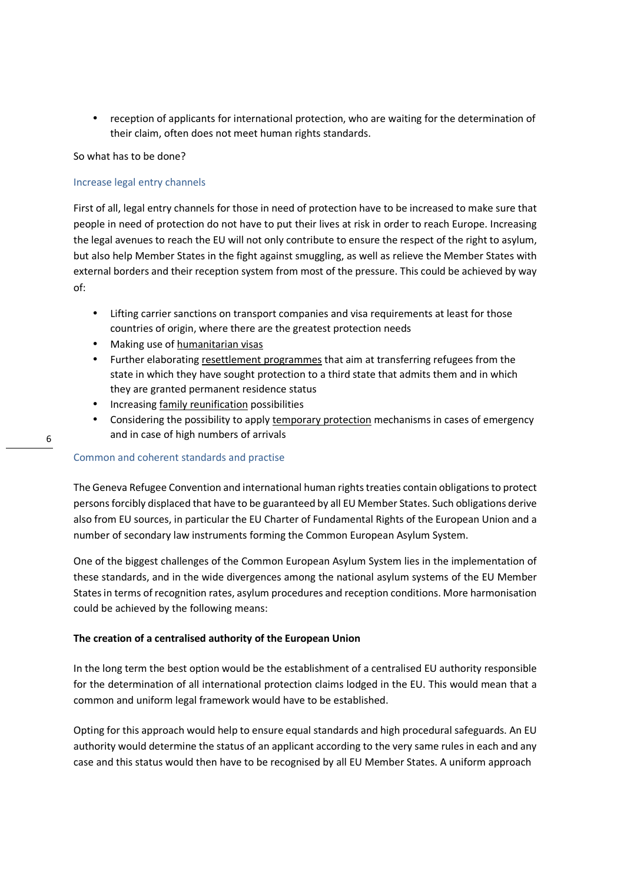• reception of applicants for international protection, who are waiting for the determination of their claim, often does not meet human rights standards.

So what has to be done?

#### Increase legal entry channels

First of all, legal entry channels for those in need of protection have to be increased to make sure that people in need of protection do not have to put their lives at risk in order to reach Europe. Increasing the legal avenues to reach the EU will not only contribute to ensure the respect of the right to asylum, but also help Member States in the fight against smuggling, as well as relieve the Member States with external borders and their reception system from most of the pressure. This could be achieved by way of:

- Lifting carrier sanctions on transport companies and visa requirements at least for those countries of origin, where there are the greatest protection needs
- Making use of humanitarian visas
- Further elaborating resettlement programmes that aim at transferring refugees from the state in which they have sought protection to a third state that admits them and in which they are granted permanent residence status
- Increasing family reunification possibilities
- Considering the possibility to apply temporary protection mechanisms in cases of emergency and in case of high numbers of arrivals

#### Common and coherent standards and practise

The Geneva Refugee Convention and international human rights treaties contain obligations to protect persons forcibly displaced that have to be guaranteed by all EU Member States. Such obligations derive also from EU sources, in particular the EU Charter of Fundamental Rights of the European Union and a number of secondary law instruments forming the Common European Asylum System.

One of the biggest challenges of the Common European Asylum System lies in the implementation of these standards, and in the wide divergences among the national asylum systems of the EU Member States in terms of recognition rates, asylum procedures and reception conditions. More harmonisation could be achieved by the following means:

#### **The creation of a centralised authority of the European Union**

In the long term the best option would be the establishment of a centralised EU authority responsible for the determination of all international protection claims lodged in the EU. This would mean that a common and uniform legal framework would have to be established.

Opting for this approach would help to ensure equal standards and high procedural safeguards. An EU authority would determine the status of an applicant according to the very same rules in each and any case and this status would then have to be recognised by all EU Member States. A uniform approach

6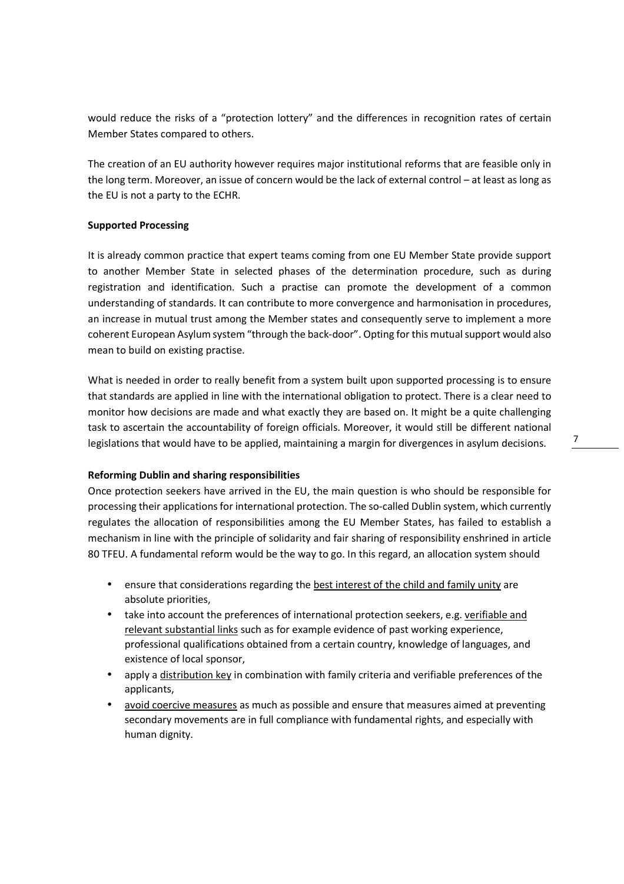would reduce the risks of a "protection lottery" and the differences in recognition rates of certain Member States compared to others.

The creation of an EU authority however requires major institutional reforms that are feasible only in the long term. Moreover, an issue of concern would be the lack of external control – at least as long as the EU is not a party to the ECHR.

#### **Supported Processing**

It is already common practice that expert teams coming from one EU Member State provide support to another Member State in selected phases of the determination procedure, such as during registration and identification. Such a practise can promote the development of a common understanding of standards. It can contribute to more convergence and harmonisation in procedures, an increase in mutual trust among the Member states and consequently serve to implement a more coherent European Asylum system "through the back-door". Opting for this mutual support would also mean to build on existing practise.

What is needed in order to really benefit from a system built upon supported processing is to ensure that standards are applied in line with the international obligation to protect. There is a clear need to monitor how decisions are made and what exactly they are based on. It might be a quite challenging task to ascertain the accountability of foreign officials. Moreover, it would still be different national legislations that would have to be applied, maintaining a margin for divergences in asylum decisions.

#### **Reforming Dublin and sharing responsibilities**

Once protection seekers have arrived in the EU, the main question is who should be responsible for processing their applications for international protection. The so-called Dublin system, which currently regulates the allocation of responsibilities among the EU Member States, has failed to establish a mechanism in line with the principle of solidarity and fair sharing of responsibility enshrined in article 80 TFEU. A fundamental reform would be the way to go. In this regard, an allocation system should

- ensure that considerations regarding the best interest of the child and family unity are absolute priorities,
- take into account the preferences of international protection seekers, e.g. verifiable and relevant substantial links such as for example evidence of past working experience, professional qualifications obtained from a certain country, knowledge of languages, and existence of local sponsor,
- apply a distribution key in combination with family criteria and verifiable preferences of the applicants,
- avoid coercive measures as much as possible and ensure that measures aimed at preventing secondary movements are in full compliance with fundamental rights, and especially with human dignity.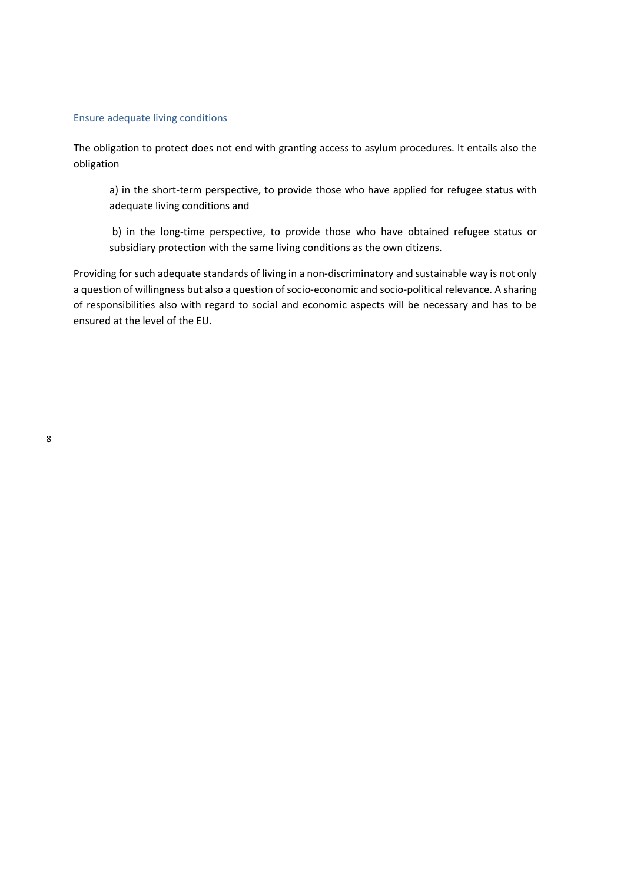#### Ensure adequate living conditions

The obligation to protect does not end with granting access to asylum procedures. It entails also the obligation

a) in the short-term perspective, to provide those who have applied for refugee status with adequate living conditions and

 b) in the long-time perspective, to provide those who have obtained refugee status or subsidiary protection with the same living conditions as the own citizens.

Providing for such adequate standards of living in a non-discriminatory and sustainable way is not only a question of willingness but also a question of socio-economic and socio-political relevance. A sharing of responsibilities also with regard to social and economic aspects will be necessary and has to be ensured at the level of the EU.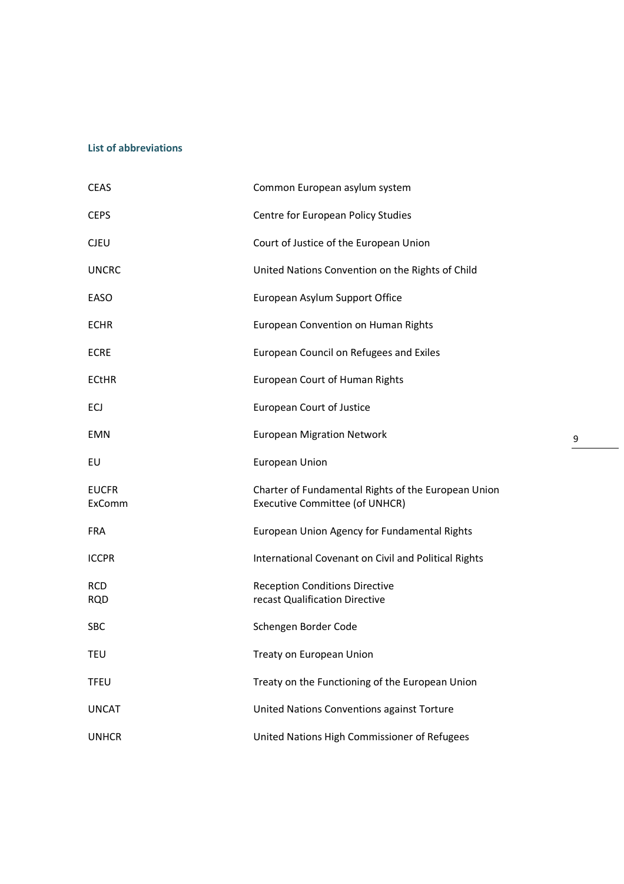## **List of abbreviations**

| <b>CEAS</b>              | Common European asylum system                                                         |
|--------------------------|---------------------------------------------------------------------------------------|
| <b>CEPS</b>              | Centre for European Policy Studies                                                    |
| <b>CJEU</b>              | Court of Justice of the European Union                                                |
| <b>UNCRC</b>             | United Nations Convention on the Rights of Child                                      |
| EASO                     | European Asylum Support Office                                                        |
| <b>ECHR</b>              | European Convention on Human Rights                                                   |
| <b>ECRE</b>              | European Council on Refugees and Exiles                                               |
| <b>ECtHR</b>             | European Court of Human Rights                                                        |
| ECJ                      | <b>European Court of Justice</b>                                                      |
| <b>EMN</b>               | <b>European Migration Network</b>                                                     |
| EU                       | <b>European Union</b>                                                                 |
| <b>EUCFR</b><br>ExComm   | Charter of Fundamental Rights of the European Union<br>Executive Committee (of UNHCR) |
| <b>FRA</b>               | European Union Agency for Fundamental Rights                                          |
| <b>ICCPR</b>             | International Covenant on Civil and Political Rights                                  |
| <b>RCD</b><br><b>RQD</b> | <b>Reception Conditions Directive</b><br>recast Qualification Directive               |
| <b>SBC</b>               | Schengen Border Code                                                                  |
| <b>TEU</b>               | Treaty on European Union                                                              |
| <b>TFEU</b>              | Treaty on the Functioning of the European Union                                       |
| <b>UNCAT</b>             | United Nations Conventions against Torture                                            |
| <b>UNHCR</b>             | United Nations High Commissioner of Refugees                                          |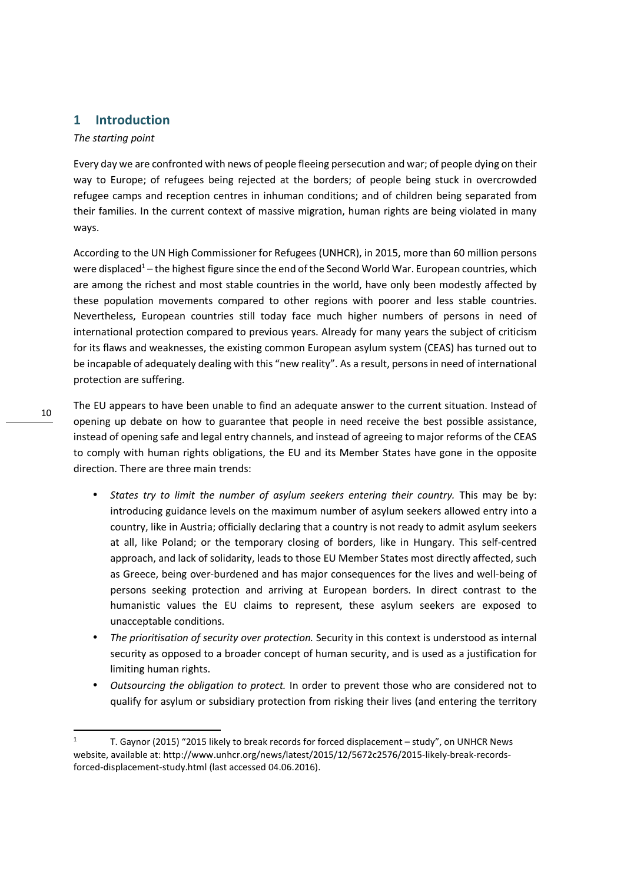# **1 Introduction**

#### *The starting point*

Every day we are confronted with news of people fleeing persecution and war; of people dying on their way to Europe; of refugees being rejected at the borders; of people being stuck in overcrowded refugee camps and reception centres in inhuman conditions; and of children being separated from their families. In the current context of massive migration, human rights are being violated in many ways.

According to the UN High Commissioner for Refugees (UNHCR), in 2015, more than 60 million persons were displaced<sup>1</sup> – the highest figure since the end of the Second World War. European countries, which are among the richest and most stable countries in the world, have only been modestly affected by these population movements compared to other regions with poorer and less stable countries. Nevertheless, European countries still today face much higher numbers of persons in need of international protection compared to previous years. Already for many years the subject of criticism for its flaws and weaknesses, the existing common European asylum system (CEAS) has turned out to be incapable of adequately dealing with this "new reality". As a result, persons in need of international protection are suffering.

The EU appears to have been unable to find an adequate answer to the current situation. Instead of opening up debate on how to guarantee that people in need receive the best possible assistance, instead of opening safe and legal entry channels, and instead of agreeing to major reforms of the CEAS to comply with human rights obligations, the EU and its Member States have gone in the opposite direction. There are three main trends:

- *States try to limit the number of asylum seekers entering their country.* This may be by: introducing guidance levels on the maximum number of asylum seekers allowed entry into a country, like in Austria; officially declaring that a country is not ready to admit asylum seekers at all, like Poland; or the temporary closing of borders, like in Hungary. This self-centred approach, and lack of solidarity, leads to those EU Member States most directly affected, such as Greece, being over-burdened and has major consequences for the lives and well-being of persons seeking protection and arriving at European borders. In direct contrast to the humanistic values the EU claims to represent, these asylum seekers are exposed to unacceptable conditions.
- *The prioritisation of security over protection.* Security in this context is understood as internal security as opposed to a broader concept of human security, and is used as a justification for limiting human rights.
- *Outsourcing the obligation to protect.* In order to prevent those who are considered not to qualify for asylum or subsidiary protection from risking their lives (and entering the territory

<sup>1</sup> T. Gaynor (2015) "2015 likely to break records for forced displacement – study", on UNHCR News website, available at: http://www.unhcr.org/news/latest/2015/12/5672c2576/2015-likely-break-recordsforced-displacement-study.html (last accessed 04.06.2016).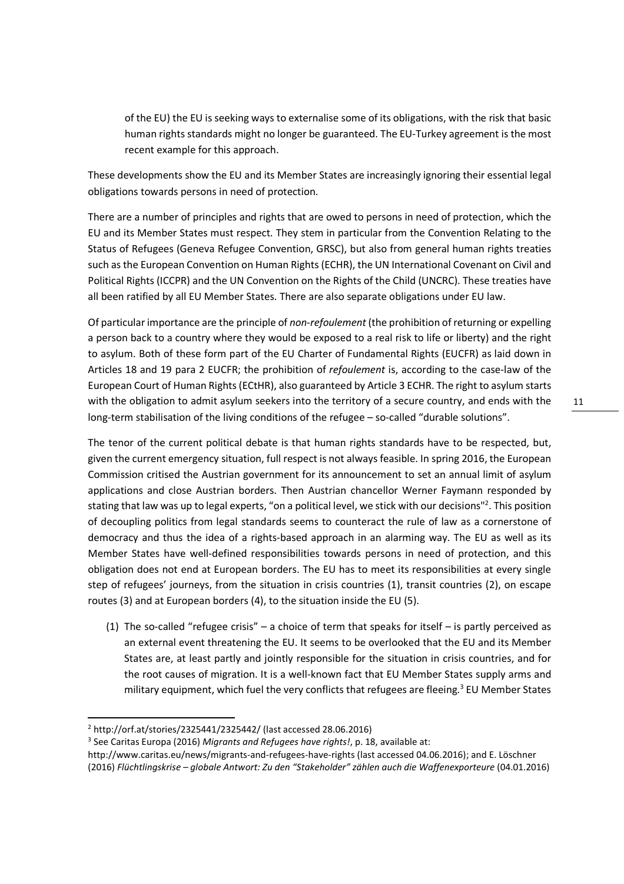of the EU) the EU is seeking ways to externalise some of its obligations, with the risk that basic human rights standards might no longer be guaranteed. The EU-Turkey agreement is the most recent example for this approach.

These developments show the EU and its Member States are increasingly ignoring their essential legal obligations towards persons in need of protection.

There are a number of principles and rights that are owed to persons in need of protection, which the EU and its Member States must respect. They stem in particular from the Convention Relating to the Status of Refugees (Geneva Refugee Convention, GRSC), but also from general human rights treaties such as the European Convention on Human Rights (ECHR), the UN International Covenant on Civil and Political Rights (ICCPR) and the UN Convention on the Rights of the Child (UNCRC). These treaties have all been ratified by all EU Member States. There are also separate obligations under EU law.

Of particular importance are the principle of *non-refoulement* (the prohibition of returning or expelling a person back to a country where they would be exposed to a real risk to life or liberty) and the right to asylum. Both of these form part of the EU Charter of Fundamental Rights (EUCFR) as laid down in Articles 18 and 19 para 2 EUCFR; the prohibition of *refoulement* is, according to the case-law of the European Court of Human Rights (ECtHR), also guaranteed by Article 3 ECHR. The right to asylum starts with the obligation to admit asylum seekers into the territory of a secure country, and ends with the long-term stabilisation of the living conditions of the refugee – so-called "durable solutions".

The tenor of the current political debate is that human rights standards have to be respected, but, given the current emergency situation, full respect is not always feasible. In spring 2016, the European Commission critised the Austrian government for its announcement to set an annual limit of asylum applications and close Austrian borders. Then Austrian chancellor Werner Faymann responded by stating that law was up to legal experts, "on a political level, we stick with our decisions"<sup>2</sup>. This position of decoupling politics from legal standards seems to counteract the rule of law as a cornerstone of democracy and thus the idea of a rights-based approach in an alarming way. The EU as well as its Member States have well-defined responsibilities towards persons in need of protection, and this obligation does not end at European borders. The EU has to meet its responsibilities at every single step of refugees' journeys, from the situation in crisis countries (1), transit countries (2), on escape routes (3) and at European borders (4), to the situation inside the EU (5).

(1) The so-called "refugee crisis" – a choice of term that speaks for itself – is partly perceived as an external event threatening the EU. It seems to be overlooked that the EU and its Member States are, at least partly and jointly responsible for the situation in crisis countries, and for the root causes of migration. It is a well-known fact that EU Member States supply arms and military equipment, which fuel the very conflicts that refugees are fleeing.<sup>3</sup> EU Member States

<sup>2</sup> http://orf.at/stories/2325441/2325442/ (last accessed 28.06.2016)

<sup>3</sup> See Caritas Europa (2016) *Migrants and Refugees have rights!*, p. 18, available at:

http://www.caritas.eu/news/migrants-and-refugees-have-rights (last accessed 04.06.2016); and E. Löschner (2016) *Flüchtlingskrise – globale Antwort: Zu den "Stakeholder" zählen auch die Waffenexporteure* (04.01.2016)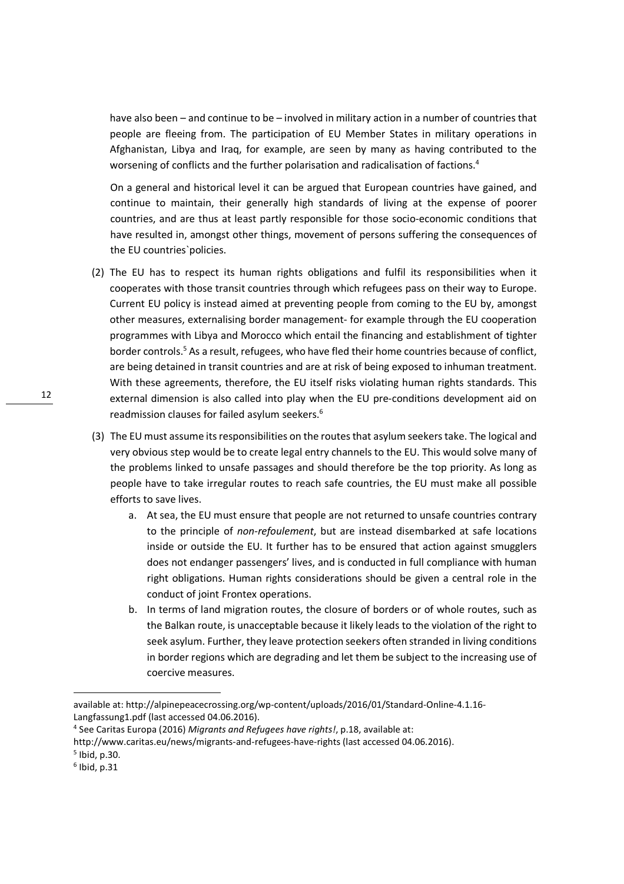have also been – and continue to be – involved in military action in a number of countries that people are fleeing from. The participation of EU Member States in military operations in Afghanistan, Libya and Iraq, for example, are seen by many as having contributed to the worsening of conflicts and the further polarisation and radicalisation of factions.<sup>4</sup>

On a general and historical level it can be argued that European countries have gained, and continue to maintain, their generally high standards of living at the expense of poorer countries, and are thus at least partly responsible for those socio-economic conditions that have resulted in, amongst other things, movement of persons suffering the consequences of the EU countries`policies.

- (2) The EU has to respect its human rights obligations and fulfil its responsibilities when it cooperates with those transit countries through which refugees pass on their way to Europe. Current EU policy is instead aimed at preventing people from coming to the EU by, amongst other measures, externalising border management- for example through the EU cooperation programmes with Libya and Morocco which entail the financing and establishment of tighter border controls.<sup>5</sup> As a result, refugees, who have fled their home countries because of conflict, are being detained in transit countries and are at risk of being exposed to inhuman treatment. With these agreements, therefore, the EU itself risks violating human rights standards. This external dimension is also called into play when the EU pre-conditions development aid on readmission clauses for failed asylum seekers.<sup>6</sup>
- (3) The EU must assume its responsibilities on the routes that asylum seekers take. The logical and very obvious step would be to create legal entry channels to the EU. This would solve many of the problems linked to unsafe passages and should therefore be the top priority. As long as people have to take irregular routes to reach safe countries, the EU must make all possible efforts to save lives.
	- a. At sea, the EU must ensure that people are not returned to unsafe countries contrary to the principle of *non-refoulement*, but are instead disembarked at safe locations inside or outside the EU. It further has to be ensured that action against smugglers does not endanger passengers' lives, and is conducted in full compliance with human right obligations. Human rights considerations should be given a central role in the conduct of joint Frontex operations.
	- b. In terms of land migration routes, the closure of borders or of whole routes, such as the Balkan route, is unacceptable because it likely leads to the violation of the right to seek asylum. Further, they leave protection seekers often stranded in living conditions in border regions which are degrading and let them be subject to the increasing use of coercive measures.

available at: http://alpinepeacecrossing.org/wp-content/uploads/2016/01/Standard-Online-4.1.16- Langfassung1.pdf (last accessed 04.06.2016).

<sup>4</sup> See Caritas Europa (2016) *Migrants and Refugees have rights!*, p.18, available at:

http://www.caritas.eu/news/migrants-and-refugees-have-rights (last accessed 04.06.2016).

<sup>5</sup> Ibid, p.30.

 $<sup>6</sup>$  Ibid, p.31</sup>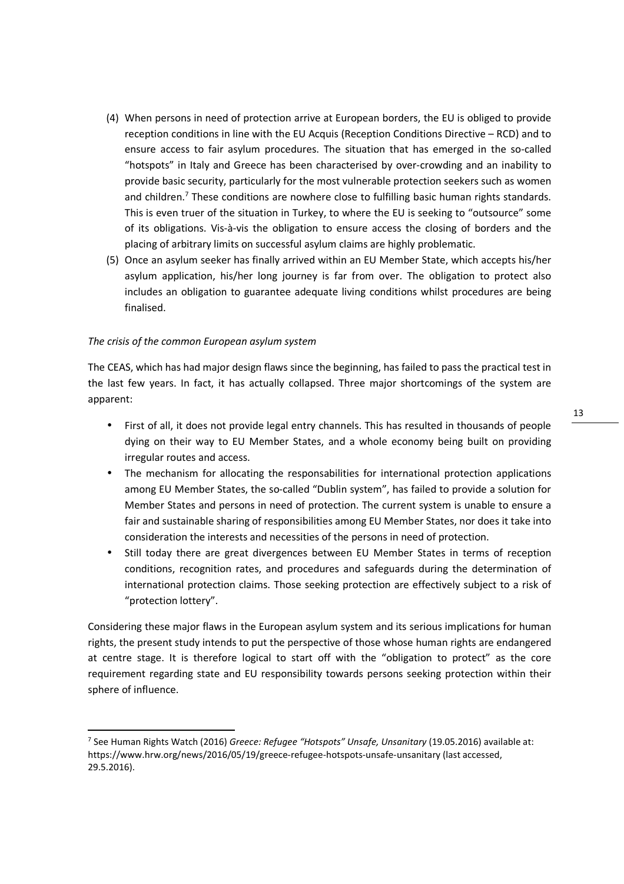- (4) When persons in need of protection arrive at European borders, the EU is obliged to provide reception conditions in line with the EU Acquis (Reception Conditions Directive – RCD) and to ensure access to fair asylum procedures. The situation that has emerged in the so-called "hotspots" in Italy and Greece has been characterised by over-crowding and an inability to provide basic security, particularly for the most vulnerable protection seekers such as women and children.<sup>7</sup> These conditions are nowhere close to fulfilling basic human rights standards. This is even truer of the situation in Turkey, to where the EU is seeking to "outsource" some of its obligations. Vis-à-vis the obligation to ensure access the closing of borders and the placing of arbitrary limits on successful asylum claims are highly problematic.
- (5) Once an asylum seeker has finally arrived within an EU Member State, which accepts his/her asylum application, his/her long journey is far from over. The obligation to protect also includes an obligation to guarantee adequate living conditions whilst procedures are being finalised.

#### *The crisis of the common European asylum system*

<u>.</u>

The CEAS, which has had major design flaws since the beginning, has failed to pass the practical test in the last few years. In fact, it has actually collapsed. Three major shortcomings of the system are apparent:

- First of all, it does not provide legal entry channels. This has resulted in thousands of people dying on their way to EU Member States, and a whole economy being built on providing irregular routes and access.
- The mechanism for allocating the responsabilities for international protection applications among EU Member States, the so-called "Dublin system", has failed to provide a solution for Member States and persons in need of protection. The current system is unable to ensure a fair and sustainable sharing of responsibilities among EU Member States, nor does it take into consideration the interests and necessities of the persons in need of protection.
- Still today there are great divergences between EU Member States in terms of reception conditions, recognition rates, and procedures and safeguards during the determination of international protection claims. Those seeking protection are effectively subject to a risk of "protection lottery".

Considering these major flaws in the European asylum system and its serious implications for human rights, the present study intends to put the perspective of those whose human rights are endangered at centre stage. It is therefore logical to start off with the "obligation to protect" as the core requirement regarding state and EU responsibility towards persons seeking protection within their sphere of influence.

<sup>7</sup> See Human Rights Watch (2016) *Greece: Refugee "Hotspots" Unsafe, Unsanitary* (19.05.2016) available at: https://www.hrw.org/news/2016/05/19/greece-refugee-hotspots-unsafe-unsanitary (last accessed, 29.5.2016).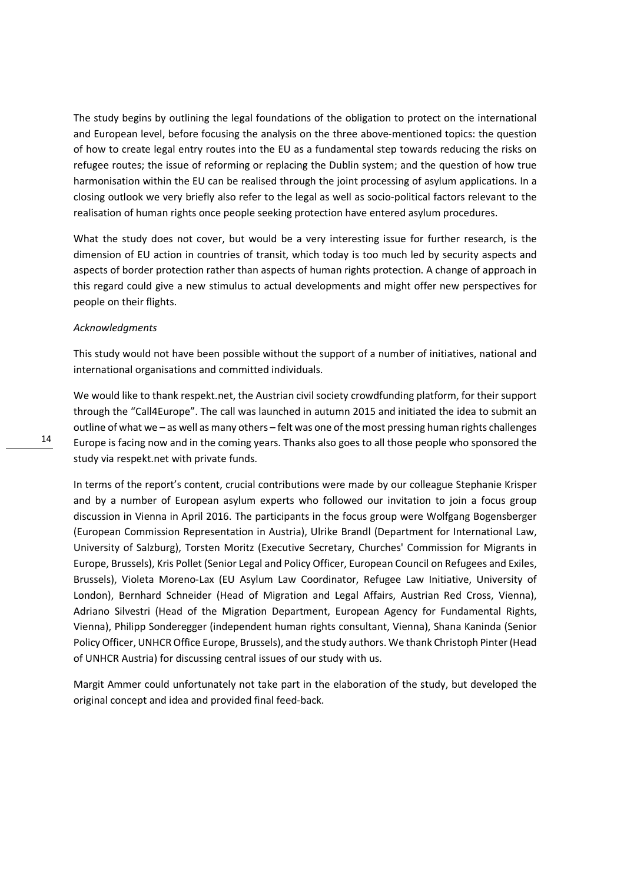The study begins by outlining the legal foundations of the obligation to protect on the international and European level, before focusing the analysis on the three above-mentioned topics: the question of how to create legal entry routes into the EU as a fundamental step towards reducing the risks on refugee routes; the issue of reforming or replacing the Dublin system; and the question of how true harmonisation within the EU can be realised through the joint processing of asylum applications. In a closing outlook we very briefly also refer to the legal as well as socio-political factors relevant to the realisation of human rights once people seeking protection have entered asylum procedures.

What the study does not cover, but would be a very interesting issue for further research, is the dimension of EU action in countries of transit, which today is too much led by security aspects and aspects of border protection rather than aspects of human rights protection. A change of approach in this regard could give a new stimulus to actual developments and might offer new perspectives for people on their flights.

#### *Acknowledgments*

This study would not have been possible without the support of a number of initiatives, national and international organisations and committed individuals.

We would like to thank respekt.net, the Austrian civil society crowdfunding platform, for their support through the "Call4Europe". The call was launched in autumn 2015 and initiated the idea to submit an outline of what we – as well as many others – felt was one of the most pressing human rights challenges Europe is facing now and in the coming years. Thanks also goes to all those people who sponsored the study via respekt.net with private funds.

In terms of the report's content, crucial contributions were made by our colleague Stephanie Krisper and by a number of European asylum experts who followed our invitation to join a focus group discussion in Vienna in April 2016. The participants in the focus group were Wolfgang Bogensberger (European Commission Representation in Austria), Ulrike Brandl (Department for International Law, University of Salzburg), Torsten Moritz (Executive Secretary, Churches' Commission for Migrants in Europe, Brussels), Kris Pollet (Senior Legal and Policy Officer, European Council on Refugees and Exiles, Brussels), Violeta Moreno-Lax (EU Asylum Law Coordinator, Refugee Law Initiative, University of London), Bernhard Schneider (Head of Migration and Legal Affairs, Austrian Red Cross, Vienna), Adriano Silvestri (Head of the Migration Department, European Agency for Fundamental Rights, Vienna), Philipp Sonderegger (independent human rights consultant, Vienna), Shana Kaninda (Senior Policy Officer, UNHCR Office Europe, Brussels), and the study authors. We thank Christoph Pinter (Head of UNHCR Austria) for discussing central issues of our study with us.

Margit Ammer could unfortunately not take part in the elaboration of the study, but developed the original concept and idea and provided final feed-back.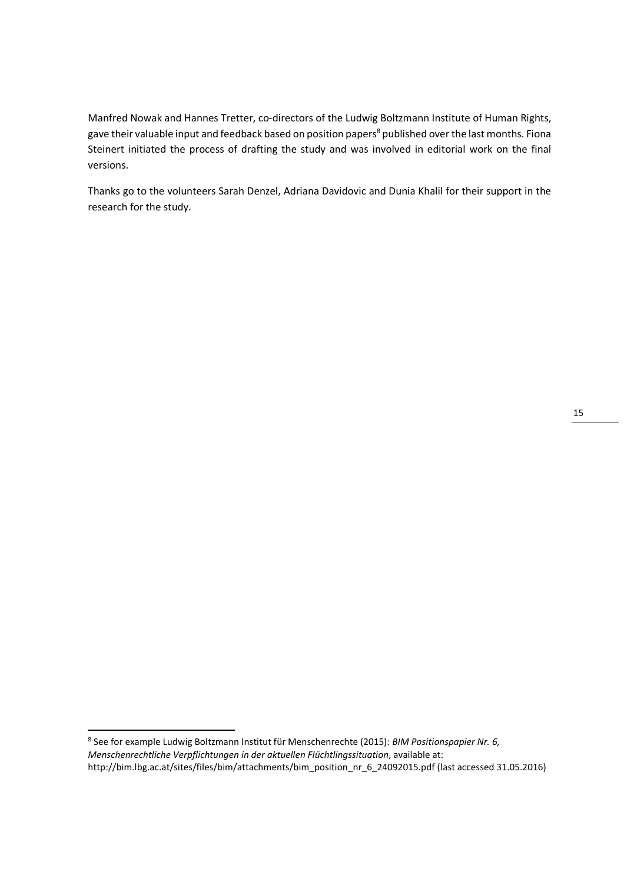Manfred Nowak and Hannes Tretter, co-directors of the Ludwig Boltzmann Institute of Human Rights, gave their valuable input and feedback based on position papers<sup>8</sup> published over the last months. Fiona Steinert initiated the process of drafting the study and was involved in editorial work on the final versions.

Thanks go to the volunteers Sarah Denzel, Adriana Davidovic and Dunia Khalil for their support in the research for the study.

<u>.</u>

15

<sup>8</sup> See for example Ludwig Boltzmann Institut für Menschenrechte (2015): *BIM Positionspapier Nr. 6, Menschenrechtliche Verpflichtungen in der aktuellen Flüchtlingssituation*, available at: http://bim.lbg.ac.at/sites/files/bim/attachments/bim\_position\_nr\_6\_24092015.pdf (last accessed 31.05.2016)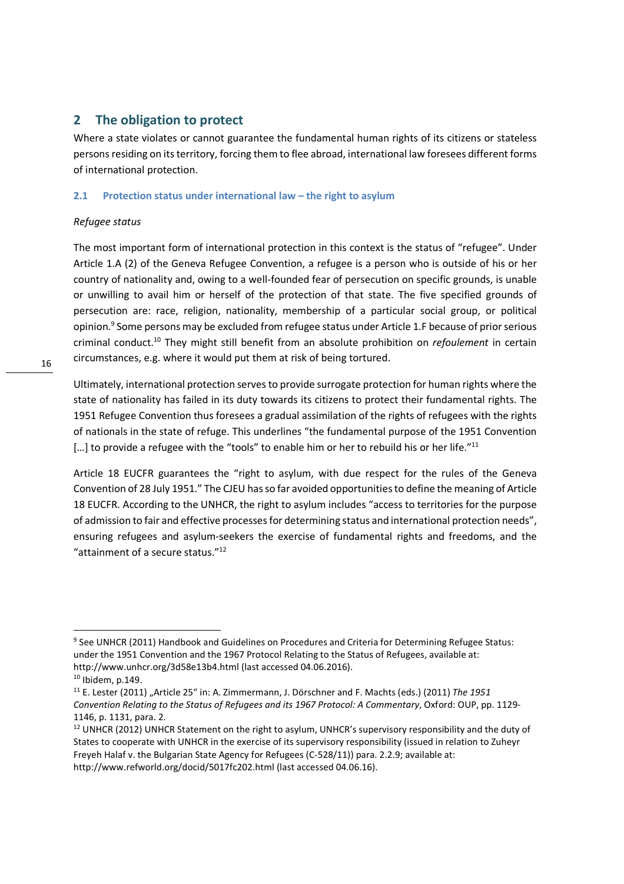# **2 The obligation to protect**

Where a state violates or cannot guarantee the fundamental human rights of its citizens or stateless persons residing on its territory, forcing them to flee abroad, international law foresees different forms of international protection.

### **2.1 Protection status under international law – the right to asylum**

## *Refugee status*

The most important form of international protection in this context is the status of "refugee". Under Article 1.A (2) of the Geneva Refugee Convention, a refugee is a person who is outside of his or her country of nationality and, owing to a well-founded fear of persecution on specific grounds, is unable or unwilling to avail him or herself of the protection of that state. The five specified grounds of persecution are: race, religion, nationality, membership of a particular social group, or political opinion.<sup>9</sup> Some persons may be excluded from refugee status under Article 1.F because of prior serious criminal conduct.<sup>10</sup> They might still benefit from an absolute prohibition on *refoulement* in certain circumstances, e.g. where it would put them at risk of being tortured.

Ultimately, international protection serves to provide surrogate protection for human rights where the state of nationality has failed in its duty towards its citizens to protect their fundamental rights. The 1951 Refugee Convention thus foresees a gradual assimilation of the rights of refugees with the rights of nationals in the state of refuge. This underlines "the fundamental purpose of the 1951 Convention [...] to provide a refugee with the "tools" to enable him or her to rebuild his or her life."<sup>11</sup>

Article 18 EUCFR guarantees the "right to asylum, with due respect for the rules of the Geneva Convention of 28 July 1951." The CJEU has so far avoided opportunities to define the meaning of Article 18 EUCFR. According to the UNHCR, the right to asylum includes "access to territories for the purpose of admission to fair and effective processes for determining status and international protection needs", ensuring refugees and asylum-seekers the exercise of fundamental rights and freedoms, and the "attainment of a secure status."<sup>12</sup>

<sup>&</sup>lt;sup>9</sup> See UNHCR (2011) Handbook and Guidelines on Procedures and Criteria for Determining Refugee Status: under the 1951 Convention and the 1967 Protocol Relating to the Status of Refugees, available at: http://www.unhcr.org/3d58e13b4.html (last accessed 04.06.2016).

 $10$  Ibidem, p.149.

<sup>11</sup> E. Lester (2011) "Article 25" in: A. Zimmermann, J. Dörschner and F. Machts (eds.) (2011) *The 1951 Convention Relating to the Status of Refugees and its 1967 Protocol: A Commentary*, Oxford: OUP, pp. 1129- 1146, p. 1131, para. 2.

<sup>&</sup>lt;sup>12</sup> UNHCR (2012) UNHCR Statement on the right to asylum, UNHCR's supervisory responsibility and the duty of States to cooperate with UNHCR in the exercise of its supervisory responsibility (issued in relation to Zuheyr Freyeh Halaf v. the Bulgarian State Agency for Refugees (C-528/11)) para. 2.2.9; available at: http://www.refworld.org/docid/5017fc202.html (last accessed 04.06.16).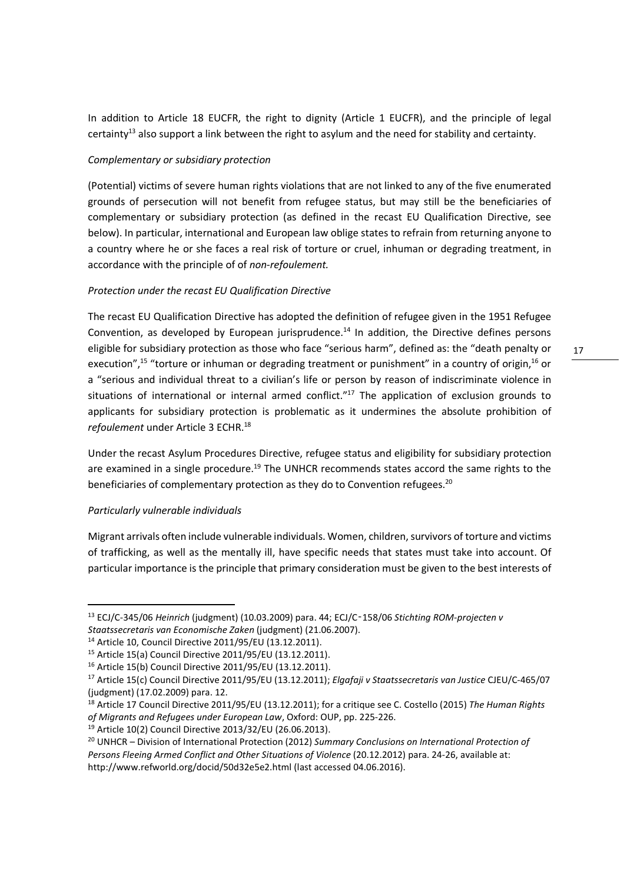In addition to Article 18 EUCFR, the right to dignity (Article 1 EUCFR), and the principle of legal certainty<sup>13</sup> also support a link between the right to asylum and the need for stability and certainty.

#### *Complementary or subsidiary protection*

(Potential) victims of severe human rights violations that are not linked to any of the five enumerated grounds of persecution will not benefit from refugee status, but may still be the beneficiaries of complementary or subsidiary protection (as defined in the recast EU Qualification Directive, see below). In particular, international and European law oblige states to refrain from returning anyone to a country where he or she faces a real risk of torture or cruel, inhuman or degrading treatment, in accordance with the principle of of *non-refoulement.*

#### *Protection under the recast EU Qualification Directive*

The recast EU Qualification Directive has adopted the definition of refugee given in the 1951 Refugee Convention, as developed by European jurisprudence.<sup>14</sup> In addition, the Directive defines persons eligible for subsidiary protection as those who face "serious harm", defined as: the "death penalty or execution",<sup>15</sup> "torture or inhuman or degrading treatment or punishment" in a country of origin,<sup>16</sup> or a "serious and individual threat to a civilian's life or person by reason of indiscriminate violence in situations of international or internal armed conflict."<sup>17</sup> The application of exclusion grounds to applicants for subsidiary protection is problematic as it undermines the absolute prohibition of *refoulement* under Article 3 ECHR.<sup>18</sup>

Under the recast Asylum Procedures Directive, refugee status and eligibility for subsidiary protection are examined in a single procedure.<sup>19</sup> The UNHCR recommends states accord the same rights to the beneficiaries of complementary protection as they do to Convention refugees.<sup>20</sup>

#### *Particularly vulnerable individuals*

<u>.</u>

Migrant arrivals often include vulnerable individuals. Women, children, survivors of torture and victims of trafficking, as well as the mentally ill, have specific needs that states must take into account. Of particular importance is the principle that primary consideration must be given to the best interests of

<sup>13</sup> ECJ/C-345/06 *Heinrich* (judgment) (10.03.2009) para. 44; ECJ/C‑158/06 *Stichting ROM-projecten v Staatssecretaris van Economische Zaken* (judgment) (21.06.2007).

<sup>14</sup> Article 10, Council Directive 2011/95/EU (13.12.2011).

<sup>15</sup> Article 15(a) Council Directive 2011/95/EU (13.12.2011).

<sup>16</sup> Article 15(b) Council Directive 2011/95/EU (13.12.2011).

<sup>17</sup> Article 15(c) Council Directive 2011/95/EU (13.12.2011); *Elgafaji v Staatssecretaris van Justice* CJEU/C-465/07 (judgment) (17.02.2009) para. 12.

<sup>18</sup> Article 17 Council Directive 2011/95/EU (13.12.2011); for a critique see C. Costello (2015) *The Human Rights of Migrants and Refugees under European Law*, Oxford: OUP, pp. 225-226.

<sup>19</sup> Article 10(2) Council Directive 2013/32/EU (26.06.2013).

<sup>20</sup> UNHCR – Division of International Protection (2012) *Summary Conclusions on International Protection of Persons Fleeing Armed Conflict and Other Situations of Violence* (20.12.2012) para. 24-26, available at: http://www.refworld.org/docid/50d32e5e2.html (last accessed 04.06.2016).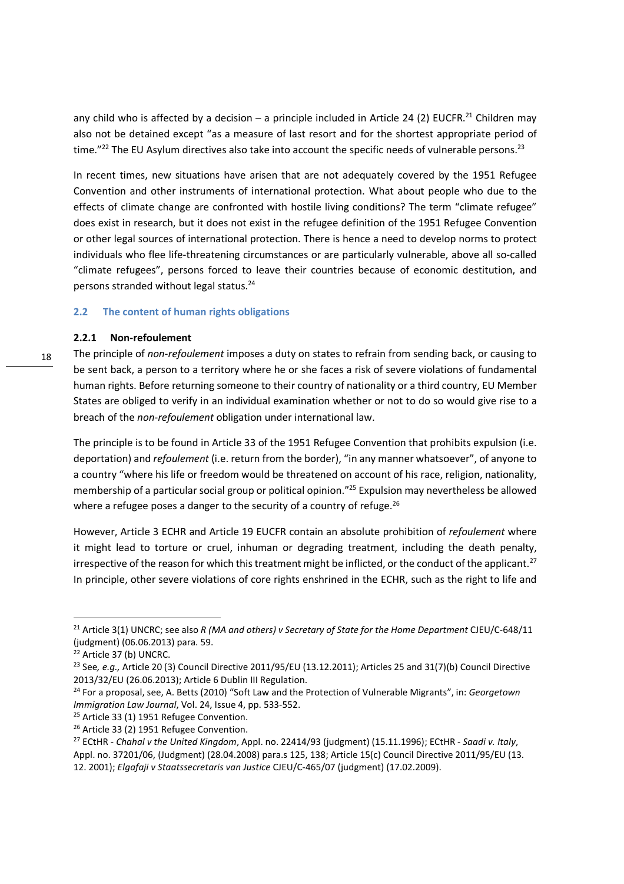any child who is affected by a decision – a principle included in Article 24 (2) EUCFR.<sup>21</sup> Children may also not be detained except "as a measure of last resort and for the shortest appropriate period of time."<sup>22</sup> The EU Asylum directives also take into account the specific needs of vulnerable persons.<sup>23</sup>

In recent times, new situations have arisen that are not adequately covered by the 1951 Refugee Convention and other instruments of international protection. What about people who due to the effects of climate change are confronted with hostile living conditions? The term "climate refugee" does exist in research, but it does not exist in the refugee definition of the 1951 Refugee Convention or other legal sources of international protection. There is hence a need to develop norms to protect individuals who flee life-threatening circumstances or are particularly vulnerable, above all so-called "climate refugees", persons forced to leave their countries because of economic destitution, and persons stranded without legal status.<sup>24</sup>

#### **2.2 The content of human rights obligations**

#### **2.2.1 Non-refoulement**

The principle of *non-refoulement* imposes a duty on states to refrain from sending back, or causing to be sent back, a person to a territory where he or she faces a risk of severe violations of fundamental human rights. Before returning someone to their country of nationality or a third country, EU Member States are obliged to verify in an individual examination whether or not to do so would give rise to a breach of the *non-refoulement* obligation under international law.

The principle is to be found in Article 33 of the 1951 Refugee Convention that prohibits expulsion (i.e. deportation) and *refoulement* (i.e. return from the border), "in any manner whatsoever", of anyone to a country "where his life or freedom would be threatened on account of his race, religion, nationality, membership of a particular social group or political opinion."<sup>25</sup> Expulsion may nevertheless be allowed where a refugee poses a danger to the security of a country of refuge. $^{26}$ 

However, Article 3 ECHR and Article 19 EUCFR contain an absolute prohibition of *refoulement* where it might lead to torture or cruel, inhuman or degrading treatment, including the death penalty, irrespective of the reason for which this treatment might be inflicted, or the conduct of the applicant. $2^7$ In principle, other severe violations of core rights enshrined in the ECHR, such as the right to life and

<sup>21</sup> Article 3(1) UNCRC; see also *R (MA and others) v Secretary of State for the Home Department* CJEU/C-648/11 (judgment) (06.06.2013) para. 59.

<sup>22</sup> Article 37 (b) UNCRC.

<sup>&</sup>lt;sup>23</sup> See, e.g., Article 20 (3) Council Directive 2011/95/EU (13.12.2011); Articles 25 and 31(7)(b) Council Directive 2013/32/EU (26.06.2013); Article 6 Dublin III Regulation.

<sup>24</sup> For a proposal, see, A. Betts (2010) "Soft Law and the Protection of Vulnerable Migrants", in: *Georgetown Immigration Law Journal*, Vol. 24, Issue 4, pp. 533-552.

<sup>&</sup>lt;sup>25</sup> Article 33 (1) 1951 Refugee Convention.

<sup>&</sup>lt;sup>26</sup> Article 33 (2) 1951 Refugee Convention.

<sup>27</sup> ECtHR - *Chahal v the United Kingdom*, Appl. no. 22414/93 (judgment) (15.11.1996); ECtHR - *Saadi v. Italy*, Appl. no. 37201/06, (Judgment) (28.04.2008) para.s 125, 138; Article 15(c) Council Directive 2011/95/EU (13. 12. 2001); *Elgafaji v Staatssecretaris van Justice* CJEU/C-465/07 (judgment) (17.02.2009).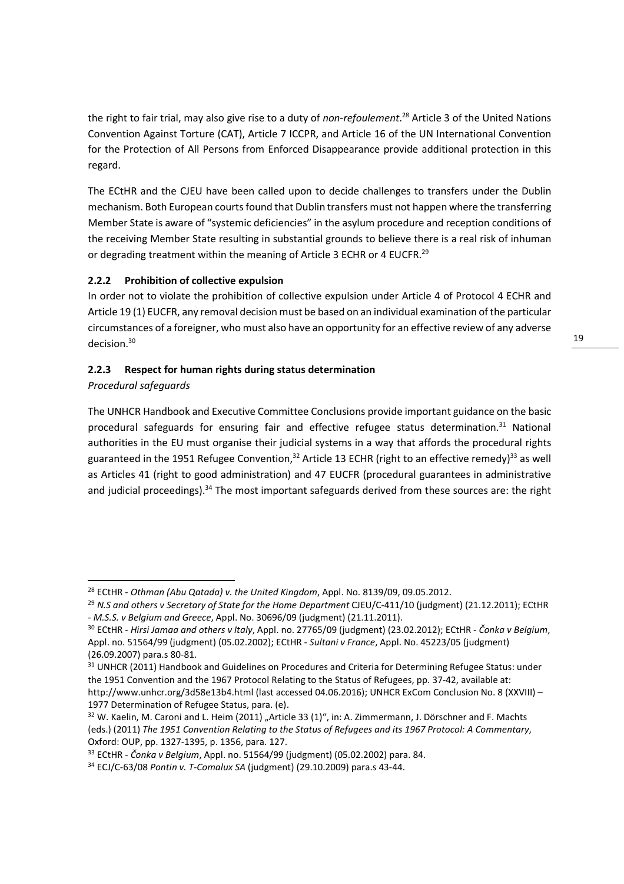the right to fair trial, may also give rise to a duty of *non-refoulement*. <sup>28</sup> Article 3 of the United Nations Convention Against Torture (CAT), Article 7 ICCPR, and Article 16 of the UN International Convention for the Protection of All Persons from Enforced Disappearance provide additional protection in this regard.

The ECtHR and the CJEU have been called upon to decide challenges to transfers under the Dublin mechanism. Both European courts found that Dublin transfers must not happen where the transferring Member State is aware of "systemic deficiencies" in the asylum procedure and reception conditions of the receiving Member State resulting in substantial grounds to believe there is a real risk of inhuman or degrading treatment within the meaning of Article 3 ECHR or 4 EUCFR.<sup>29</sup>

# **2.2.2 Prohibition of collective expulsion**

In order not to violate the prohibition of collective expulsion under Article 4 of Protocol 4 ECHR and Article 19 (1) EUCFR, any removal decision must be based on an individual examination of the particular circumstances of a foreigner, who must also have an opportunity for an effective review of any adverse decision.<sup>30</sup>

#### **2.2.3 Respect for human rights during status determination**

#### *Procedural safeguards*

<u>.</u>

The UNHCR Handbook and Executive Committee Conclusions provide important guidance on the basic procedural safeguards for ensuring fair and effective refugee status determination.<sup>31</sup> National authorities in the EU must organise their judicial systems in a way that affords the procedural rights guaranteed in the 1951 Refugee Convention,<sup>32</sup> Article 13 ECHR (right to an effective remedy)<sup>33</sup> as well as Articles 41 (right to good administration) and 47 EUCFR (procedural guarantees in administrative and judicial proceedings).<sup>34</sup> The most important safeguards derived from these sources are: the right

<sup>28</sup> ECtHR - *Othman (Abu Qatada) v. the United Kingdom*, Appl. No. 8139/09, 09.05.2012.

<sup>&</sup>lt;sup>29</sup> N.S and others v Secretary of State for the Home Department CJEU/C-411/10 (judgment) (21.12.2011); ECtHR - *M.S.S. v Belgium and Greece*, Appl. No. 30696/09 (judgment) (21.11.2011).

<sup>30</sup> ECtHR - *Hirsi Jamaa and others v Italy*, Appl. no. 27765/09 (judgment) (23.02.2012); ECtHR - *Čonka v Belgium*, Appl. no. 51564/99 (judgment) (05.02.2002); ECtHR - *Sultani v France*, Appl. No. 45223/05 (judgment) (26.09.2007) para.s 80-81.

<sup>31</sup> UNHCR (2011) Handbook and Guidelines on Procedures and Criteria for Determining Refugee Status: under the 1951 Convention and the 1967 Protocol Relating to the Status of Refugees, pp. 37-42, available at: http://www.unhcr.org/3d58e13b4.html (last accessed 04.06.2016); UNHCR ExCom Conclusion No. 8 (XXVIII) – 1977 Determination of Refugee Status, para. (e).

<sup>&</sup>lt;sup>32</sup> W. Kaelin, M. Caroni and L. Heim (2011) "Article 33 (1)", in: A. Zimmermann, J. Dörschner and F. Machts (eds.) (2011) *The 1951 Convention Relating to the Status of Refugees and its 1967 Protocol: A Commentary*, Oxford: OUP, pp. 1327-1395, p. 1356, para. 127.

<sup>33</sup> ECtHR - *Čonka v Belgium*, Appl. no. 51564/99 (judgment) (05.02.2002) para. 84.

<sup>34</sup> ECJ/C-63/08 *Pontin v. T-Comalux SA* (judgment) (29.10.2009) para.s 43-44.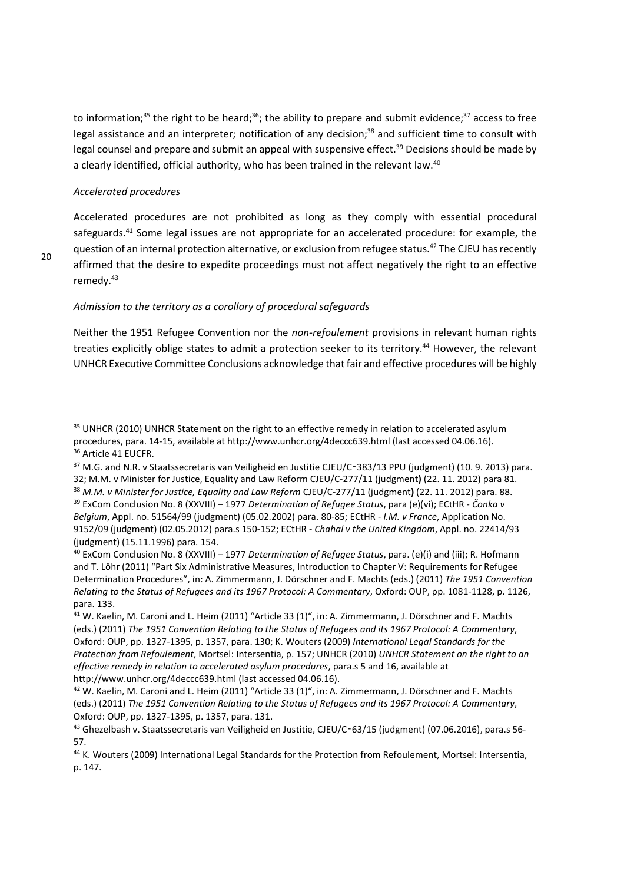to information;<sup>35</sup> the right to be heard;<sup>36</sup>; the ability to prepare and submit evidence;<sup>37</sup> access to free legal assistance and an interpreter; notification of any decision;<sup>38</sup> and sufficient time to consult with legal counsel and prepare and submit an appeal with suspensive effect.<sup>39</sup> Decisions should be made by a clearly identified, official authority, who has been trained in the relevant law.<sup>40</sup>

#### *Accelerated procedures*

Accelerated procedures are not prohibited as long as they comply with essential procedural safeguards.<sup>41</sup> Some legal issues are not appropriate for an accelerated procedure: for example, the question of an internal protection alternative, or exclusion from refugee status.<sup>42</sup> The CJEU has recently affirmed that the desire to expedite proceedings must not affect negatively the right to an effective remedy.<sup>43</sup>

#### *Admission to the territory as a corollary of procedural safeguards*

Neither the 1951 Refugee Convention nor the *non-refoulement* provisions in relevant human rights treaties explicitly oblige states to admit a protection seeker to its territory.<sup>44</sup> However, the relevant UNHCR Executive Committee Conclusions acknowledge that fair and effective procedures will be highly

<sup>37</sup> M.G. and N.R. v Staatssecretaris van Veiligheid en Justitie CJEU/C‑383/13 PPU (judgment) (10. 9. 2013) para. 32; M.M. v Minister for Justice, Equality and Law Reform CJEU/C-277/11 (judgment**)** (22. 11. 2012) para 81. <sup>38</sup> *M.M. v Minister for Justice, Equality and Law Reform* CJEU/C-277/11 (judgment**)** (22. 11. 2012) para. 88.

<sup>&</sup>lt;sup>35</sup> UNHCR (2010) UNHCR Statement on the right to an effective remedy in relation to accelerated asylum procedures, para. 14-15, available at http://www.unhcr.org/4deccc639.html (last accessed 04.06.16). <sup>36</sup> Article 41 EUCFR.

<sup>39</sup> ExCom Conclusion No. 8 (XXVIII) – 1977 *Determination of Refugee Status*, para (e)(vi); ECtHR - *Čonka v Belgium*, Appl. no. 51564/99 (judgment) (05.02.2002) para. 80-85; ECtHR - *I.M. v France*, Application No. 9152/09 (judgment) (02.05.2012) para.s 150-152; ECtHR - *Chahal v the United Kingdom*, Appl. no. 22414/93 (judgment) (15.11.1996) para. 154.

<sup>40</sup> ExCom Conclusion No. 8 (XXVIII) – 1977 *Determination of Refugee Status*, para. (e)(i) and (iii); R. Hofmann and T. Löhr (2011) "Part Six Administrative Measures, Introduction to Chapter V: Requirements for Refugee Determination Procedures", in: A. Zimmermann, J. Dörschner and F. Machts (eds.) (2011) *The 1951 Convention Relating to the Status of Refugees and its 1967 Protocol: A Commentary*, Oxford: OUP, pp. 1081-1128, p. 1126, para. 133.

<sup>41</sup> W. Kaelin, M. Caroni and L. Heim (2011) "Article 33 (1)", in: A. Zimmermann, J. Dörschner and F. Machts (eds.) (2011) *The 1951 Convention Relating to the Status of Refugees and its 1967 Protocol: A Commentary*, Oxford: OUP, pp. 1327-1395, p. 1357, para. 130; K. Wouters (2009) *International Legal Standards for the Protection from Refoulement*, Mortsel: Intersentia, p. 157; UNHCR (2010) *UNHCR Statement on the right to an effective remedy in relation to accelerated asylum procedures*, para.s 5 and 16, available at http://www.unhcr.org/4deccc639.html (last accessed 04.06.16).

<sup>&</sup>lt;sup>42</sup> W. Kaelin, M. Caroni and L. Heim (2011) "Article 33 (1)", in: A. Zimmermann, J. Dörschner and F. Machts (eds.) (2011) *The 1951 Convention Relating to the Status of Refugees and its 1967 Protocol: A Commentary*, Oxford: OUP, pp. 1327-1395, p. 1357, para. 131.

<sup>43</sup> Ghezelbash v. Staatssecretaris van Veiligheid en Justitie, CJEU/C‑63/15 (judgment) (07.06.2016), para.s 56- 57.

<sup>44</sup> K. Wouters (2009) International Legal Standards for the Protection from Refoulement, Mortsel: Intersentia, p. 147.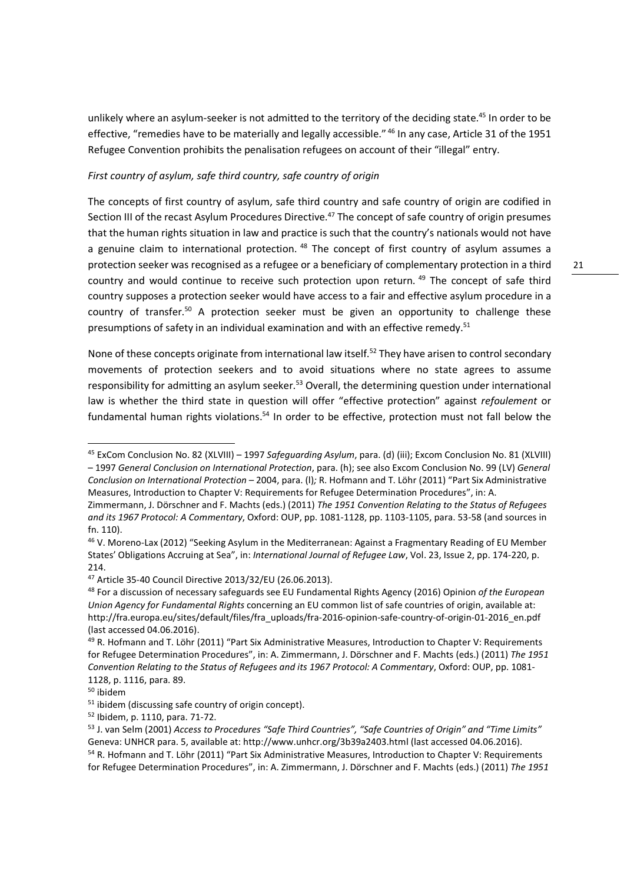unlikely where an asylum-seeker is not admitted to the territory of the deciding state.<sup>45</sup> In order to be effective, "remedies have to be materially and legally accessible." <sup>46</sup> In any case, Article 31 of the 1951 Refugee Convention prohibits the penalisation refugees on account of their "illegal" entry.

#### *First country of asylum, safe third country, safe country of origin*

The concepts of first country of asylum, safe third country and safe country of origin are codified in Section III of the recast Asylum Procedures Directive.<sup>47</sup> The concept of safe country of origin presumes that the human rights situation in law and practice is such that the country's nationals would not have a genuine claim to international protection.<sup>48</sup> The concept of first country of asylum assumes a protection seeker was recognised as a refugee or a beneficiary of complementary protection in a third country and would continue to receive such protection upon return.<sup>49</sup> The concept of safe third country supposes a protection seeker would have access to a fair and effective asylum procedure in a country of transfer.<sup>50</sup> A protection seeker must be given an opportunity to challenge these presumptions of safety in an individual examination and with an effective remedy.<sup>51</sup>

None of these concepts originate from international law itself.<sup>52</sup> They have arisen to control secondary movements of protection seekers and to avoid situations where no state agrees to assume responsibility for admitting an asylum seeker.<sup>53</sup> Overall, the determining question under international law is whether the third state in question will offer "effective protection" against *refoulement* or fundamental human rights violations.<sup>54</sup> In order to be effective, protection must not fall below the

<sup>45</sup> ExCom Conclusion No. 82 (XLVIII) – 1997 *Safeguarding Asylum*, para. (d) (iii); Excom Conclusion No. 81 (XLVIII) – 1997 *General Conclusion on International Protection*, para. (h); see also Excom Conclusion No. 99 (LV) *General Conclusion on International Protection* – 2004, para. (l)*;* R. Hofmann and T. Löhr (2011) "Part Six Administrative Measures, Introduction to Chapter V: Requirements for Refugee Determination Procedures", in: A.

Zimmermann, J. Dörschner and F. Machts (eds.) (2011) *The 1951 Convention Relating to the Status of Refugees and its 1967 Protocol: A Commentary*, Oxford: OUP, pp. 1081-1128, pp. 1103-1105, para. 53-58 (and sources in fn. 110).

<sup>46</sup> V. Moreno-Lax (2012) "Seeking Asylum in the Mediterranean: Against a Fragmentary Reading of EU Member States' Obligations Accruing at Sea", in: *International Journal of Refugee Law*, Vol. 23, Issue 2, pp. 174-220, p. 214.

<sup>47</sup> Article 35-40 Council Directive 2013/32/EU (26.06.2013).

<sup>48</sup> For a discussion of necessary safeguards see EU Fundamental Rights Agency (2016) Opinion *of the European Union Agency for Fundamental Rights* concerning an EU common list of safe countries of origin, available at: http://fra.europa.eu/sites/default/files/fra\_uploads/fra-2016-opinion-safe-country-of-origin-01-2016\_en.pdf (last accessed 04.06.2016).

<sup>49</sup> R. Hofmann and T. Löhr (2011) "Part Six Administrative Measures, Introduction to Chapter V: Requirements for Refugee Determination Procedures", in: A. Zimmermann, J. Dörschner and F. Machts (eds.) (2011) *The 1951 Convention Relating to the Status of Refugees and its 1967 Protocol: A Commentary*, Oxford: OUP, pp. 1081- 1128, p. 1116, para. 89.

<sup>50</sup> ibidem

<sup>&</sup>lt;sup>51</sup> ibidem (discussing safe country of origin concept).

<sup>52</sup> Ibidem, p. 1110, para. 71-72.

<sup>53</sup> J. van Selm (2001) *Access to Procedures "Safe Third Countries", "Safe Countries of Origin" and "Time Limits"* Geneva: UNHCR para. 5, available at: http://www.unhcr.org/3b39a2403.html (last accessed 04.06.2016).

<sup>54</sup> R. Hofmann and T. Löhr (2011) "Part Six Administrative Measures, Introduction to Chapter V: Requirements for Refugee Determination Procedures", in: A. Zimmermann, J. Dörschner and F. Machts (eds.) (2011) *The 1951*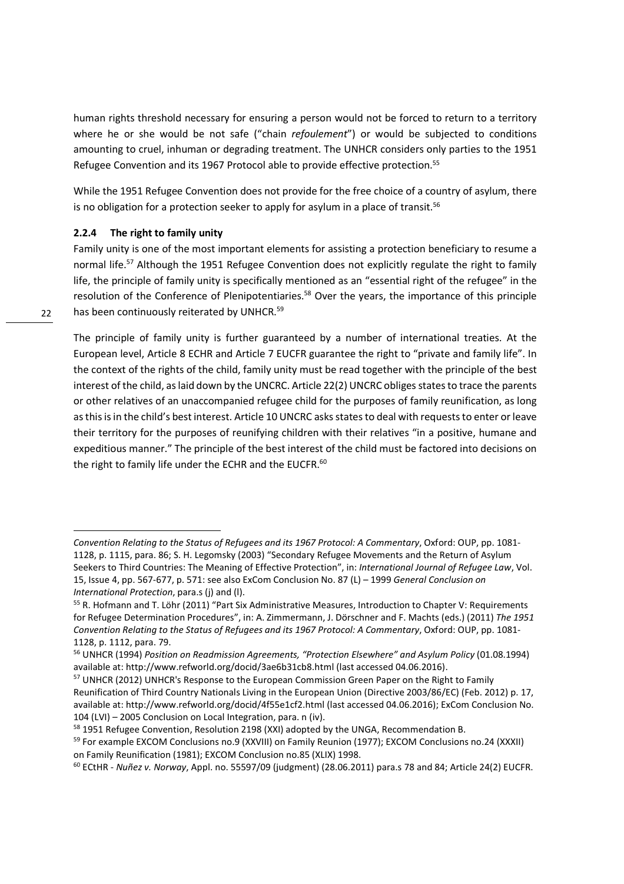human rights threshold necessary for ensuring a person would not be forced to return to a territory where he or she would be not safe ("chain *refoulement*") or would be subjected to conditions amounting to cruel, inhuman or degrading treatment. The UNHCR considers only parties to the 1951 Refugee Convention and its 1967 Protocol able to provide effective protection.<sup>55</sup>

While the 1951 Refugee Convention does not provide for the free choice of a country of asylum, there is no obligation for a protection seeker to apply for asylum in a place of transit.<sup>56</sup>

#### **2.2.4 The right to family unity**

Family unity is one of the most important elements for assisting a protection beneficiary to resume a normal life.<sup>57</sup> Although the 1951 Refugee Convention does not explicitly regulate the right to family life, the principle of family unity is specifically mentioned as an "essential right of the refugee" in the resolution of the Conference of Plenipotentiaries.<sup>58</sup> Over the years, the importance of this principle has been continuously reiterated by UNHCR.<sup>59</sup>

The principle of family unity is further guaranteed by a number of international treaties. At the European level, Article 8 ECHR and Article 7 EUCFR guarantee the right to "private and family life". In the context of the rights of the child, family unity must be read together with the principle of the best interest of the child, as laid down by the UNCRC. Article 22(2) UNCRC obliges states to trace the parents or other relatives of an unaccompanied refugee child for the purposes of family reunification, as long as this is in the child's best interest. Article 10 UNCRC asks states to deal with requests to enter or leave their territory for the purposes of reunifying children with their relatives "in a positive, humane and expeditious manner." The principle of the best interest of the child must be factored into decisions on the right to family life under the ECHR and the EUCFR.<sup>60</sup>

*Convention Relating to the Status of Refugees and its 1967 Protocol: A Commentary*, Oxford: OUP, pp. 1081- 1128, p. 1115, para. 86; S. H. Legomsky (2003) "Secondary Refugee Movements and the Return of Asylum Seekers to Third Countries: The Meaning of Effective Protection", in: *International Journal of Refugee Law*, Vol. 15, Issue 4, pp. 567-677, p. 571: see also ExCom Conclusion No. 87 (L) – 1999 *General Conclusion on International Protection*, para.s (j) and (l).

<sup>55</sup> R. Hofmann and T. Löhr (2011) "Part Six Administrative Measures, Introduction to Chapter V: Requirements for Refugee Determination Procedures", in: A. Zimmermann, J. Dörschner and F. Machts (eds.) (2011) *The 1951 Convention Relating to the Status of Refugees and its 1967 Protocol: A Commentary*, Oxford: OUP, pp. 1081- 1128, p. 1112, para. 79.

<sup>56</sup> UNHCR (1994) *Position on Readmission Agreements, "Protection Elsewhere" and Asylum Policy* (01.08.1994) available at: http://www.refworld.org/docid/3ae6b31cb8.html (last accessed 04.06.2016).

<sup>&</sup>lt;sup>57</sup> UNHCR (2012) UNHCR's Response to the European Commission Green Paper on the Right to Family Reunification of Third Country Nationals Living in the European Union (Directive 2003/86/EC) (Feb. 2012) p. 17, available at: http://www.refworld.org/docid/4f55e1cf2.html (last accessed 04.06.2016); ExCom Conclusion No. 104 (LVI) – 2005 Conclusion on Local Integration, para. n (iv).

<sup>58 1951</sup> Refugee Convention, Resolution 2198 (XXI) adopted by the UNGA, Recommendation B.

<sup>&</sup>lt;sup>59</sup> For example EXCOM Conclusions no.9 (XXVIII) on Family Reunion (1977); EXCOM Conclusions no.24 (XXXII) on Family Reunification (1981); EXCOM Conclusion no.85 (XLIX) 1998.

<sup>60</sup> ECtHR - *Nuñez v. Norway*, Appl. no. 55597/09 (judgment) (28.06.2011) para.s 78 and 84; Article 24(2) EUCFR.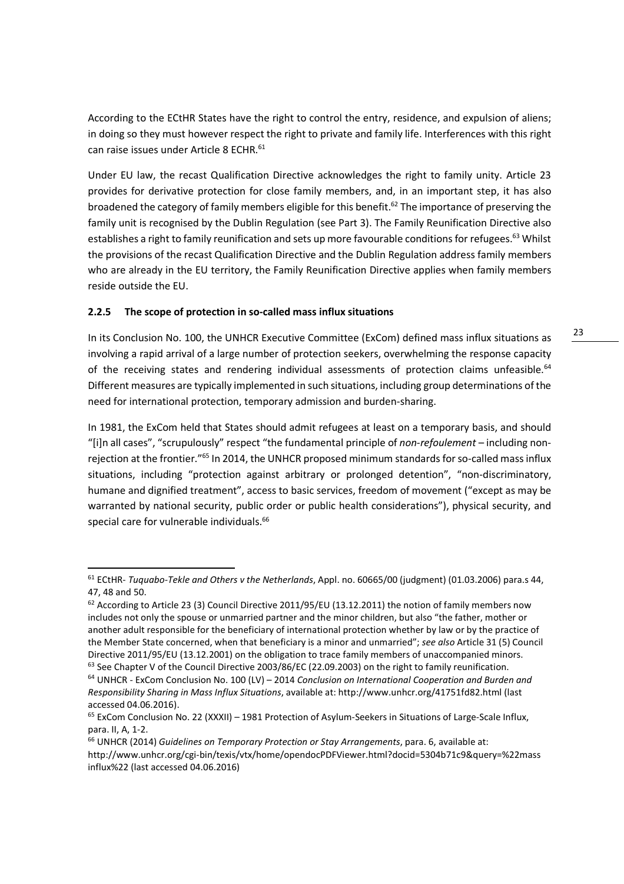According to the ECtHR States have the right to control the entry, residence, and expulsion of aliens; in doing so they must however respect the right to private and family life. Interferences with this right can raise issues under Article 8 ECHR.<sup>61</sup>

Under EU law, the recast Qualification Directive acknowledges the right to family unity. Article 23 provides for derivative protection for close family members, and, in an important step, it has also broadened the category of family members eligible for this benefit.<sup>62</sup> The importance of preserving the family unit is recognised by the Dublin Regulation (see Part 3). The Family Reunification Directive also establishes a right to family reunification and sets up more favourable conditions for refugees.<sup>63</sup> Whilst the provisions of the recast Qualification Directive and the Dublin Regulation address family members who are already in the EU territory, the Family Reunification Directive applies when family members reside outside the EU.

#### **2.2.5 The scope of protection in so-called mass influx situations**

<u>.</u>

In its Conclusion No. 100, the UNHCR Executive Committee (ExCom) defined mass influx situations as involving a rapid arrival of a large number of protection seekers, overwhelming the response capacity of the receiving states and rendering individual assessments of protection claims unfeasible.<sup>64</sup> Different measures are typically implemented in such situations, including group determinations of the need for international protection, temporary admission and burden-sharing.

In 1981, the ExCom held that States should admit refugees at least on a temporary basis, and should "[i]n all cases", "scrupulously" respect "the fundamental principle of *non-refoulement* – including nonrejection at the frontier."<sup>65</sup> In 2014, the UNHCR proposed minimum standards for so-called mass influx situations, including "protection against arbitrary or prolonged detention", "non-discriminatory, humane and dignified treatment", access to basic services, freedom of movement ("except as may be warranted by national security, public order or public health considerations"), physical security, and special care for vulnerable individuals.<sup>66</sup>

<sup>61</sup> ECtHR- *Tuquabo-Tekle and Others v the Netherlands*, Appl. no. 60665/00 (judgment) (01.03.2006) para.s 44, 47, 48 and 50.

 $62$  According to Article 23 (3) Council Directive 2011/95/EU (13.12.2011) the notion of family members now includes not only the spouse or unmarried partner and the minor children, but also "the father, mother or another adult responsible for the beneficiary of international protection whether by law or by the practice of the Member State concerned, when that beneficiary is a minor and unmarried"; *see also* Article 31 (5) Council Directive 2011/95/EU (13.12.2001) on the obligation to trace family members of unaccompanied minors.

<sup>&</sup>lt;sup>63</sup> See Chapter V of the Council Directive 2003/86/EC (22.09.2003) on the right to family reunification.

<sup>64</sup> UNHCR - ExCom Conclusion No. 100 (LV) – 2014 *Conclusion on International Cooperation and Burden and Responsibility Sharing in Mass Influx Situations*, available at: http://www.unhcr.org/41751fd82.html (last accessed 04.06.2016).

<sup>&</sup>lt;sup>65</sup> ExCom Conclusion No. 22 (XXXII) – 1981 Protection of Asylum-Seekers in Situations of Large-Scale Influx, para. II, A, 1-2.

<sup>66</sup> UNHCR (2014) *Guidelines on Temporary Protection or Stay Arrangements*, para. 6, available at: http://www.unhcr.org/cgi-bin/texis/vtx/home/opendocPDFViewer.html?docid=5304b71c9&query=%22mass influx%22 (last accessed 04.06.2016)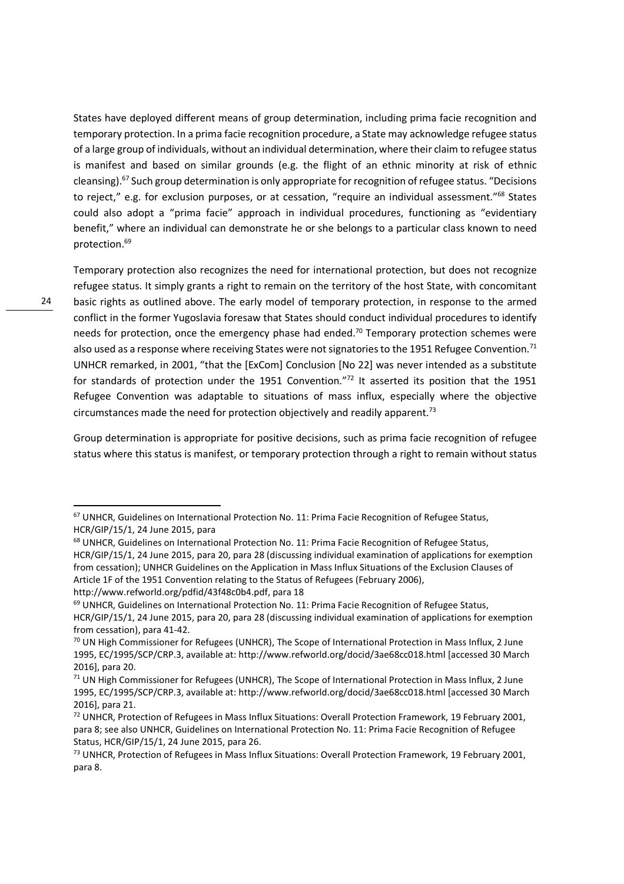States have deployed different means of group determination, including prima facie recognition and temporary protection. In a prima facie recognition procedure, a State may acknowledge refugee status of a large group of individuals, without an individual determination, where their claim to refugee status is manifest and based on similar grounds (e.g. the flight of an ethnic minority at risk of ethnic cleansing).<sup>67</sup> Such group determination is only appropriate for recognition of refugee status. "Decisions to reject," e.g. for exclusion purposes, or at cessation, "require an individual assessment."<sup>68</sup> States could also adopt a "prima facie" approach in individual procedures, functioning as "evidentiary benefit," where an individual can demonstrate he or she belongs to a particular class known to need protection.<sup>69</sup>

24

<u>.</u>

Temporary protection also recognizes the need for international protection, but does not recognize refugee status. It simply grants a right to remain on the territory of the host State, with concomitant basic rights as outlined above. The early model of temporary protection, in response to the armed conflict in the former Yugoslavia foresaw that States should conduct individual procedures to identify needs for protection, once the emergency phase had ended.<sup>70</sup> Temporary protection schemes were also used as a response where receiving States were not signatories to the 1951 Refugee Convention.<sup>71</sup> UNHCR remarked, in 2001, "that the [ExCom] Conclusion [No 22] was never intended as a substitute for standards of protection under the 1951 Convention."<sup>72</sup> It asserted its position that the 1951 Refugee Convention was adaptable to situations of mass influx, especially where the objective circumstances made the need for protection objectively and readily apparent.<sup>73</sup>

Group determination is appropriate for positive decisions, such as prima facie recognition of refugee status where this status is manifest, or temporary protection through a right to remain without status

http://www.refworld.org/pdfid/43f48c0b4.pdf, para 18

<sup>69</sup> UNHCR, Guidelines on International Protection No. 11: Prima Facie Recognition of Refugee Status, HCR/GIP/15/1, 24 June 2015, para 20, para 28 (discussing individual examination of applications for exemption from cessation), para 41-42.

<sup>67</sup> UNHCR, Guidelines on International Protection No. 11: Prima Facie Recognition of Refugee Status, HCR/GIP/15/1, 24 June 2015, para

<sup>&</sup>lt;sup>68</sup> UNHCR, Guidelines on International Protection No. 11: Prima Facie Recognition of Refugee Status, HCR/GIP/15/1, 24 June 2015, para 20, para 28 (discussing individual examination of applications for exemption from cessation); UNHCR Guidelines on the Application in Mass Influx Situations of the Exclusion Clauses of Article 1F of the 1951 Convention relating to the Status of Refugees (February 2006),

 $70$  UN High Commissioner for Refugees (UNHCR), The Scope of International Protection in Mass Influx, 2 June 1995, EC/1995/SCP/CRP.3, available at: http://www.refworld.org/docid/3ae68cc018.html [accessed 30 March 2016], para 20.

 $<sup>71</sup>$  UN High Commissioner for Refugees (UNHCR), The Scope of International Protection in Mass Influx, 2 June</sup> 1995, EC/1995/SCP/CRP.3, available at: http://www.refworld.org/docid/3ae68cc018.html [accessed 30 March 2016], para 21.

<sup>&</sup>lt;sup>72</sup> UNHCR, Protection of Refugees in Mass Influx Situations: Overall Protection Framework, 19 February 2001, para 8; see also UNHCR, Guidelines on International Protection No. 11: Prima Facie Recognition of Refugee Status, HCR/GIP/15/1, 24 June 2015, para 26.

<sup>&</sup>lt;sup>73</sup> UNHCR, Protection of Refugees in Mass Influx Situations: Overall Protection Framework, 19 February 2001, para 8.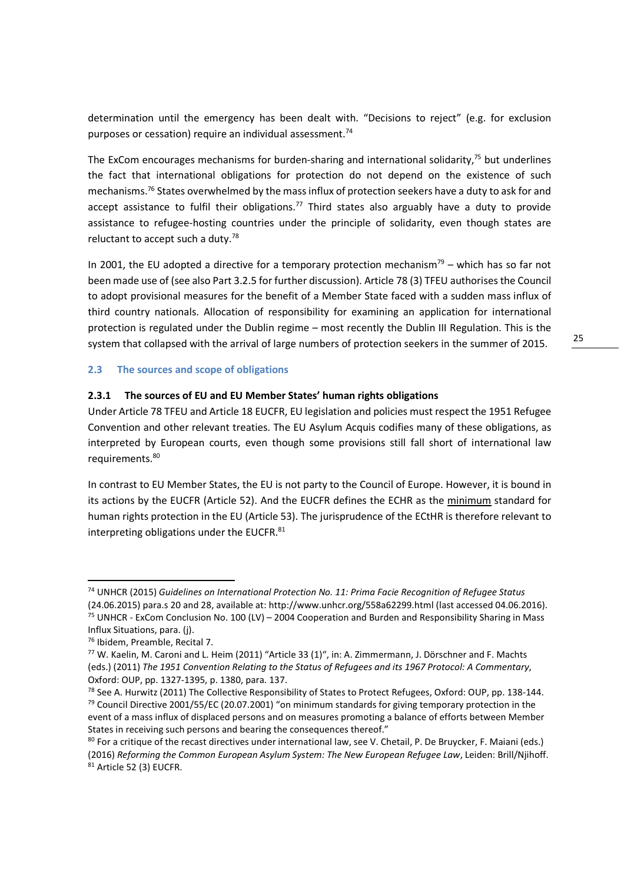determination until the emergency has been dealt with. "Decisions to reject" (e.g. for exclusion purposes or cessation) require an individual assessment.<sup>74</sup>

The ExCom encourages mechanisms for burden-sharing and international solidarity, $75$  but underlines the fact that international obligations for protection do not depend on the existence of such mechanisms.<sup>76</sup> States overwhelmed by the mass influx of protection seekers have a duty to ask for and accept assistance to fulfil their obligations.<sup>77</sup> Third states also arguably have a duty to provide assistance to refugee-hosting countries under the principle of solidarity, even though states are reluctant to accept such a duty.<sup>78</sup>

In 2001, the EU adopted a directive for a temporary protection mechanism<sup>79</sup> – which has so far not been made use of (see also Part 3.2.5 for further discussion). Article 78 (3) TFEU authorises the Council to adopt provisional measures for the benefit of a Member State faced with a sudden mass influx of third country nationals. Allocation of responsibility for examining an application for international protection is regulated under the Dublin regime – most recently the Dublin III Regulation. This is the system that collapsed with the arrival of large numbers of protection seekers in the summer of 2015.

#### **2.3 The sources and scope of obligations**

#### **2.3.1 The sources of EU and EU Member States' human rights obligations**

Under Article 78 TFEU and Article 18 EUCFR, EU legislation and policies must respect the 1951 Refugee Convention and other relevant treaties. The EU Asylum Acquis codifies many of these obligations, as interpreted by European courts, even though some provisions still fall short of international law requirements.<sup>80</sup>

In contrast to EU Member States, the EU is not party to the Council of Europe. However, it is bound in its actions by the EUCFR (Article 52). And the EUCFR defines the ECHR as the minimum standard for human rights protection in the EU (Article 53). The jurisprudence of the ECtHR is therefore relevant to interpreting obligations under the EUCFR.<sup>81</sup>

<u>.</u>

25

<sup>74</sup> UNHCR (2015) *Guidelines on International Protection No. 11: Prima Facie Recognition of Refugee Status*

<sup>(24.06.2015)</sup> para.s 20 and 28, available at: http://www.unhcr.org/558a62299.html (last accessed 04.06.2016). <sup>75</sup> UNHCR - ExCom Conclusion No. 100 (LV) – 2004 Cooperation and Burden and Responsibility Sharing in Mass Influx Situations, para. (j).

<sup>76</sup> Ibidem, Preamble, Recital 7.

 $77$  W. Kaelin, M. Caroni and L. Heim (2011) "Article 33 (1)", in: A. Zimmermann, J. Dörschner and F. Machts (eds.) (2011) *The 1951 Convention Relating to the Status of Refugees and its 1967 Protocol: A Commentary*, Oxford: OUP, pp. 1327-1395, p. 1380, para. 137.

 $78$  See A. Hurwitz (2011) The Collective Responsibility of States to Protect Refugees, Oxford: OUP, pp. 138-144.  $79$  Council Directive 2001/55/EC (20.07.2001) "on minimum standards for giving temporary protection in the event of a mass influx of displaced persons and on measures promoting a balance of efforts between Member States in receiving such persons and bearing the consequences thereof."

<sup>&</sup>lt;sup>80</sup> For a critique of the recast directives under international law, see V. Chetail, P. De Bruycker, F. Maiani (eds.) (2016) *Reforming the Common European Asylum System: The New European Refugee Law*, Leiden: Brill/Njihoff. 81 Article 52 (3) EUCFR.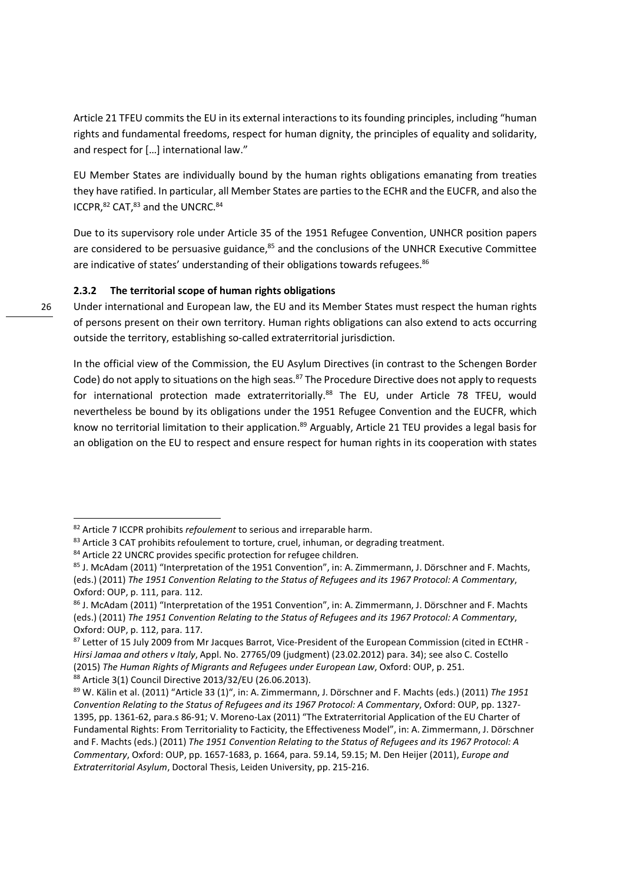Article 21 TFEU commits the EU in its external interactions to its founding principles, including "human rights and fundamental freedoms, respect for human dignity, the principles of equality and solidarity, and respect for […] international law."

EU Member States are individually bound by the human rights obligations emanating from treaties they have ratified. In particular, all Member States are parties to the ECHR and the EUCFR, and also the ICCPR, 82 CAT, 83 and the UNCRC. 84

Due to its supervisory role under Article 35 of the 1951 Refugee Convention, UNHCR position papers are considered to be persuasive guidance, $85$  and the conclusions of the UNHCR Executive Committee are indicative of states' understanding of their obligations towards refugees.<sup>86</sup>

#### **2.3.2 The territorial scope of human rights obligations**

Under international and European law, the EU and its Member States must respect the human rights of persons present on their own territory. Human rights obligations can also extend to acts occurring outside the territory, establishing so-called extraterritorial jurisdiction.

In the official view of the Commission, the EU Asylum Directives (in contrast to the Schengen Border Code) do not apply to situations on the high seas.<sup>87</sup> The Procedure Directive does not apply to requests for international protection made extraterritorially.<sup>88</sup> The EU, under Article 78 TFEU, would nevertheless be bound by its obligations under the 1951 Refugee Convention and the EUCFR, which know no territorial limitation to their application.<sup>89</sup> Arguably, Article 21 TEU provides a legal basis for an obligation on the EU to respect and ensure respect for human rights in its cooperation with states

<sup>82</sup> Article 7 ICCPR prohibits *refoulement* to serious and irreparable harm.

<sup>&</sup>lt;sup>83</sup> Article 3 CAT prohibits refoulement to torture, cruel, inhuman, or degrading treatment.

<sup>84</sup> Article 22 UNCRC provides specific protection for refugee children.

<sup>85</sup> J. McAdam (2011) "Interpretation of the 1951 Convention", in: A. Zimmermann, J. Dörschner and F. Machts, (eds.) (2011) *The 1951 Convention Relating to the Status of Refugees and its 1967 Protocol: A Commentary*, Oxford: OUP, p. 111, para. 112.

<sup>86</sup> J. McAdam (2011) "Interpretation of the 1951 Convention", in: A. Zimmermann, J. Dörschner and F. Machts (eds.) (2011) *The 1951 Convention Relating to the Status of Refugees and its 1967 Protocol: A Commentary*, Oxford: OUP, p. 112, para. 117.

<sup>87</sup> Letter of 15 July 2009 from Mr Jacques Barrot, Vice-President of the European Commission (cited in ECtHR -*Hirsi Jamaa and others v Italy*, Appl. No. 27765/09 (judgment) (23.02.2012) para. 34); see also C. Costello (2015) *The Human Rights of Migrants and Refugees under European Law*, Oxford: OUP, p. 251. <sup>88</sup> Article 3(1) Council Directive 2013/32/EU (26.06.2013).

<sup>89</sup> W. Kälin et al. (2011) "Article 33 (1)", in: A. Zimmermann, J. Dörschner and F. Machts (eds.) (2011) *The 1951 Convention Relating to the Status of Refugees and its 1967 Protocol: A Commentary*, Oxford: OUP, pp. 1327- 1395, pp. 1361-62, para.s 86-91; V. Moreno-Lax (2011) "The Extraterritorial Application of the EU Charter of Fundamental Rights: From Territoriality to Facticity, the Effectiveness Model", in: A. Zimmermann, J. Dörschner and F. Machts (eds.) (2011) *The 1951 Convention Relating to the Status of Refugees and its 1967 Protocol: A Commentary*, Oxford: OUP, pp. 1657-1683, p. 1664, para. 59.14, 59.15; M. Den Heijer (2011), *Europe and Extraterritorial Asylum*, Doctoral Thesis, Leiden University, pp. 215-216.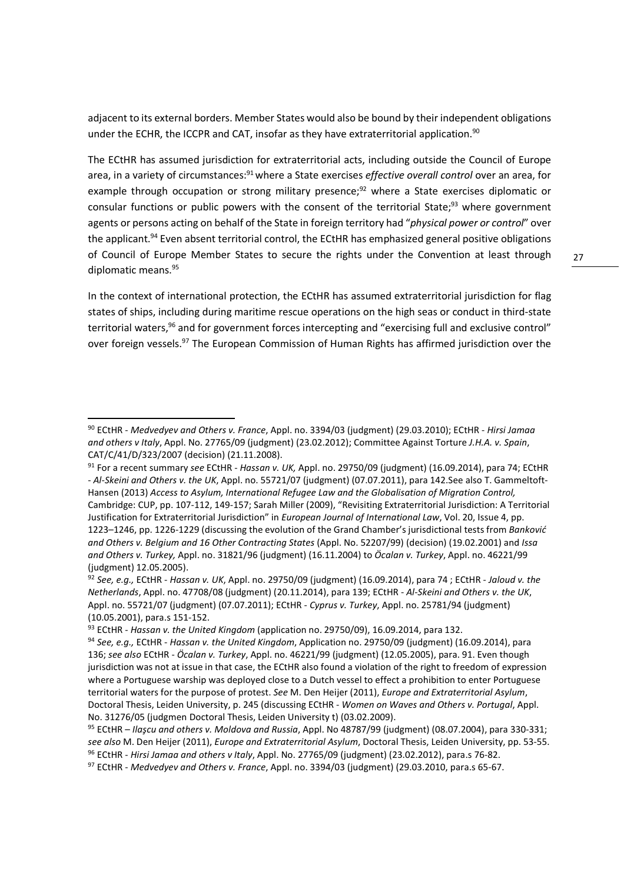adjacent to its external borders. Member States would also be bound by their independent obligations under the ECHR, the ICCPR and CAT, insofar as they have extraterritorial application.<sup>90</sup>

The ECtHR has assumed jurisdiction for extraterritorial acts, including outside the Council of Europe area, in a variety of circumstances:<sup>91</sup> where a State exercises *effective overall control* over an area, for example through occupation or strong military presence;<sup>92</sup> where a State exercises diplomatic or consular functions or public powers with the consent of the territorial State; $93$  where government agents or persons acting on behalf of the State in foreign territory had "*physical power or control*" over the applicant.<sup>94</sup> Even absent territorial control, the ECtHR has emphasized general positive obligations of Council of Europe Member States to secure the rights under the Convention at least through diplomatic means.<sup>95</sup>

In the context of international protection, the ECtHR has assumed extraterritorial jurisdiction for flag states of ships, including during maritime rescue operations on the high seas or conduct in third-state territorial waters,<sup>96</sup> and for government forces intercepting and "exercising full and exclusive control" over foreign vessels.<sup>97</sup> The European Commission of Human Rights has affirmed jurisdiction over the

<sup>90</sup> ECtHR - *Medvedyev and Others v. France*, Appl. no. 3394/03 (judgment) (29.03.2010); ECtHR - *Hirsi Jamaa and others v Italy*, Appl. No. 27765/09 (judgment) (23.02.2012); Committee Against Torture *J.H.A. v. Spain*, CAT/C/41/D/323/2007 (decision) (21.11.2008).

<sup>91</sup> For a recent summary *see* ECtHR - *Hassan v. UK,* Appl. no. 29750/09 (judgment) (16.09.2014), para 74; ECtHR - *Al-Skeini and Others v. the UK*, Appl. no. 55721/07 (judgment) (07.07.2011), para 142.See also T. Gammeltoft-Hansen (2013) *Access to Asylum, International Refugee Law and the Globalisation of Migration Control,*  Cambridge: CUP, pp. 107-112, 149-157; Sarah Miller (2009), "Revisiting Extraterritorial Jurisdiction: A Territorial Justification for Extraterritorial Jurisdiction" in *European Journal of International Law*, Vol. 20, Issue 4, pp. 1223–1246, pp. 1226-1229 (discussing the evolution of the Grand Chamber's jurisdictional tests from *Banković and Others v. Belgium and 16 Other Contracting States* (Appl. No. 52207/99) (decision) (19.02.2001) and *Issa and Others v. Turkey,* Appl. no. 31821/96 (judgment) (16.11.2004) to *Öcalan v. Turkey*, Appl. no. 46221/99 (judgment) 12.05.2005).

<sup>92</sup> *See, e.g.,* ECtHR - *Hassan v. UK*, Appl. no. 29750/09 (judgment) (16.09.2014), para 74 ; ECtHR - *Jaloud v. the Netherlands*, Appl. no. 47708/08 (judgment) (20.11.2014), para 139; ECtHR - *Al-Skeini and Others v. the UK*, Appl. no. 55721/07 (judgment) (07.07.2011); ECtHR - *Cyprus v. Turkey*, Appl. no. 25781/94 (judgment) (10.05.2001), para.s 151-152.

<sup>93</sup> ECtHR - *Hassan v. the United Kingdom* (application no. 29750/09), 16.09.2014, para 132.

<sup>94</sup> *See, e.g.,* ECtHR - *Hassan v. the United Kingdom*, Application no. 29750/09 (judgment) (16.09.2014), para 136; *see also* ECtHR - *Öcalan v. Turkey*, Appl. no. 46221/99 (judgment) (12.05.2005), para. 91. Even though jurisdiction was not at issue in that case, the ECtHR also found a violation of the right to freedom of expression where a Portuguese warship was deployed close to a Dutch vessel to effect a prohibition to enter Portuguese territorial waters for the purpose of protest. *See* M. Den Heijer (2011), *Europe and Extraterritorial Asylum*, Doctoral Thesis, Leiden University, p. 245 (discussing ECtHR - *Women on Waves and Others v. Portugal*, Appl. No. 31276/05 (judgmen Doctoral Thesis, Leiden University t) (03.02.2009).

<sup>95</sup> ECtHR – *Ilaşcu and others v. Moldova and Russia*, Appl. No 48787/99 (judgment) (08.07.2004), para 330-331; *see also* M. Den Heijer (2011), *Europe and Extraterritorial Asylum*, Doctoral Thesis, Leiden University, pp. 53-55. <sup>96</sup> ECtHR - *Hirsi Jamaa and others v Italy*, Appl. No. 27765/09 (judgment) (23.02.2012), para.s 76-82.

<sup>97</sup> ECtHR - *Medvedyev and Others v. France*, Appl. no. 3394/03 (judgment) (29.03.2010, para.s 65-67.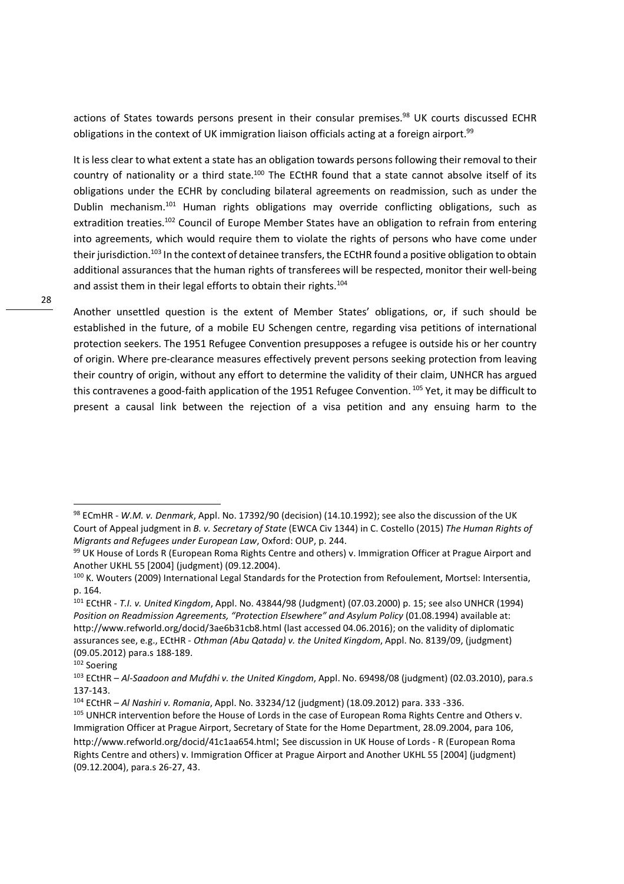actions of States towards persons present in their consular premises.<sup>98</sup> UK courts discussed ECHR obligations in the context of UK immigration liaison officials acting at a foreign airport.<sup>99</sup>

It is less clear to what extent a state has an obligation towards persons following their removal to their country of nationality or a third state.<sup>100</sup> The ECtHR found that a state cannot absolve itself of its obligations under the ECHR by concluding bilateral agreements on readmission, such as under the Dublin mechanism.<sup>101</sup> Human rights obligations may override conflicting obligations, such as extradition treaties.<sup>102</sup> Council of Europe Member States have an obligation to refrain from entering into agreements, which would require them to violate the rights of persons who have come under their jurisdiction.<sup>103</sup> In the context of detainee transfers, the ECtHR found a positive obligation to obtain additional assurances that the human rights of transferees will be respected, monitor their well-being and assist them in their legal efforts to obtain their rights.<sup>104</sup>

Another unsettled question is the extent of Member States' obligations, or, if such should be established in the future, of a mobile EU Schengen centre, regarding visa petitions of international protection seekers. The 1951 Refugee Convention presupposes a refugee is outside his or her country of origin. Where pre-clearance measures effectively prevent persons seeking protection from leaving their country of origin, without any effort to determine the validity of their claim, UNHCR has argued this contravenes a good-faith application of the 1951 Refugee Convention.<sup>105</sup> Yet, it may be difficult to present a causal link between the rejection of a visa petition and any ensuing harm to the

<sup>98</sup> ECmHR - *W.M. v. Denmark*, Appl. No. 17392/90 (decision) (14.10.1992); see also the discussion of the UK Court of Appeal judgment in *B. v. Secretary of State* (EWCA Civ 1344) in C. Costello (2015) *The Human Rights of Migrants and Refugees under European Law*, Oxford: OUP, p. 244.

<sup>99</sup> UK House of Lords R (European Roma Rights Centre and others) v. Immigration Officer at Prague Airport and Another UKHL 55 [2004] (judgment) (09.12.2004).

<sup>100</sup> K. Wouters (2009) International Legal Standards for the Protection from Refoulement, Mortsel: Intersentia, p. 164.

<sup>101</sup> ECtHR - *T.I. v. United Kingdom*, Appl. No. 43844/98 (Judgment) (07.03.2000) p. 15; see also UNHCR (1994) *Position on Readmission Agreements, "Protection Elsewhere" and Asylum Policy* (01.08.1994) available at: http://www.refworld.org/docid/3ae6b31cb8.html (last accessed 04.06.2016); on the validity of diplomatic assurances see, e.g., ECtHR - *Othman (Abu Qatada) v. the United Kingdom*, Appl. No. 8139/09, (judgment) (09.05.2012) para.s 188-189.

<sup>102</sup> Soering

<sup>103</sup> ECtHR – *Al-Saadoon and Mufdhi v. the United Kingdom*, Appl. No. 69498/08 (judgment) (02.03.2010), para.s 137-143.

<sup>104</sup> ECtHR – *Al Nashiri v. Romania*, Appl. No. 33234/12 (judgment) (18.09.2012) para. 333 -336.

<sup>105</sup> UNHCR intervention before the House of Lords in the case of European Roma Rights Centre and Others v. Immigration Officer at Prague Airport, Secretary of State for the Home Department, 28.09.2004, para 106, http://www.refworld.org/docid/41c1aa654.html; See discussion in UK House of Lords - R (European Roma Rights Centre and others) v. Immigration Officer at Prague Airport and Another UKHL 55 [2004] (judgment) (09.12.2004), para.s 26-27, 43.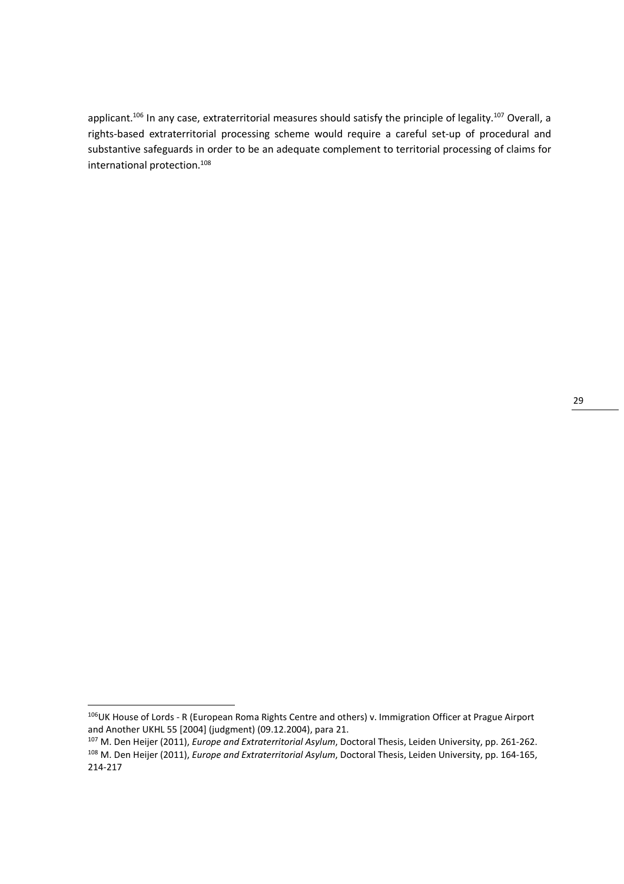applicant.<sup>106</sup> In any case, extraterritorial measures should satisfy the principle of legality.<sup>107</sup> Overall, a rights-based extraterritorial processing scheme would require a careful set-up of procedural and substantive safeguards in order to be an adequate complement to territorial processing of claims for international protection.<sup>108</sup>

<sup>&</sup>lt;sup>106</sup>UK House of Lords - R (European Roma Rights Centre and others) v. Immigration Officer at Prague Airport and Another UKHL 55 [2004] (judgment) (09.12.2004), para 21.

<sup>107</sup> M. Den Heijer (2011), *Europe and Extraterritorial Asylum*, Doctoral Thesis, Leiden University, pp. 261-262. <sup>108</sup> M. Den Heijer (2011), *Europe and Extraterritorial Asylum*, Doctoral Thesis, Leiden University, pp. 164-165, 214-217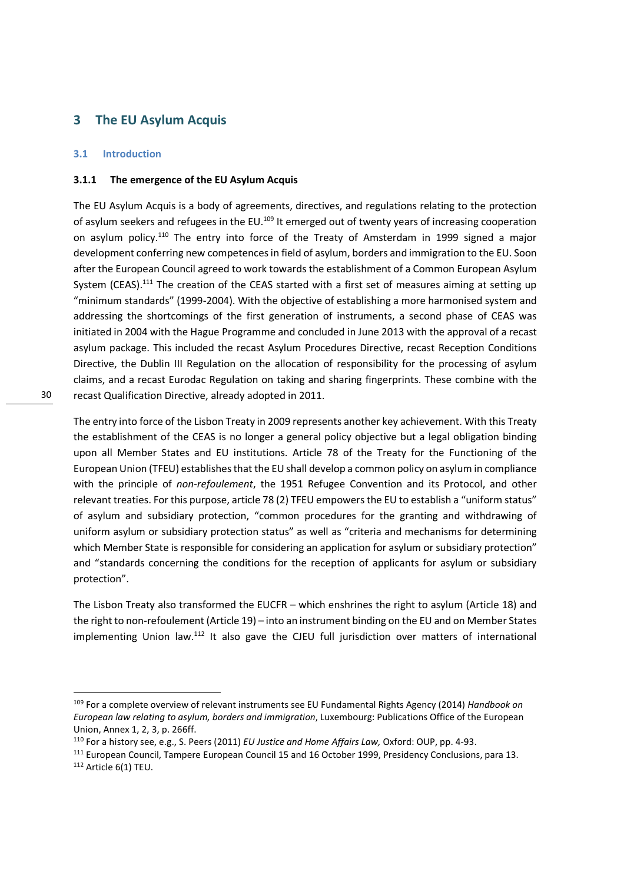# **3 The EU Asylum Acquis**

#### **3.1 Introduction**

#### **3.1.1 The emergence of the EU Asylum Acquis**

The EU Asylum Acquis is a body of agreements, directives, and regulations relating to the protection of asylum seekers and refugees in the EU.<sup>109</sup> It emerged out of twenty years of increasing cooperation on asylum policy.<sup>110</sup> The entry into force of the Treaty of Amsterdam in 1999 signed a major development conferring new competences in field of asylum, borders and immigration to the EU. Soon after the European Council agreed to work towards the establishment of a Common European Asylum System (CEAS).<sup>111</sup> The creation of the CEAS started with a first set of measures aiming at setting up "minimum standards" (1999-2004). With the objective of establishing a more harmonised system and addressing the shortcomings of the first generation of instruments, a second phase of CEAS was initiated in 2004 with the Hague Programme and concluded in June 2013 with the approval of a recast asylum package. This included the recast Asylum Procedures Directive, recast Reception Conditions Directive, the Dublin III Regulation on the allocation of responsibility for the processing of asylum claims, and a recast Eurodac Regulation on taking and sharing fingerprints. These combine with the recast Qualification Directive, already adopted in 2011.

30

The entry into force of the Lisbon Treaty in 2009 represents another key achievement. With this Treaty the establishment of the CEAS is no longer a general policy objective but a legal obligation binding upon all Member States and EU institutions. Article 78 of the Treaty for the Functioning of the European Union (TFEU) establishes that the EU shall develop a common policy on asylum in compliance with the principle of *non-refoulement*, the 1951 Refugee Convention and its Protocol, and other relevant treaties. For this purpose, article 78 (2) TFEU empowers the EU to establish a "uniform status" of asylum and subsidiary protection, "common procedures for the granting and withdrawing of uniform asylum or subsidiary protection status" as well as "criteria and mechanisms for determining which Member State is responsible for considering an application for asylum or subsidiary protection" and "standards concerning the conditions for the reception of applicants for asylum or subsidiary protection".

The Lisbon Treaty also transformed the EUCFR – which enshrines the right to asylum (Article 18) and the right to non-refoulement (Article 19) – into an instrument binding on the EU and on Member States implementing Union law.<sup>112</sup> It also gave the CJEU full jurisdiction over matters of international

<sup>109</sup> For a complete overview of relevant instruments see EU Fundamental Rights Agency (2014) *Handbook on European law relating to asylum, borders and immigration*, Luxembourg: Publications Office of the European Union, Annex 1, 2, 3, p. 266ff.

<sup>110</sup> For a history see, e.g., S. Peers (2011) *EU Justice and Home Affairs Law,* Oxford: OUP, pp. 4-93.

<sup>111</sup> European Council, Tampere European Council 15 and 16 October 1999, Presidency Conclusions, para 13.

<sup>112</sup> Article 6(1) TEU.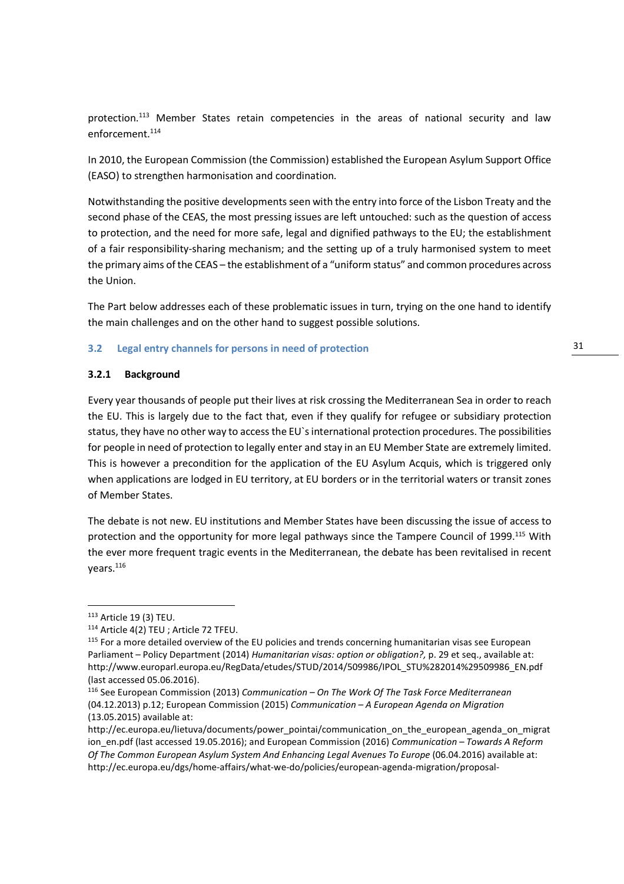protection.<sup>113</sup> Member States retain competencies in the areas of national security and law enforcement.<sup>114</sup>

In 2010, the European Commission (the Commission) established the European Asylum Support Office (EASO) to strengthen harmonisation and coordination.

Notwithstanding the positive developments seen with the entry into force of the Lisbon Treaty and the second phase of the CEAS, the most pressing issues are left untouched: such as the question of access to protection, and the need for more safe, legal and dignified pathways to the EU; the establishment of a fair responsibility-sharing mechanism; and the setting up of a truly harmonised system to meet the primary aims of the CEAS – the establishment of a "uniform status" and common procedures across the Union.

The Part below addresses each of these problematic issues in turn, trying on the one hand to identify the main challenges and on the other hand to suggest possible solutions.

#### **3.2 Legal entry channels for persons in need of protection**

#### **3.2.1 Background**

Every year thousands of people put their lives at risk crossing the Mediterranean Sea in order to reach the EU. This is largely due to the fact that, even if they qualify for refugee or subsidiary protection status, they have no other way to access the EU`s international protection procedures. The possibilities for people in need of protection to legally enter and stay in an EU Member State are extremely limited. This is however a precondition for the application of the EU Asylum Acquis, which is triggered only when applications are lodged in EU territory, at EU borders or in the territorial waters or transit zones of Member States.

The debate is not new. EU institutions and Member States have been discussing the issue of access to protection and the opportunity for more legal pathways since the Tampere Council of 1999.<sup>115</sup> With the ever more frequent tragic events in the Mediterranean, the debate has been revitalised in recent years.<sup>116</sup>

<sup>113</sup> Article 19 (3) TEU.

<sup>114</sup> Article 4(2) TEU ; Article 72 TFEU.

<sup>&</sup>lt;sup>115</sup> For a more detailed overview of the EU policies and trends concerning humanitarian visas see European Parliament – Policy Department (2014) *Humanitarian visas: option or obligation?,* p. 29 et seq., available at: http://www.europarl.europa.eu/RegData/etudes/STUD/2014/509986/IPOL\_STU%282014%29509986\_EN.pdf (last accessed 05.06.2016).

<sup>116</sup> See European Commission (2013) *Communication – On The Work Of The Task Force Mediterranean* (04.12.2013) p.12; European Commission (2015) *Communication – A European Agenda on Migration* (13.05.2015) available at:

http://ec.europa.eu/lietuva/documents/power\_pointai/communication\_on\_the\_european\_agenda\_on\_migrat ion\_en.pdf (last accessed 19.05.2016); and European Commission (2016) *Communication – Towards A Reform Of The Common European Asylum System And Enhancing Legal Avenues To Europe* (06.04.2016) available at: http://ec.europa.eu/dgs/home-affairs/what-we-do/policies/european-agenda-migration/proposal-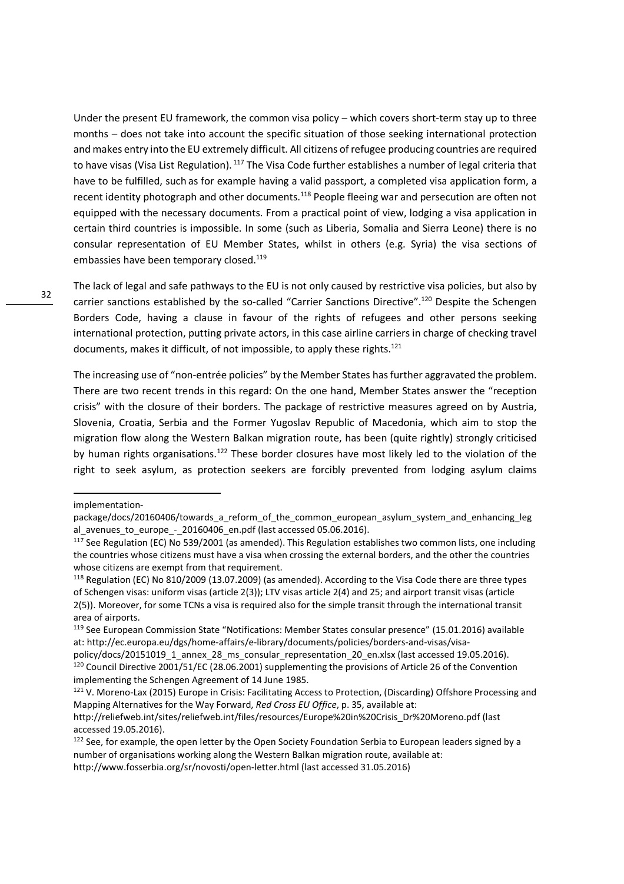Under the present EU framework, the common visa policy – which covers short-term stay up to three months – does not take into account the specific situation of those seeking international protection and makes entry into the EU extremely difficult. All citizens of refugee producing countries are required to have visas (Visa List Regulation).<sup>117</sup> The Visa Code further establishes a number of legal criteria that have to be fulfilled, such as for example having a valid passport, a completed visa application form, a recent identity photograph and other documents.<sup>118</sup> People fleeing war and persecution are often not equipped with the necessary documents. From a practical point of view, lodging a visa application in certain third countries is impossible. In some (such as Liberia, Somalia and Sierra Leone) there is no consular representation of EU Member States, whilst in others (e.g. Syria) the visa sections of embassies have been temporary closed.<sup>119</sup>

The lack of legal and safe pathways to the EU is not only caused by restrictive visa policies, but also by carrier sanctions established by the so-called "Carrier Sanctions Directive".<sup>120</sup> Despite the Schengen Borders Code, having a clause in favour of the rights of refugees and other persons seeking international protection, putting private actors, in this case airline carriers in charge of checking travel documents, makes it difficult, of not impossible, to apply these rights. $121$ 

The increasing use of "non-entrée policies" by the Member States has further aggravated the problem. There are two recent trends in this regard: On the one hand, Member States answer the "reception crisis" with the closure of their borders. The package of restrictive measures agreed on by Austria, Slovenia, Croatia, Serbia and the Former Yugoslav Republic of Macedonia, which aim to stop the migration flow along the Western Balkan migration route, has been (quite rightly) strongly criticised by human rights organisations.<sup>122</sup> These border closures have most likely led to the violation of the right to seek asylum, as protection seekers are forcibly prevented from lodging asylum claims

implementation-

package/docs/20160406/towards a reform of the common european asylum system and enhancing leg al avenues to europe - 20160406 en.pdf (last accessed 05.06.2016).

<sup>&</sup>lt;sup>117</sup> See Regulation (EC) No 539/2001 (as amended). This Regulation establishes two common lists, one including the countries whose citizens must have a visa when crossing the external borders, and the other the countries whose citizens are exempt from that requirement.

<sup>118</sup> Regulation (EC) No 810/2009 (13.07.2009) (as amended). According to the Visa Code there are three types of Schengen visas: uniform visas (article 2(3)); LTV visas article 2(4) and 25; and airport transit visas (article 2(5)). Moreover, for some TCNs a visa is required also for the simple transit through the international transit area of airports.

<sup>119</sup> See European Commission State "Notifications: Member States consular presence" (15.01.2016) available at: http://ec.europa.eu/dgs/home-affairs/e-library/documents/policies/borders-and-visas/visa-

policy/docs/20151019\_1\_annex\_28\_ms\_consular\_representation\_20\_en.xlsx (last accessed 19.05.2016). <sup>120</sup> Council Directive 2001/51/EC (28.06.2001) supplementing the provisions of Article 26 of the Convention implementing the Schengen Agreement of 14 June 1985.

<sup>121</sup> V. Moreno-Lax (2015) Europe in Crisis: Facilitating Access to Protection, (Discarding) Offshore Processing and Mapping Alternatives for the Way Forward, *Red Cross EU Office*, p. 35, available at:

http://reliefweb.int/sites/reliefweb.int/files/resources/Europe%20in%20Crisis\_Dr%20Moreno.pdf (last accessed 19.05.2016).

<sup>&</sup>lt;sup>122</sup> See, for example, the open letter by the Open Society Foundation Serbia to European leaders signed by a number of organisations working along the Western Balkan migration route, available at: http://www.fosserbia.org/sr/novosti/open-letter.html (last accessed 31.05.2016)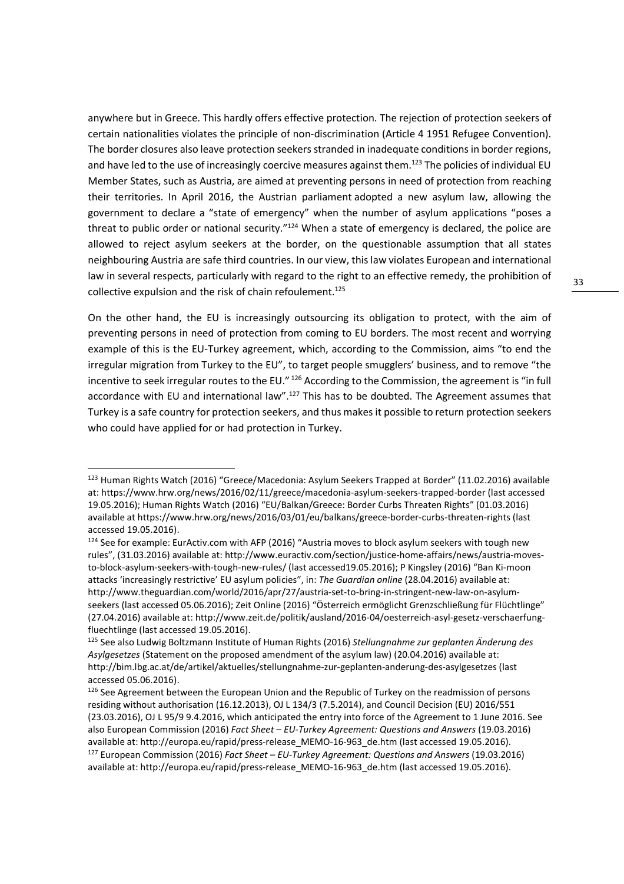anywhere but in Greece. This hardly offers effective protection. The rejection of protection seekers of certain nationalities violates the principle of non-discrimination (Article 4 1951 Refugee Convention). The border closures also leave protection seekers stranded in inadequate conditions in border regions, and have led to the use of increasingly coercive measures against them.<sup>123</sup> The policies of individual EU Member States, such as Austria, are aimed at preventing persons in need of protection from reaching their territories. In April 2016, the Austrian parliament adopted a new asylum law, allowing the government to declare a "state of emergency" when the number of asylum applications "poses a threat to public order or national security."<sup>124</sup> When a state of emergency is declared, the police are allowed to reject asylum seekers at the border, on the questionable assumption that all states neighbouring Austria are safe third countries. In our view, this law violates European and international law in several respects, particularly with regard to the right to an effective remedy, the prohibition of collective expulsion and the risk of chain refoulement.<sup>125</sup>

On the other hand, the EU is increasingly outsourcing its obligation to protect, with the aim of preventing persons in need of protection from coming to EU borders. The most recent and worrying example of this is the EU-Turkey agreement, which, according to the Commission, aims "to end the irregular migration from Turkey to the EU", to target people smugglers' business, and to remove "the incentive to seek irregular routes to the EU." 126 According to the Commission, the agreement is "in full accordance with EU and international law".<sup>127</sup> This has to be doubted. The Agreement assumes that Turkey is a safe country for protection seekers, and thus makes it possible to return protection seekers who could have applied for or had protection in Turkey.

<sup>123</sup> Human Rights Watch (2016) "Greece/Macedonia: Asylum Seekers Trapped at Border" (11.02.2016) available at: https://www.hrw.org/news/2016/02/11/greece/macedonia-asylum-seekers-trapped-border (last accessed 19.05.2016); Human Rights Watch (2016) "EU/Balkan/Greece: Border Curbs Threaten Rights" (01.03.2016) available at https://www.hrw.org/news/2016/03/01/eu/balkans/greece-border-curbs-threaten-rights (last accessed 19.05.2016).

<sup>&</sup>lt;sup>124</sup> See for example: EurActiv.com with AFP (2016) "Austria moves to block asylum seekers with tough new rules", (31.03.2016) available at: http://www.euractiv.com/section/justice-home-affairs/news/austria-movesto-block-asylum-seekers-with-tough-new-rules/ (last accessed19.05.2016); P Kingsley (2016) "Ban Ki-moon attacks 'increasingly restrictive' EU asylum policies", in: *The Guardian online* (28.04.2016) available at: http://www.theguardian.com/world/2016/apr/27/austria-set-to-bring-in-stringent-new-law-on-asylumseekers (last accessed 05.06.2016); Zeit Online (2016) "Österreich ermöglicht Grenzschließung für Flüchtlinge" (27.04.2016) available at: http://www.zeit.de/politik/ausland/2016-04/oesterreich-asyl-gesetz-verschaerfungfluechtlinge (last accessed 19.05.2016).

<sup>125</sup> See also Ludwig Boltzmann Institute of Human Rights (2016) *Stellungnahme zur geplanten Änderung des Asylgesetzes* (Statement on the proposed amendment of the asylum law) (20.04.2016) available at: http://bim.lbg.ac.at/de/artikel/aktuelles/stellungnahme-zur-geplanten-anderung-des-asylgesetzes (last accessed 05.06.2016).

<sup>&</sup>lt;sup>126</sup> See Agreement between the European Union and the Republic of Turkey on the readmission of persons residing without authorisation (16.12.2013), OJ L 134/3 (7.5.2014), and Council Decision (EU) 2016/551 (23.03.2016), OJ L 95/9 9.4.2016, which anticipated the entry into force of the Agreement to 1 June 2016. See also European Commission (2016) *Fact Sheet* – *EU-Turkey Agreement: Questions and Answers* (19.03.2016) available at: http://europa.eu/rapid/press-release\_MEMO-16-963\_de.htm (last accessed 19.05.2016). <sup>127</sup> European Commission (2016) *Fact Sheet* – *EU-Turkey Agreement: Questions and Answers* (19.03.2016)

available at: http://europa.eu/rapid/press-release\_MEMO-16-963\_de.htm (last accessed 19.05.2016).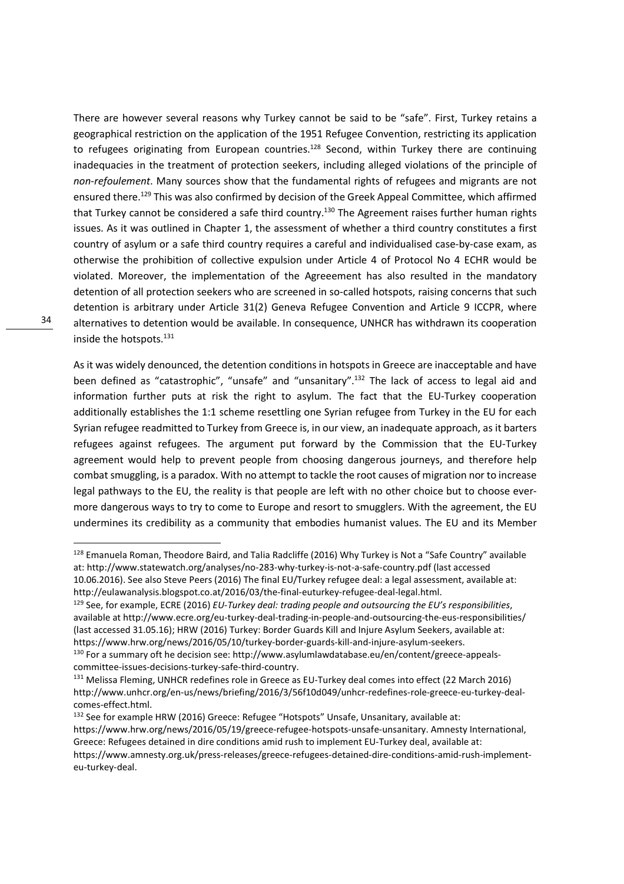There are however several reasons why Turkey cannot be said to be "safe". First, Turkey retains a geographical restriction on the application of the 1951 Refugee Convention, restricting its application to refugees originating from European countries.<sup>128</sup> Second, within Turkey there are continuing inadequacies in the treatment of protection seekers, including alleged violations of the principle of *non-refoulement*. Many sources show that the fundamental rights of refugees and migrants are not ensured there.<sup>129</sup> This was also confirmed by decision of the Greek Appeal Committee, which affirmed that Turkey cannot be considered a safe third country.<sup>130</sup> The Agreement raises further human rights issues. As it was outlined in Chapter 1, the assessment of whether a third country constitutes a first country of asylum or a safe third country requires a careful and individualised case-by-case exam, as otherwise the prohibition of collective expulsion under Article 4 of Protocol No 4 ECHR would be violated. Moreover, the implementation of the Agreeement has also resulted in the mandatory detention of all protection seekers who are screened in so-called hotspots, raising concerns that such detention is arbitrary under Article 31(2) Geneva Refugee Convention and Article 9 ICCPR, where alternatives to detention would be available. In consequence, UNHCR has withdrawn its cooperation inside the hotspots.<sup>131</sup>

As it was widely denounced, the detention conditions in hotspots in Greece are inacceptable and have been defined as "catastrophic", "unsafe" and "unsanitary".<sup>132</sup> The lack of access to legal aid and information further puts at risk the right to asylum. The fact that the EU-Turkey cooperation additionally establishes the 1:1 scheme resettling one Syrian refugee from Turkey in the EU for each Syrian refugee readmitted to Turkey from Greece is, in our view, an inadequate approach, as it barters refugees against refugees. The argument put forward by the Commission that the EU-Turkey agreement would help to prevent people from choosing dangerous journeys, and therefore help combat smuggling, is a paradox. With no attempt to tackle the root causes of migration nor to increase legal pathways to the EU, the reality is that people are left with no other choice but to choose evermore dangerous ways to try to come to Europe and resort to smugglers. With the agreement, the EU undermines its credibility as a community that embodies humanist values. The EU and its Member

<sup>&</sup>lt;sup>128</sup> Emanuela Roman, Theodore Baird, and Talia Radcliffe (2016) Why Turkey is Not a "Safe Country" available at: http://www.statewatch.org/analyses/no-283-why-turkey-is-not-a-safe-country.pdf (last accessed 10.06.2016). See also Steve Peers (2016) The final EU/Turkey refugee deal: a legal assessment, available at:

http://eulawanalysis.blogspot.co.at/2016/03/the-final-euturkey-refugee-deal-legal.html.

<sup>129</sup> See, for example, ECRE (2016) *EU-Turkey deal: trading people and outsourcing the EU's responsibilities*, available at http://www.ecre.org/eu-turkey-deal-trading-in-people-and-outsourcing-the-eus-responsibilities/ (last accessed 31.05.16); HRW (2016) Turkey: Border Guards Kill and Injure Asylum Seekers, available at: https://www.hrw.org/news/2016/05/10/turkey-border-guards-kill-and-injure-asylum-seekers.

<sup>130</sup> For a summary oft he decision see: http://www.asylumlawdatabase.eu/en/content/greece-appealscommittee-issues-decisions-turkey-safe-third-country.

<sup>&</sup>lt;sup>131</sup> Melissa Fleming, UNHCR redefines role in Greece as EU-Turkey deal comes into effect (22 March 2016) http://www.unhcr.org/en-us/news/briefing/2016/3/56f10d049/unhcr-redefines-role-greece-eu-turkey-dealcomes-effect.html.

<sup>132</sup> See for example HRW (2016) Greece: Refugee "Hotspots" Unsafe, Unsanitary, available at: https://www.hrw.org/news/2016/05/19/greece-refugee-hotspots-unsafe-unsanitary. Amnesty International, Greece: Refugees detained in dire conditions amid rush to implement EU-Turkey deal, available at: https://www.amnesty.org.uk/press-releases/greece-refugees-detained-dire-conditions-amid-rush-implementeu-turkey-deal.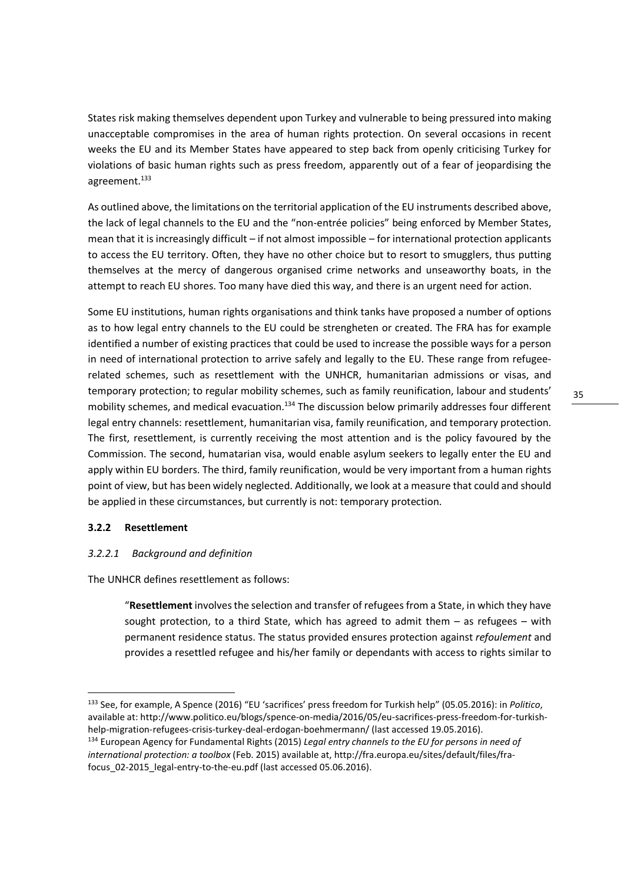States risk making themselves dependent upon Turkey and vulnerable to being pressured into making unacceptable compromises in the area of human rights protection. On several occasions in recent weeks the EU and its Member States have appeared to step back from openly criticising Turkey for violations of basic human rights such as press freedom, apparently out of a fear of jeopardising the agreement.<sup>133</sup>

As outlined above, the limitations on the territorial application of the EU instruments described above, the lack of legal channels to the EU and the "non-entrée policies" being enforced by Member States, mean that it is increasingly difficult – if not almost impossible – for international protection applicants to access the EU territory. Often, they have no other choice but to resort to smugglers, thus putting themselves at the mercy of dangerous organised crime networks and unseaworthy boats, in the attempt to reach EU shores. Too many have died this way, and there is an urgent need for action.

Some EU institutions, human rights organisations and think tanks have proposed a number of options as to how legal entry channels to the EU could be strengheten or created. The FRA has for example identified a number of existing practices that could be used to increase the possible ways for a person in need of international protection to arrive safely and legally to the EU. These range from refugeerelated schemes, such as resettlement with the UNHCR, humanitarian admissions or visas, and temporary protection; to regular mobility schemes, such as family reunification, labour and students' mobility schemes, and medical evacuation.<sup>134</sup> The discussion below primarily addresses four different legal entry channels: resettlement, humanitarian visa, family reunification, and temporary protection. The first, resettlement, is currently receiving the most attention and is the policy favoured by the Commission. The second, humatarian visa, would enable asylum seekers to legally enter the EU and apply within EU borders. The third, family reunification, would be very important from a human rights point of view, but has been widely neglected. Additionally, we look at a measure that could and should be applied in these circumstances, but currently is not: temporary protection.

#### **3.2.2 Resettlement**

<u>.</u>

#### *3.2.2.1 Background and definition*

The UNHCR defines resettlement as follows:

"**Resettlement** involves the selection and transfer of refugees from a State, in which they have sought protection, to a third State, which has agreed to admit them – as refugees – with permanent residence status. The status provided ensures protection against *refoulement* and provides a resettled refugee and his/her family or dependants with access to rights similar to

<sup>133</sup> See, for example, A Spence (2016) "EU 'sacrifices' press freedom for Turkish help" (05.05.2016): in *Politico*, available at: http://www.politico.eu/blogs/spence-on-media/2016/05/eu-sacrifices-press-freedom-for-turkishhelp-migration-refugees-crisis-turkey-deal-erdogan-boehmermann/ (last accessed 19.05.2016).

<sup>134</sup> European Agency for Fundamental Rights (2015) *Legal entry channels to the EU for persons in need of international protection: a toolbox* (Feb. 2015) available at, http://fra.europa.eu/sites/default/files/frafocus\_02-2015\_legal-entry-to-the-eu.pdf (last accessed 05.06.2016).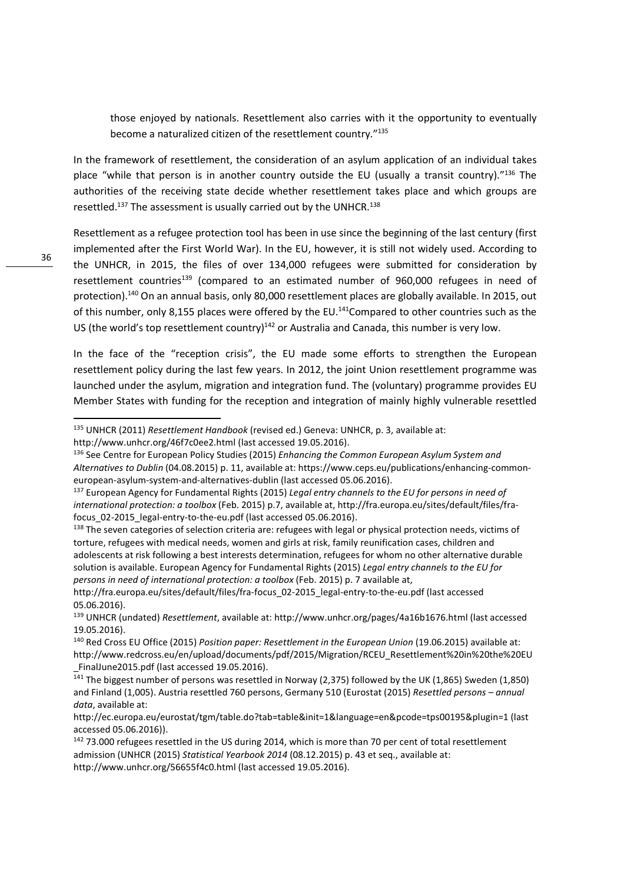those enjoyed by nationals. Resettlement also carries with it the opportunity to eventually become a naturalized citizen of the resettlement country."<sup>135</sup>

In the framework of resettlement, the consideration of an asylum application of an individual takes place "while that person is in another country outside the EU (usually a transit country)."136 The authorities of the receiving state decide whether resettlement takes place and which groups are resettled.<sup>137</sup> The assessment is usually carried out by the UNHCR.<sup>138</sup>

Resettlement as a refugee protection tool has been in use since the beginning of the last century (first implemented after the First World War). In the EU, however, it is still not widely used. According to the UNHCR, in 2015, the files of over 134,000 refugees were submitted for consideration by resettlement countries<sup>139</sup> (compared to an estimated number of  $960,000$  refugees in need of protection).<sup>140</sup> On an annual basis, only 80,000 resettlement places are globally available. In 2015, out of this number, only 8,155 places were offered by the EU.<sup>141</sup>Compared to other countries such as the US (the world's top resettlement country)<sup>142</sup> or Australia and Canada, this number is very low.

In the face of the "reception crisis", the EU made some efforts to strengthen the European resettlement policy during the last few years. In 2012, the joint Union resettlement programme was launched under the asylum, migration and integration fund. The (voluntary) programme provides EU Member States with funding for the reception and integration of mainly highly vulnerable resettled

<sup>135</sup> UNHCR (2011) *Resettlement Handbook* (revised ed.) Geneva: UNHCR, p. 3, available at:

http://www.unhcr.org/46f7c0ee2.html (last accessed 19.05.2016).

<sup>136</sup> See Centre for European Policy Studies (2015) *Enhancing the Common European Asylum System and Alternatives to Dublin* (04.08.2015) p. 11, available at: https://www.ceps.eu/publications/enhancing-commoneuropean-asylum-system-and-alternatives-dublin (last accessed 05.06.2016).

<sup>137</sup> European Agency for Fundamental Rights (2015) *Legal entry channels to the EU for persons in need of international protection: a toolbox* (Feb. 2015) p.7, available at, http://fra.europa.eu/sites/default/files/frafocus 02-2015 legal-entry-to-the-eu.pdf (last accessed 05.06.2016).

<sup>&</sup>lt;sup>138</sup> The seven categories of selection criteria are: refugees with legal or physical protection needs, victims of torture, refugees with medical needs, women and girls at risk, family reunification cases, children and adolescents at risk following a best interests determination, refugees for whom no other alternative durable solution is available. European Agency for Fundamental Rights (2015) *Legal entry channels to the EU for persons in need of international protection: a toolbox* (Feb. 2015) p. 7 available at,

http://fra.europa.eu/sites/default/files/fra-focus\_02-2015\_legal-entry-to-the-eu.pdf (last accessed 05.06.2016).

<sup>139</sup> UNHCR (undated) *Resettlement*, available at: http://www.unhcr.org/pages/4a16b1676.html (last accessed 19.05.2016).

<sup>140</sup> Red Cross EU Office (2015) *Position paper: Resettlement in the European Union* (19.06.2015) available at: http://www.redcross.eu/en/upload/documents/pdf/2015/Migration/RCEU\_Resettlement%20in%20the%20EU \_FinalJune2015.pdf (last accessed 19.05.2016).

 $\frac{1}{141}$  The biggest number of persons was resettled in Norway (2,375) followed by the UK (1,865) Sweden (1,850) and Finland (1,005). Austria resettled 760 persons, Germany 510 (Eurostat (2015) *Resettled persons – annual data*, available at:

http://ec.europa.eu/eurostat/tgm/table.do?tab=table&init=1&language=en&pcode=tps00195&plugin=1 (last accessed 05.06.2016)).

<sup>&</sup>lt;sup>142</sup> 73.000 refugees resettled in the US during 2014, which is more than 70 per cent of total resettlement admission (UNHCR (2015) *Statistical Yearbook 2014* (08.12.2015) p. 43 et seq., available at: http://www.unhcr.org/56655f4c0.html (last accessed 19.05.2016).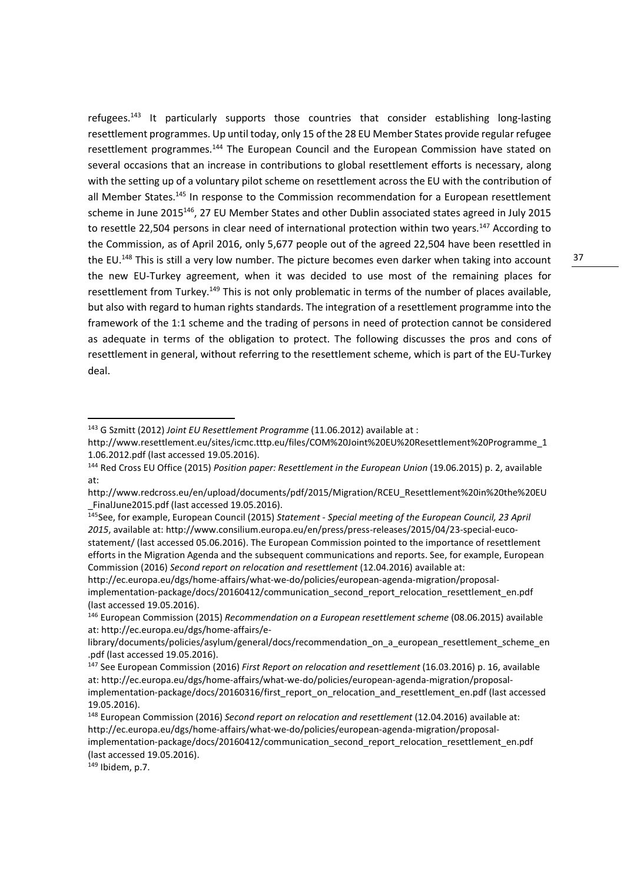refugees.<sup>143</sup> It particularly supports those countries that consider establishing long-lasting resettlement programmes. Up until today, only 15 of the 28 EU Member States provide regular refugee resettlement programmes.<sup>144</sup> The European Council and the European Commission have stated on several occasions that an increase in contributions to global resettlement efforts is necessary, along with the setting up of a voluntary pilot scheme on resettlement across the EU with the contribution of all Member States.<sup>145</sup> In response to the Commission recommendation for a European resettlement scheme in June 2015<sup>146</sup>, 27 EU Member States and other Dublin associated states agreed in July 2015 to resettle 22,504 persons in clear need of international protection within two years.<sup>147</sup> According to the Commission, as of April 2016, only 5,677 people out of the agreed 22,504 have been resettled in the EU.<sup>148</sup> This is still a very low number. The picture becomes even darker when taking into account the new EU-Turkey agreement, when it was decided to use most of the remaining places for resettlement from Turkey.<sup>149</sup> This is not only problematic in terms of the number of places available, but also with regard to human rights standards. The integration of a resettlement programme into the framework of the 1:1 scheme and the trading of persons in need of protection cannot be considered as adequate in terms of the obligation to protect. The following discusses the pros and cons of resettlement in general, without referring to the resettlement scheme, which is part of the EU-Turkey deal.

149 Ibidem, p.7.

<sup>143</sup> G Szmitt (2012) *Joint EU Resettlement Programme* (11.06.2012) available at :

http://www.resettlement.eu/sites/icmc.tttp.eu/files/COM%20Joint%20EU%20Resettlement%20Programme\_1 1.06.2012.pdf (last accessed 19.05.2016).

<sup>144</sup> Red Cross EU Office (2015) *Position paper: Resettlement in the European Union* (19.06.2015) p. 2, available at:

http://www.redcross.eu/en/upload/documents/pdf/2015/Migration/RCEU\_Resettlement%20in%20the%20EU FinalJune2015.pdf (last accessed 19.05.2016).

<sup>145</sup>See, for example, European Council (2015) *Statement* - *Special meeting of the European Council, 23 April 2015*, available at: http://www.consilium.europa.eu/en/press/press-releases/2015/04/23-special-eucostatement/ (last accessed 05.06.2016). The European Commission pointed to the importance of resettlement efforts in the Migration Agenda and the subsequent communications and reports. See, for example, European Commission (2016) *Second report on relocation and resettlement* (12.04.2016) available at:

http://ec.europa.eu/dgs/home-affairs/what-we-do/policies/european-agenda-migration/proposalimplementation-package/docs/20160412/communication\_second\_report\_relocation\_resettlement\_en.pdf (last accessed 19.05.2016).

<sup>146</sup> European Commission (2015) *Recommendation on a European resettlement scheme* (08.06.2015) available at: http://ec.europa.eu/dgs/home-affairs/e-

library/documents/policies/asylum/general/docs/recommendation\_on\_a\_european\_resettlement\_scheme\_en .pdf (last accessed 19.05.2016).

<sup>147</sup> See European Commission (2016) *First Report on relocation and resettlement* (16.03.2016) p. 16, available at: http://ec.europa.eu/dgs/home-affairs/what-we-do/policies/european-agenda-migration/proposalimplementation-package/docs/20160316/first\_report\_on\_relocation\_and\_resettlement\_en.pdf (last accessed 19.05.2016).

<sup>148</sup> European Commission (2016) *Second report on relocation and resettlement* (12.04.2016) available at: http://ec.europa.eu/dgs/home-affairs/what-we-do/policies/european-agenda-migration/proposalimplementation-package/docs/20160412/communication\_second\_report\_relocation\_resettlement\_en.pdf (last accessed 19.05.2016).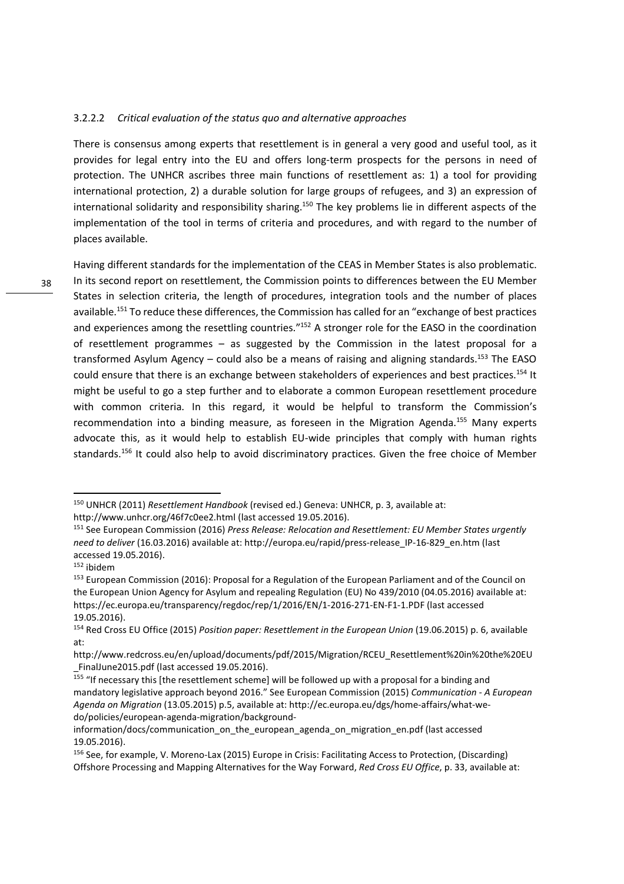#### 3.2.2.2 *Critical evaluation of the status quo and alternative approaches*

There is consensus among experts that resettlement is in general a very good and useful tool, as it provides for legal entry into the EU and offers long-term prospects for the persons in need of protection. The UNHCR ascribes three main functions of resettlement as: 1) a tool for providing international protection, 2) a durable solution for large groups of refugees, and 3) an expression of international solidarity and responsibility sharing.<sup>150</sup> The key problems lie in different aspects of the implementation of the tool in terms of criteria and procedures, and with regard to the number of places available.

Having different standards for the implementation of the CEAS in Member States is also problematic. In its second report on resettlement, the Commission points to differences between the EU Member States in selection criteria, the length of procedures, integration tools and the number of places available.<sup>151</sup> To reduce these differences, the Commission has called for an "exchange of best practices and experiences among the resettling countries."<sup>152</sup> A stronger role for the EASO in the coordination of resettlement programmes – as suggested by the Commission in the latest proposal for a transformed Asylum Agency – could also be a means of raising and aligning standards.<sup>153</sup> The EASO could ensure that there is an exchange between stakeholders of experiences and best practices.<sup>154</sup> It might be useful to go a step further and to elaborate a common European resettlement procedure with common criteria. In this regard, it would be helpful to transform the Commission's recommendation into a binding measure, as foreseen in the Migration Agenda.<sup>155</sup> Many experts advocate this, as it would help to establish EU-wide principles that comply with human rights standards.<sup>156</sup> It could also help to avoid discriminatory practices. Given the free choice of Member

<sup>150</sup> UNHCR (2011) *Resettlement Handbook* (revised ed.) Geneva: UNHCR, p. 3, available at: http://www.unhcr.org/46f7c0ee2.html (last accessed 19.05.2016).

<sup>151</sup> See European Commission (2016) *Press Release: Relocation and Resettlement: EU Member States urgently need to deliver* (16.03.2016) available at: http://europa.eu/rapid/press-release\_IP-16-829\_en.htm (last accessed 19.05.2016).

 $152$  ibidem

<sup>153</sup> European Commission (2016): Proposal for a Regulation of the European Parliament and of the Council on the European Union Agency for Asylum and repealing Regulation (EU) No 439/2010 (04.05.2016) available at: https://ec.europa.eu/transparency/regdoc/rep/1/2016/EN/1-2016-271-EN-F1-1.PDF (last accessed 19.05.2016).

<sup>154</sup> Red Cross EU Office (2015) *Position paper: Resettlement in the European Union* (19.06.2015) p. 6, available at:

http://www.redcross.eu/en/upload/documents/pdf/2015/Migration/RCEU\_Resettlement%20in%20the%20EU \_FinalJune2015.pdf (last accessed 19.05.2016).

 $155$  "If necessary this [the resettlement scheme] will be followed up with a proposal for a binding and mandatory legislative approach beyond 2016." See European Commission (2015) *Communication - A European Agenda on Migration* (13.05.2015) p.5, available at: http://ec.europa.eu/dgs/home-affairs/what-wedo/policies/european-agenda-migration/background-

information/docs/communication\_on\_the\_european\_agenda\_on\_migration\_en.pdf (last accessed 19.05.2016).

<sup>156</sup> See, for example, V. Moreno-Lax (2015) Europe in Crisis: Facilitating Access to Protection, (Discarding) Offshore Processing and Mapping Alternatives for the Way Forward, *Red Cross EU Office*, p. 33, available at: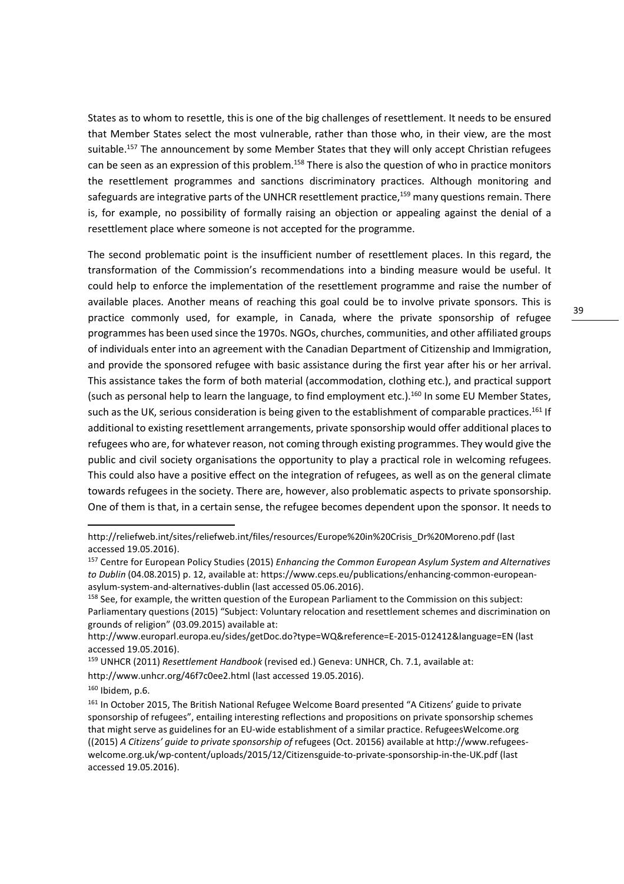States as to whom to resettle, this is one of the big challenges of resettlement. It needs to be ensured that Member States select the most vulnerable, rather than those who, in their view, are the most suitable.<sup>157</sup> The announcement by some Member States that they will only accept Christian refugees can be seen as an expression of this problem.<sup>158</sup> There is also the question of who in practice monitors the resettlement programmes and sanctions discriminatory practices. Although monitoring and safeguards are integrative parts of the UNHCR resettlement practice,<sup>159</sup> many questions remain. There is, for example, no possibility of formally raising an objection or appealing against the denial of a resettlement place where someone is not accepted for the programme.

The second problematic point is the insufficient number of resettlement places. In this regard, the transformation of the Commission's recommendations into a binding measure would be useful. It could help to enforce the implementation of the resettlement programme and raise the number of available places. Another means of reaching this goal could be to involve private sponsors. This is practice commonly used, for example, in Canada, where the private sponsorship of refugee programmes has been used since the 1970s. NGOs, churches, communities, and other affiliated groups of individuals enter into an agreement with the Canadian Department of Citizenship and Immigration, and provide the sponsored refugee with basic assistance during the first year after his or her arrival. This assistance takes the form of both material (accommodation, clothing etc.), and practical support (such as personal help to learn the language, to find employment etc.).<sup>160</sup> In some EU Member States, such as the UK, serious consideration is being given to the establishment of comparable practices.<sup>161</sup> If additional to existing resettlement arrangements, private sponsorship would offer additional places to refugees who are, for whatever reason, not coming through existing programmes. They would give the public and civil society organisations the opportunity to play a practical role in welcoming refugees. This could also have a positive effect on the integration of refugees, as well as on the general climate towards refugees in the society. There are, however, also problematic aspects to private sponsorship. One of them is that, in a certain sense, the refugee becomes dependent upon the sponsor. It needs to

http://www.unhcr.org/46f7c0ee2.html (last accessed 19.05.2016).

http://reliefweb.int/sites/reliefweb.int/files/resources/Europe%20in%20Crisis\_Dr%20Moreno.pdf (last accessed 19.05.2016).

<sup>157</sup> Centre for European Policy Studies (2015) *Enhancing the Common European Asylum System and Alternatives to Dublin* (04.08.2015) p. 12, available at: https://www.ceps.eu/publications/enhancing-common-europeanasylum-system-and-alternatives-dublin (last accessed 05.06.2016).

<sup>&</sup>lt;sup>158</sup> See, for example, the written question of the European Parliament to the Commission on this subject: Parliamentary questions (2015) "Subject: Voluntary relocation and resettlement schemes and discrimination on grounds of religion" (03.09.2015) available at:

http://www.europarl.europa.eu/sides/getDoc.do?type=WQ&reference=E-2015-012412&language=EN (last accessed 19.05.2016).

<sup>159</sup> UNHCR (2011) *Resettlement Handbook* (revised ed.) Geneva: UNHCR, Ch. 7.1, available at:

 $160$  Ibidem, p.6.

<sup>&</sup>lt;sup>161</sup> In October 2015, The British National Refugee Welcome Board presented "A Citizens' guide to private sponsorship of refugees", entailing interesting reflections and propositions on private sponsorship schemes that might serve as guidelines for an EU-wide establishment of a similar practice. RefugeesWelcome.org ((2015) *A Citizens' guide to private sponsorship of* refugees (Oct. 20156) available at http://www.refugeeswelcome.org.uk/wp-content/uploads/2015/12/Citizensguide-to-private-sponsorship-in-the-UK.pdf (last accessed 19.05.2016).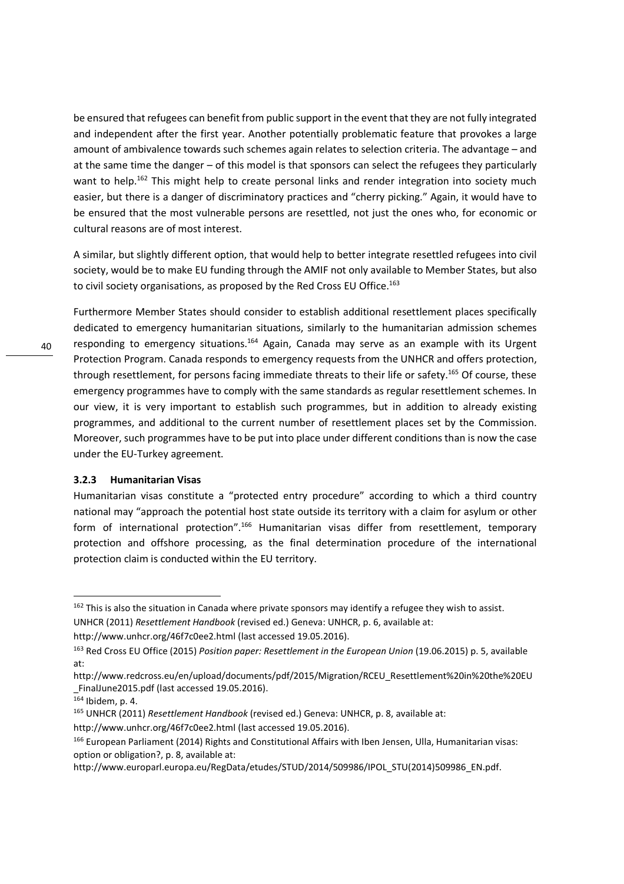be ensured that refugees can benefit from public support in the event that they are not fully integrated and independent after the first year. Another potentially problematic feature that provokes a large amount of ambivalence towards such schemes again relates to selection criteria. The advantage – and at the same time the danger – of this model is that sponsors can select the refugees they particularly want to help.<sup>162</sup> This might help to create personal links and render integration into society much easier, but there is a danger of discriminatory practices and "cherry picking." Again, it would have to be ensured that the most vulnerable persons are resettled, not just the ones who, for economic or cultural reasons are of most interest.

A similar, but slightly different option, that would help to better integrate resettled refugees into civil society, would be to make EU funding through the AMIF not only available to Member States, but also to civil society organisations, as proposed by the Red Cross EU Office.<sup>163</sup>

Furthermore Member States should consider to establish additional resettlement places specifically dedicated to emergency humanitarian situations, similarly to the humanitarian admission schemes responding to emergency situations.<sup>164</sup> Again, Canada may serve as an example with its Urgent Protection Program. Canada responds to emergency requests from the UNHCR and offers protection, through resettlement, for persons facing immediate threats to their life or safety.<sup>165</sup> Of course, these emergency programmes have to comply with the same standards as regular resettlement schemes. In our view, it is very important to establish such programmes, but in addition to already existing programmes, and additional to the current number of resettlement places set by the Commission. Moreover, such programmes have to be put into place under different conditions than is now the case under the EU-Turkey agreement.

#### **3.2.3 Humanitarian Visas**

Humanitarian visas constitute a "protected entry procedure" according to which a third country national may "approach the potential host state outside its territory with a claim for asylum or other form of international protection".<sup>166</sup> Humanitarian visas differ from resettlement, temporary protection and offshore processing, as the final determination procedure of the international protection claim is conducted within the EU territory.

<sup>&</sup>lt;sup>162</sup> This is also the situation in Canada where private sponsors may identify a refugee they wish to assist. UNHCR (2011) *Resettlement Handbook* (revised ed.) Geneva: UNHCR, p. 6, available at:

http://www.unhcr.org/46f7c0ee2.html (last accessed 19.05.2016).

<sup>163</sup> Red Cross EU Office (2015) *Position paper: Resettlement in the European Union* (19.06.2015) p. 5, available at:

http://www.redcross.eu/en/upload/documents/pdf/2015/Migration/RCEU\_Resettlement%20in%20the%20EU \_FinalJune2015.pdf (last accessed 19.05.2016).

 $164$  Ibidem, p. 4.

<sup>165</sup> UNHCR (2011) *Resettlement Handbook* (revised ed.) Geneva: UNHCR, p. 8, available at:

http://www.unhcr.org/46f7c0ee2.html (last accessed 19.05.2016).

<sup>166</sup> European Parliament (2014) Rights and Constitutional Affairs with Iben Jensen, Ulla, Humanitarian visas: option or obligation?, p. 8, available at:

http://www.europarl.europa.eu/RegData/etudes/STUD/2014/509986/IPOL\_STU(2014)509986\_EN.pdf.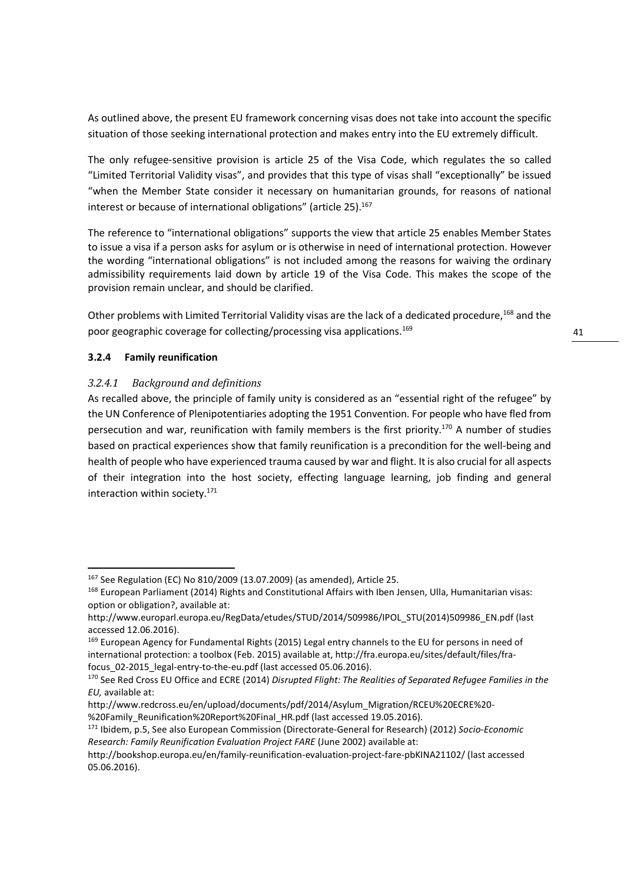As outlined above, the present EU framework concerning visas does not take into account the specific situation of those seeking international protection and makes entry into the EU extremely difficult.

The only refugee-sensitive provision is article 25 of the Visa Code, which regulates the so called "Limited Territorial Validity visas", and provides that this type of visas shall "exceptionally" be issued "when the Member State consider it necessary on humanitarian grounds, for reasons of national interest or because of international obligations" (article 25).<sup>167</sup>

The reference to "international obligations" supports the view that article 25 enables Member States to issue a visa if a person asks for asylum or is otherwise in need of international protection. However the wording "international obligations" is not included among the reasons for waiving the ordinary admissibility requirements laid down by article 19 of the Visa Code. This makes the scope of the provision remain unclear, and should be clarified.

Other problems with Limited Territorial Validity visas are the lack of a dedicated procedure,<sup>168</sup> and the poor geographic coverage for collecting/processing visa applications.<sup>169</sup>

# **3.2.4 Family reunification**

<u>.</u>

## *3.2.4.1 Background and definitions*

As recalled above, the principle of family unity is considered as an "essential right of the refugee" by the UN Conference of Plenipotentiaries adopting the 1951 Convention. For people who have fled from persecution and war, reunification with family members is the first priority.<sup>170</sup> A number of studies based on practical experiences show that family reunification is a precondition for the well-being and health of people who have experienced trauma caused by war and flight. It is also crucial for all aspects of their integration into the host society, effecting language learning, job finding and general interaction within society.<sup>171</sup>

<sup>167</sup> See Regulation (EC) No 810/2009 (13.07.2009) (as amended), Article 25.

<sup>168</sup> European Parliament (2014) Rights and Constitutional Affairs with Iben Jensen, Ulla, Humanitarian visas: option or obligation?, available at:

http://www.europarl.europa.eu/RegData/etudes/STUD/2014/509986/IPOL\_STU(2014)509986\_EN.pdf (last accessed 12.06.2016).

<sup>&</sup>lt;sup>169</sup> European Agency for Fundamental Rights (2015) Legal entry channels to the EU for persons in need of international protection: a toolbox (Feb. 2015) available at, http://fra.europa.eu/sites/default/files/frafocus 02-2015 legal-entry-to-the-eu.pdf (last accessed 05.06.2016).

<sup>170</sup> See Red Cross EU Office and ECRE (2014) *Disrupted Flight: The Realities of Separated Refugee Families in the EU,* available at:

http://www.redcross.eu/en/upload/documents/pdf/2014/Asylum\_Migration/RCEU%20ECRE%20- %20Family\_Reunification%20Report%20Final\_HR.pdf (last accessed 19.05.2016).

<sup>171</sup> Ibidem, p.5, See also European Commission (Directorate-General for Research) (2012) *Socio-Economic Research: Family Reunification Evaluation Project FARE* (June 2002) available at:

http://bookshop.europa.eu/en/family-reunification-evaluation-project-fare-pbKINA21102/ (last accessed 05.06.2016).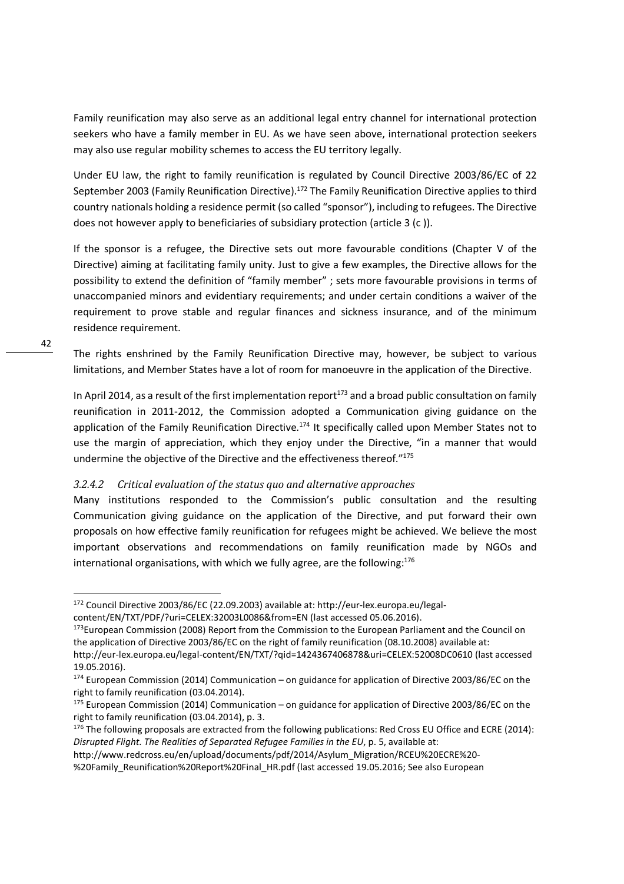Family reunification may also serve as an additional legal entry channel for international protection seekers who have a family member in EU. As we have seen above, international protection seekers may also use regular mobility schemes to access the EU territory legally.

Under EU law, the right to family reunification is regulated by Council Directive 2003/86/EC of 22 September 2003 (Family Reunification Directive).<sup>172</sup> The Family Reunification Directive applies to third country nationals holding a residence permit (so called "sponsor"), including to refugees. The Directive does not however apply to beneficiaries of subsidiary protection (article 3 (c )).

If the sponsor is a refugee, the Directive sets out more favourable conditions (Chapter V of the Directive) aiming at facilitating family unity. Just to give a few examples, the Directive allows for the possibility to extend the definition of "family member" ; sets more favourable provisions in terms of unaccompanied minors and evidentiary requirements; and under certain conditions a waiver of the requirement to prove stable and regular finances and sickness insurance, and of the minimum residence requirement.

The rights enshrined by the Family Reunification Directive may, however, be subject to various limitations, and Member States have a lot of room for manoeuvre in the application of the Directive.

In April 2014, as a result of the first implementation report<sup>173</sup> and a broad public consultation on family reunification in 2011-2012, the Commission adopted a Communication giving guidance on the application of the Family Reunification Directive.<sup>174</sup> It specifically called upon Member States not to use the margin of appreciation, which they enjoy under the Directive, "in a manner that would undermine the objective of the Directive and the effectiveness thereof."<sup>175</sup>

# *3.2.4.2 Critical evaluation of the status quo and alternative approaches*

Many institutions responded to the Commission's public consultation and the resulting Communication giving guidance on the application of the Directive, and put forward their own proposals on how effective family reunification for refugees might be achieved. We believe the most important observations and recommendations on family reunification made by NGOs and international organisations, with which we fully agree, are the following: $176$ 

<sup>172</sup> Council Directive 2003/86/EC (22.09.2003) available at: http://eur-lex.europa.eu/legal-

content/EN/TXT/PDF/?uri=CELEX:32003L0086&from=EN (last accessed 05.06.2016).

<sup>&</sup>lt;sup>173</sup>European Commission (2008) Report from the Commission to the European Parliament and the Council on the application of Directive 2003/86/EC on the right of family reunification (08.10.2008) available at: http://eur-lex.europa.eu/legal-content/EN/TXT/?qid=1424367406878&uri=CELEX:52008DC0610 (last accessed 19.05.2016).

<sup>174</sup> European Commission (2014) Communication – on guidance for application of Directive 2003/86/EC on the right to family reunification (03.04.2014).

 $175$  European Commission (2014) Communication – on guidance for application of Directive 2003/86/EC on the right to family reunification (03.04.2014), p. 3.

<sup>176</sup> The following proposals are extracted from the following publications: Red Cross EU Office and ECRE (2014): *Disrupted Flight. The Realities of Separated Refugee Families in the EU*, p. 5, available at:

http://www.redcross.eu/en/upload/documents/pdf/2014/Asylum\_Migration/RCEU%20ECRE%20- %20Family\_Reunification%20Report%20Final\_HR.pdf (last accessed 19.05.2016; See also European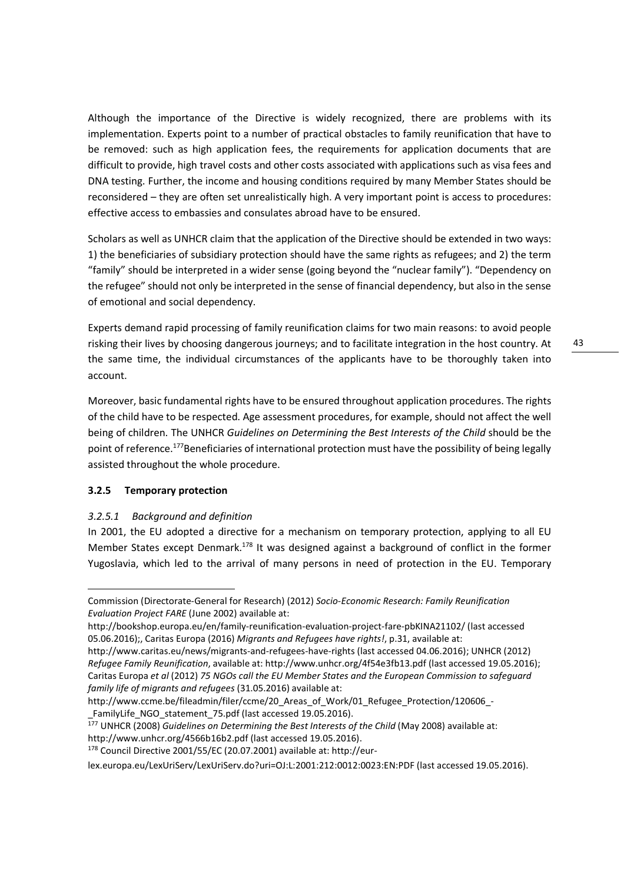Although the importance of the Directive is widely recognized, there are problems with its implementation. Experts point to a number of practical obstacles to family reunification that have to be removed: such as high application fees, the requirements for application documents that are difficult to provide, high travel costs and other costs associated with applications such as visa fees and DNA testing. Further, the income and housing conditions required by many Member States should be reconsidered – they are often set unrealistically high. A very important point is access to procedures: effective access to embassies and consulates abroad have to be ensured.

Scholars as well as UNHCR claim that the application of the Directive should be extended in two ways: 1) the beneficiaries of subsidiary protection should have the same rights as refugees; and 2) the term "family" should be interpreted in a wider sense (going beyond the "nuclear family"). "Dependency on the refugee" should not only be interpreted in the sense of financial dependency, but also in the sense of emotional and social dependency.

Experts demand rapid processing of family reunification claims for two main reasons: to avoid people risking their lives by choosing dangerous journeys; and to facilitate integration in the host country. At the same time, the individual circumstances of the applicants have to be thoroughly taken into account.

Moreover, basic fundamental rights have to be ensured throughout application procedures. The rights of the child have to be respected. Age assessment procedures, for example, should not affect the well being of children. The UNHCR *Guidelines on Determining the Best Interests of the Child* should be the point of reference.<sup>177</sup>Beneficiaries of international protection must have the possibility of being legally assisted throughout the whole procedure.

# **3.2.5 Temporary protection**

<u>.</u>

# *3.2.5.1 Background and definition*

In 2001, the EU adopted a directive for a mechanism on temporary protection, applying to all EU Member States except Denmark.<sup>178</sup> It was designed against a background of conflict in the former Yugoslavia, which led to the arrival of many persons in need of protection in the EU. Temporary

<sup>177</sup> UNHCR (2008) *Guidelines on Determining the Best Interests of the Child* (May 2008) available at: http://www.unhcr.org/4566b16b2.pdf (last accessed 19.05.2016).

lex.europa.eu/LexUriServ/LexUriServ.do?uri=OJ:L:2001:212:0012:0023:EN:PDF (last accessed 19.05.2016).

Commission (Directorate-General for Research) (2012) *Socio-Economic Research: Family Reunification Evaluation Project FARE* (June 2002) available at:

http://bookshop.europa.eu/en/family-reunification-evaluation-project-fare-pbKINA21102/ (last accessed 05.06.2016);, Caritas Europa (2016) *Migrants and Refugees have rights!*, p.31, available at:

http://www.caritas.eu/news/migrants-and-refugees-have-rights (last accessed 04.06.2016); UNHCR (2012) *Refugee Family Reunification*, available at: http://www.unhcr.org/4f54e3fb13.pdf (last accessed 19.05.2016); Caritas Europa *et al* (2012) *75 NGOs call the EU Member States and the European Commission to safeguard family life of migrants and refugees* (31.05.2016) available at:

http://www.ccme.be/fileadmin/filer/ccme/20\_Areas\_of\_Work/01\_Refugee\_Protection/120606\_- \_FamilyLife\_NGO\_statement\_75.pdf (last accessed 19.05.2016).

<sup>178</sup> Council Directive 2001/55/EC (20.07.2001) available at: http://eur-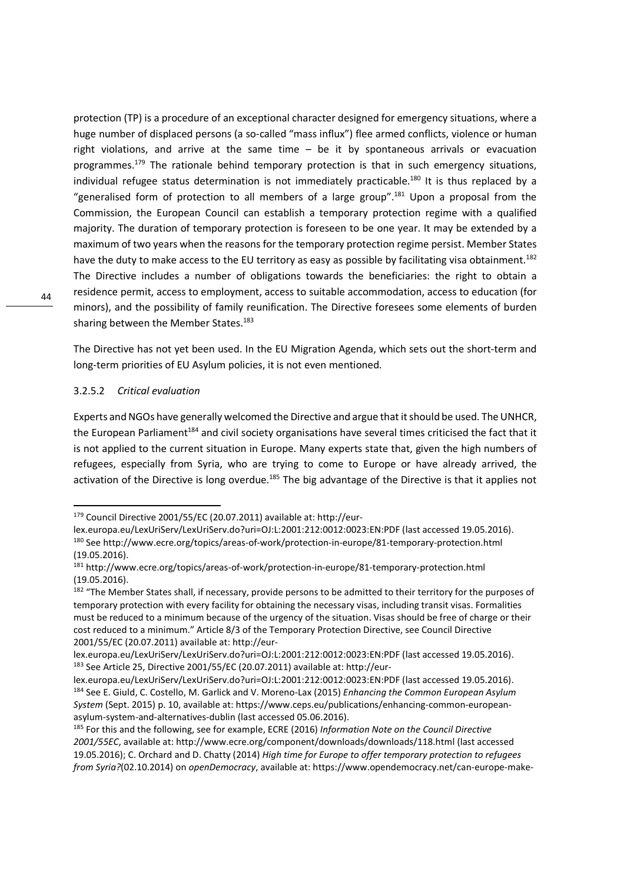protection (TP) is a procedure of an exceptional character designed for emergency situations, where a huge number of displaced persons (a so-called "mass influx") flee armed conflicts, violence or human right violations, and arrive at the same time – be it by spontaneous arrivals or evacuation programmes.<sup>179</sup> The rationale behind temporary protection is that in such emergency situations, individual refugee status determination is not immediately practicable.<sup>180</sup> It is thus replaced by a "generalised form of protection to all members of a large group".<sup>181</sup> Upon a proposal from the Commission, the European Council can establish a temporary protection regime with a qualified majority. The duration of temporary protection is foreseen to be one year. It may be extended by a maximum of two years when the reasons for the temporary protection regime persist. Member States have the duty to make access to the EU territory as easy as possible by facilitating visa obtainment.<sup>182</sup> The Directive includes a number of obligations towards the beneficiaries: the right to obtain a residence permit, access to employment, access to suitable accommodation, access to education (for minors), and the possibility of family reunification. The Directive foresees some elements of burden sharing between the Member States.<sup>183</sup>

The Directive has not yet been used. In the EU Migration Agenda, which sets out the short-term and long-term priorities of EU Asylum policies, it is not even mentioned.

#### 3.2.5.2 *Critical evaluation*

Experts and NGOs have generally welcomed the Directive and argue that it should be used. The UNHCR, the European Parliament<sup>184</sup> and civil society organisations have several times criticised the fact that it is not applied to the current situation in Europe. Many experts state that, given the high numbers of refugees, especially from Syria, who are trying to come to Europe or have already arrived, the activation of the Directive is long overdue.<sup>185</sup> The big advantage of the Directive is that it applies not

<sup>179</sup> Council Directive 2001/55/EC (20.07.2011) available at: http://eur-

lex.europa.eu/LexUriServ/LexUriServ.do?uri=OJ:L:2001:212:0012:0023:EN:PDF (last accessed 19.05.2016). <sup>180</sup> See http://www.ecre.org/topics/areas-of-work/protection-in-europe/81-temporary-protection.html (19.05.2016).

<sup>181</sup> http://www.ecre.org/topics/areas-of-work/protection-in-europe/81-temporary-protection.html (19.05.2016).

<sup>&</sup>lt;sup>182</sup> "The Member States shall, if necessary, provide persons to be admitted to their territory for the purposes of temporary protection with every facility for obtaining the necessary visas, including transit visas. Formalities must be reduced to a minimum because of the urgency of the situation. Visas should be free of charge or their cost reduced to a minimum." Article 8/3 of the Temporary Protection Directive, see Council Directive 2001/55/EC (20.07.2011) available at: http://eur-

lex.europa.eu/LexUriServ/LexUriServ.do?uri=OJ:L:2001:212:0012:0023:EN:PDF (last accessed 19.05.2016). 183 See Article 25, Directive 2001/55/EC (20.07.2011) available at: http://eur-

lex.europa.eu/LexUriServ/LexUriServ.do?uri=OJ:L:2001:212:0012:0023:EN:PDF (last accessed 19.05.2016). <sup>184</sup> See E. Giuld, C. Costello, M. Garlick and V. Moreno-Lax (2015) *Enhancing the Common European Asylum System* (Sept. 2015) p. 10, available at: https://www.ceps.eu/publications/enhancing-common-europeanasylum-system-and-alternatives-dublin (last accessed 05.06.2016).

<sup>185</sup> For this and the following, see for example, ECRE (2016) *Information Note on the Council Directive 2001/55EC*, available at: http://www.ecre.org/component/downloads/downloads/118.html (last accessed 19.05.2016); C. Orchard and D. Chatty (2014) *High time for Europe to offer temporary protection to refugees from Syria?*(02.10.2014) on *openDemocracy*, available at: https://www.opendemocracy.net/can-europe-make-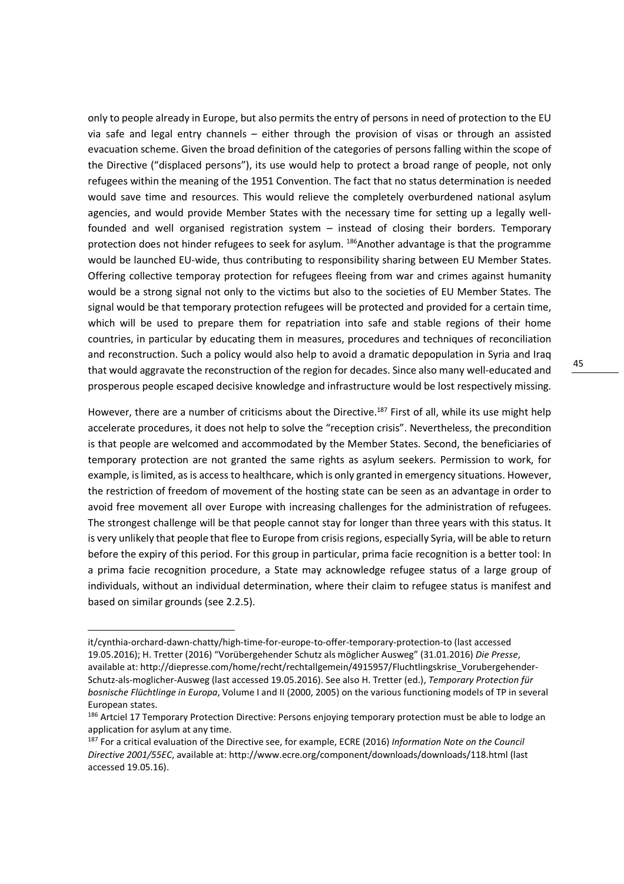only to people already in Europe, but also permits the entry of persons in need of protection to the EU via safe and legal entry channels – either through the provision of visas or through an assisted evacuation scheme. Given the broad definition of the categories of persons falling within the scope of the Directive ("displaced persons"), its use would help to protect a broad range of people, not only refugees within the meaning of the 1951 Convention. The fact that no status determination is needed would save time and resources. This would relieve the completely overburdened national asylum agencies, and would provide Member States with the necessary time for setting up a legally wellfounded and well organised registration system – instead of closing their borders. Temporary protection does not hinder refugees to seek for asylum. <sup>186</sup>Another advantage is that the programme would be launched EU-wide, thus contributing to responsibility sharing between EU Member States. Offering collective temporay protection for refugees fleeing from war and crimes against humanity would be a strong signal not only to the victims but also to the societies of EU Member States. The signal would be that temporary protection refugees will be protected and provided for a certain time, which will be used to prepare them for repatriation into safe and stable regions of their home countries, in particular by educating them in measures, procedures and techniques of reconciliation and reconstruction. Such a policy would also help to avoid a dramatic depopulation in Syria and Iraq that would aggravate the reconstruction of the region for decades. Since also many well-educated and prosperous people escaped decisive knowledge and infrastructure would be lost respectively missing.

However, there are a number of criticisms about the Directive.<sup>187</sup> First of all, while its use might help accelerate procedures, it does not help to solve the "reception crisis". Nevertheless, the precondition is that people are welcomed and accommodated by the Member States. Second, the beneficiaries of temporary protection are not granted the same rights as asylum seekers. Permission to work, for example, is limited, as is access to healthcare, which is only granted in emergency situations. However, the restriction of freedom of movement of the hosting state can be seen as an advantage in order to avoid free movement all over Europe with increasing challenges for the administration of refugees. The strongest challenge will be that people cannot stay for longer than three years with this status. It is very unlikely that people that flee to Europe from crisis regions, especially Syria, will be able to return before the expiry of this period. For this group in particular, prima facie recognition is a better tool: In a prima facie recognition procedure, a State may acknowledge refugee status of a large group of individuals, without an individual determination, where their claim to refugee status is manifest and based on similar grounds (see 2.2.5).

it/cynthia-orchard-dawn-chatty/high-time-for-europe-to-offer-temporary-protection-to (last accessed 19.05.2016); H. Tretter (2016) "Vorübergehender Schutz als möglicher Ausweg" (31.01.2016) *Die Presse*, available at: http://diepresse.com/home/recht/rechtallgemein/4915957/Fluchtlingskrise\_Vorubergehender-Schutz-als-moglicher-Ausweg (last accessed 19.05.2016). See also H. Tretter (ed.), *Temporary Protection für bosnische Flüchtlinge in Europa*, Volume I and II (2000, 2005) on the various functioning models of TP in several European states.

<sup>&</sup>lt;sup>186</sup> Artciel 17 Temporary Protection Directive: Persons enjoying temporary protection must be able to lodge an application for asylum at any time.

<sup>187</sup> For a critical evaluation of the Directive see, for example, ECRE (2016) *Information Note on the Council Directive 2001/55EC*, available at: http://www.ecre.org/component/downloads/downloads/118.html (last accessed 19.05.16).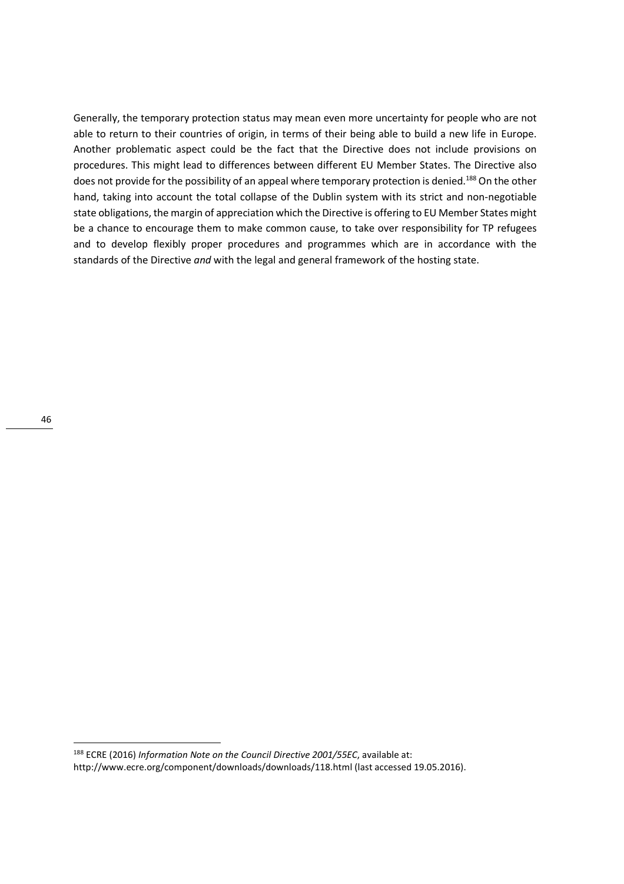Generally, the temporary protection status may mean even more uncertainty for people who are not able to return to their countries of origin, in terms of their being able to build a new life in Europe. Another problematic aspect could be the fact that the Directive does not include provisions on procedures. This might lead to differences between different EU Member States. The Directive also does not provide for the possibility of an appeal where temporary protection is denied.<sup>188</sup> On the other hand, taking into account the total collapse of the Dublin system with its strict and non-negotiable state obligations, the margin of appreciation which the Directive is offering to EU Member States might be a chance to encourage them to make common cause, to take over responsibility for TP refugees and to develop flexibly proper procedures and programmes which are in accordance with the standards of the Directive *and* with the legal and general framework of the hosting state.

<sup>188</sup> ECRE (2016) *Information Note on the Council Directive 2001/55EC*, available at: http://www.ecre.org/component/downloads/downloads/118.html (last accessed 19.05.2016).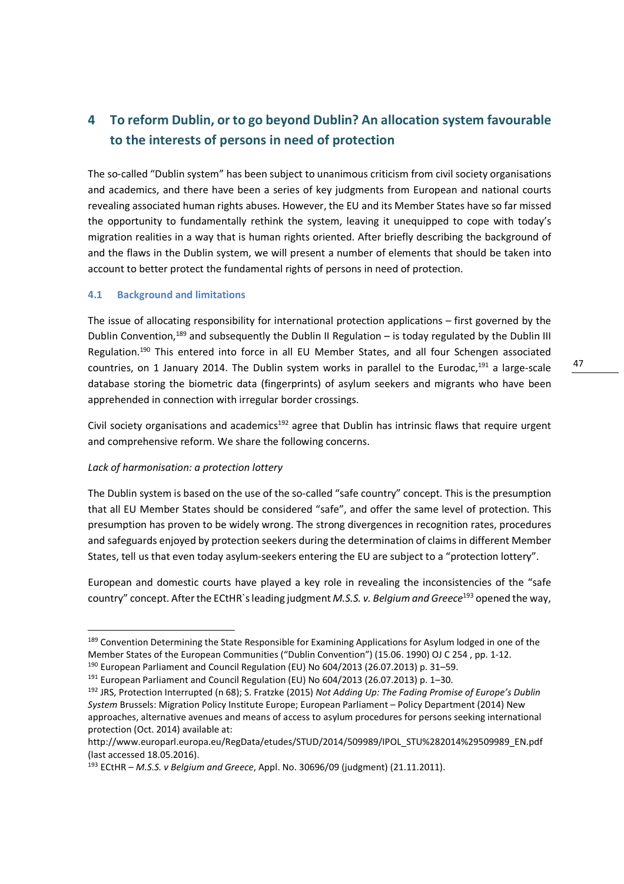# **4 To reform Dublin, or to go beyond Dublin? An allocation system favourable to the interests of persons in need of protection**

The so-called "Dublin system" has been subject to unanimous criticism from civil society organisations and academics, and there have been a series of key judgments from European and national courts revealing associated human rights abuses. However, the EU and its Member States have so far missed the opportunity to fundamentally rethink the system, leaving it unequipped to cope with today's migration realities in a way that is human rights oriented. After briefly describing the background of and the flaws in the Dublin system, we will present a number of elements that should be taken into account to better protect the fundamental rights of persons in need of protection.

## **4.1 Background and limitations**

The issue of allocating responsibility for international protection applications – first governed by the Dublin Convention,<sup>189</sup> and subsequently the Dublin II Regulation – is today regulated by the Dublin III Regulation.<sup>190</sup> This entered into force in all EU Member States, and all four Schengen associated countries, on 1 January 2014. The Dublin system works in parallel to the Eurodac.<sup>191</sup> a large-scale database storing the biometric data (fingerprints) of asylum seekers and migrants who have been apprehended in connection with irregular border crossings.

Civil society organisations and academics $192$  agree that Dublin has intrinsic flaws that require urgent and comprehensive reform. We share the following concerns.

# *Lack of harmonisation: a protection lottery*

<u>.</u>

The Dublin system is based on the use of the so-called "safe country" concept. This is the presumption that all EU Member States should be considered "safe", and offer the same level of protection. This presumption has proven to be widely wrong. The strong divergences in recognition rates, procedures and safeguards enjoyed by protection seekers during the determination of claims in different Member States, tell us that even today asylum-seekers entering the EU are subject to a "protection lottery".

European and domestic courts have played a key role in revealing the inconsistencies of the "safe country" concept. After the ECtHR`s leading judgment *M.S.S. v. Belgium and Greece*<sup>193</sup> opened the way,

<sup>&</sup>lt;sup>189</sup> Convention Determining the State Responsible for Examining Applications for Asylum lodged in one of the Member States of the European Communities ("Dublin Convention") (15.06. 1990) OJ C 254 , pp. 1-12.

<sup>190</sup> European Parliament and Council Regulation (EU) No 604/2013 (26.07.2013) p. 31–59.

<sup>&</sup>lt;sup>191</sup> European Parliament and Council Regulation (EU) No 604/2013 (26.07.2013) p. 1–30.

<sup>192</sup> JRS, Protection Interrupted (n 68); S. Fratzke (2015) *Not Adding Up: The Fading Promise of Europe's Dublin System* Brussels: Migration Policy Institute Europe; European Parliament – Policy Department (2014) New approaches, alternative avenues and means of access to asylum procedures for persons seeking international protection (Oct. 2014) available at:

http://www.europarl.europa.eu/RegData/etudes/STUD/2014/509989/IPOL\_STU%282014%29509989\_EN.pdf (last accessed 18.05.2016).

<sup>193</sup> ECtHR – *M.S.S. v Belgium and Greece*, Appl. No. 30696/09 (judgment) (21.11.2011).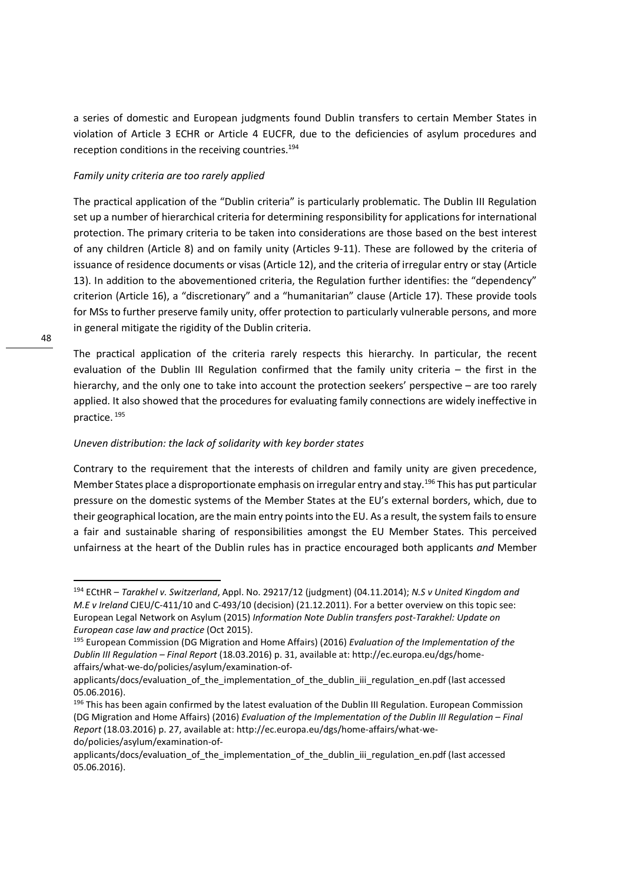a series of domestic and European judgments found Dublin transfers to certain Member States in violation of Article 3 ECHR or Article 4 EUCFR, due to the deficiencies of asylum procedures and reception conditions in the receiving countries.<sup>194</sup>

#### *Family unity criteria are too rarely applied*

The practical application of the "Dublin criteria" is particularly problematic. The Dublin III Regulation set up a number of hierarchical criteria for determining responsibility for applications for international protection. The primary criteria to be taken into considerations are those based on the best interest of any children (Article 8) and on family unity (Articles 9-11). These are followed by the criteria of issuance of residence documents or visas (Article 12), and the criteria of irregular entry or stay (Article 13). In addition to the abovementioned criteria, the Regulation further identifies: the "dependency" criterion (Article 16), a "discretionary" and a "humanitarian" clause (Article 17). These provide tools for MSs to further preserve family unity, offer protection to particularly vulnerable persons, and more in general mitigate the rigidity of the Dublin criteria.

The practical application of the criteria rarely respects this hierarchy. In particular, the recent evaluation of the Dublin III Regulation confirmed that the family unity criteria – the first in the hierarchy, and the only one to take into account the protection seekers' perspective – are too rarely applied. It also showed that the procedures for evaluating family connections are widely ineffective in practice.<sup>195</sup>

## *Uneven distribution: the lack of solidarity with key border states*

Contrary to the requirement that the interests of children and family unity are given precedence, Member States place a disproportionate emphasis on irregular entry and stay.<sup>196</sup> This has put particular pressure on the domestic systems of the Member States at the EU's external borders, which, due to their geographical location, are the main entry points into the EU. As a result, the system fails to ensure a fair and sustainable sharing of responsibilities amongst the EU Member States. This perceived unfairness at the heart of the Dublin rules has in practice encouraged both applicants *and* Member

<sup>194</sup> ECtHR – *Tarakhel v. Switzerland*, Appl. No. 29217/12 (judgment) (04.11.2014); *N.S v United Kingdom and M.E v Ireland* CJEU/C-411/10 and C-493/10 (decision) (21.12.2011). For a better overview on this topic see: European Legal Network on Asylum (2015) *Information Note Dublin transfers post-Tarakhel: Update on European case law and practice* (Oct 2015).

<sup>195</sup> European Commission (DG Migration and Home Affairs) (2016) *Evaluation of the Implementation of the Dublin III Regulation – Final Report* (18.03.2016) p. 31, available at: http://ec.europa.eu/dgs/homeaffairs/what-we-do/policies/asylum/examination-of-

applicants/docs/evaluation\_of\_the\_implementation\_of\_the\_dublin\_iii\_regulation\_en.pdf (last accessed 05.06.2016).

<sup>&</sup>lt;sup>196</sup> This has been again confirmed by the latest evaluation of the Dublin III Regulation. European Commission (DG Migration and Home Affairs) (2016) *Evaluation of the Implementation of the Dublin III Regulation – Final Report* (18.03.2016) p. 27, available at: http://ec.europa.eu/dgs/home-affairs/what-wedo/policies/asylum/examination-of-

applicants/docs/evaluation\_of\_the\_implementation\_of\_the\_dublin\_iii\_regulation\_en.pdf (last accessed 05.06.2016).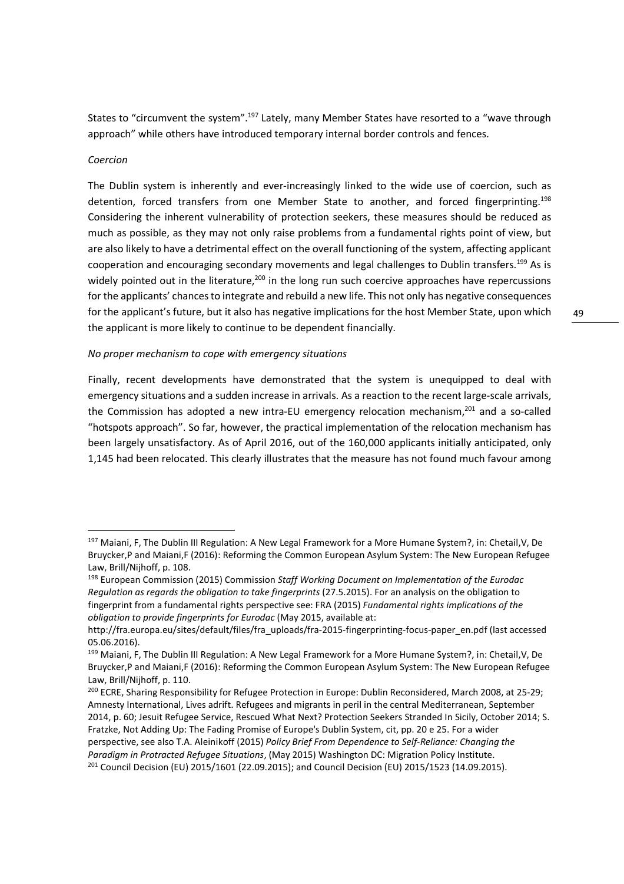States to "circumvent the system".<sup>197</sup> Lately, many Member States have resorted to a "wave through approach" while others have introduced temporary internal border controls and fences.

#### *Coercion*

<u>.</u>

The Dublin system is inherently and ever-increasingly linked to the wide use of coercion, such as detention, forced transfers from one Member State to another, and forced fingerprinting.<sup>198</sup> Considering the inherent vulnerability of protection seekers, these measures should be reduced as much as possible, as they may not only raise problems from a fundamental rights point of view, but are also likely to have a detrimental effect on the overall functioning of the system, affecting applicant cooperation and encouraging secondary movements and legal challenges to Dublin transfers.<sup>199</sup> As is widely pointed out in the literature,<sup>200</sup> in the long run such coercive approaches have repercussions for the applicants' chances to integrate and rebuild a new life. This not only has negative consequences for the applicant's future, but it also has negative implications for the host Member State, upon which the applicant is more likely to continue to be dependent financially.

#### *No proper mechanism to cope with emergency situations*

Finally, recent developments have demonstrated that the system is unequipped to deal with emergency situations and a sudden increase in arrivals. As a reaction to the recent large-scale arrivals, the Commission has adopted a new intra-EU emergency relocation mechanism,<sup>201</sup> and a so-called "hotspots approach". So far, however, the practical implementation of the relocation mechanism has been largely unsatisfactory. As of April 2016, out of the 160,000 applicants initially anticipated, only 1,145 had been relocated. This clearly illustrates that the measure has not found much favour among

<sup>&</sup>lt;sup>197</sup> Maiani, F. The Dublin III Regulation: A New Legal Framework for a More Humane System?, in: Chetail, V. De Bruycker,P and Maiani,F (2016): Reforming the Common European Asylum System: The New European Refugee Law, Brill/Nijhoff, p. 108.

<sup>198</sup> European Commission (2015) Commission *Staff Working Document on Implementation of the Eurodac Regulation as regards the obligation to take fingerprints* (27.5.2015). For an analysis on the obligation to fingerprint from a fundamental rights perspective see: FRA (2015) *Fundamental rights implications of the obligation to provide fingerprints for Eurodac* (May 2015, available at:

http://fra.europa.eu/sites/default/files/fra\_uploads/fra-2015-fingerprinting-focus-paper\_en.pdf (last accessed 05.06.2016).

<sup>&</sup>lt;sup>199</sup> Maiani, F, The Dublin III Regulation: A New Legal Framework for a More Humane System?, in: Chetail, V, De Bruycker,P and Maiani,F (2016): Reforming the Common European Asylum System: The New European Refugee Law, Brill/Nijhoff, p. 110.

<sup>&</sup>lt;sup>200</sup> ECRE, Sharing Responsibility for Refugee Protection in Europe: Dublin Reconsidered, March 2008, at 25-29; Amnesty International, Lives adrift. Refugees and migrants in peril in the central Mediterranean, September 2014, p. 60; Jesuit Refugee Service, Rescued What Next? Protection Seekers Stranded In Sicily, October 2014; S. Fratzke, Not Adding Up: The Fading Promise of Europe's Dublin System, cit, pp. 20 e 25. For a wider perspective, see also T.A. Aleinikoff (2015) *Policy Brief From Dependence to Self-Reliance: Changing the Paradigm in Protracted Refugee Situations*, (May 2015) Washington DC: Migration Policy Institute. 201 Council Decision (EU) 2015/1601 (22.09.2015); and Council Decision (EU) 2015/1523 (14.09.2015).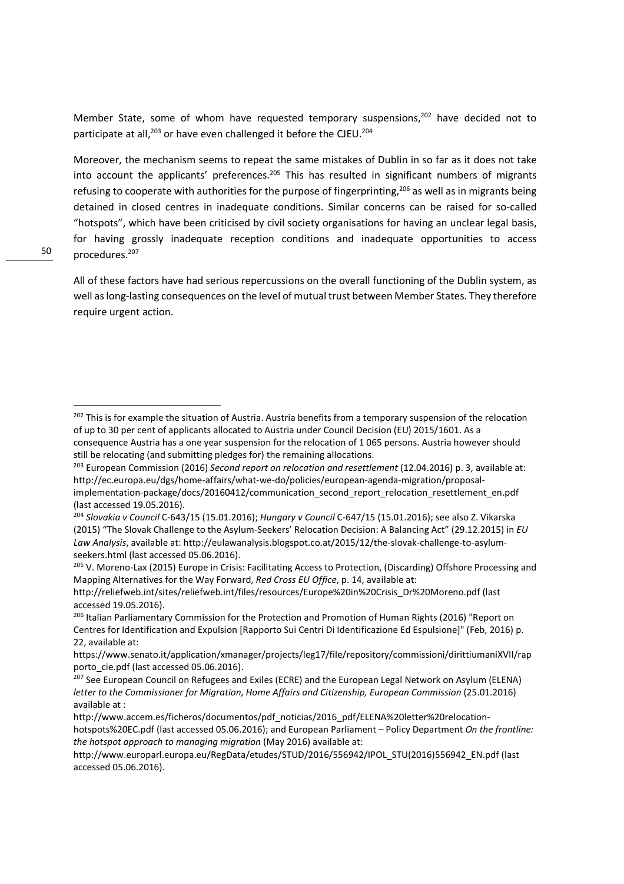Member State, some of whom have requested temporary suspensions,<sup>202</sup> have decided not to participate at all,<sup>203</sup> or have even challenged it before the CJEU.<sup>204</sup>

Moreover, the mechanism seems to repeat the same mistakes of Dublin in so far as it does not take into account the applicants' preferences.<sup>205</sup> This has resulted in significant numbers of migrants refusing to cooperate with authorities for the purpose of fingerprinting,<sup>206</sup> as well as in migrants being detained in closed centres in inadequate conditions. Similar concerns can be raised for so-called "hotspots", which have been criticised by civil society organisations for having an unclear legal basis, for having grossly inadequate reception conditions and inadequate opportunities to access procedures.<sup>207</sup>

All of these factors have had serious repercussions on the overall functioning of the Dublin system, as well as long-lasting consequences on the level of mutual trust between Member States. They therefore require urgent action.

<sup>&</sup>lt;sup>202</sup> This is for example the situation of Austria. Austria benefits from a temporary suspension of the relocation of up to 30 per cent of applicants allocated to Austria under Council Decision (EU) 2015/1601. As a consequence Austria has a one year suspension for the relocation of 1 065 persons. Austria however should still be relocating (and submitting pledges for) the remaining allocations.

<sup>203</sup> European Commission (2016) *Second report on relocation and resettlement* (12.04.2016) p. 3, available at: http://ec.europa.eu/dgs/home-affairs/what-we-do/policies/european-agenda-migration/proposalimplementation-package/docs/20160412/communication\_second\_report\_relocation\_resettlement\_en.pdf (last accessed 19.05.2016).

<sup>204</sup> *Slovakia v Council* C-643/15 (15.01.2016); *Hungary v Council* C-647/15 (15.01.2016); see also Z. Vikarska (2015) "The Slovak Challenge to the Asylum-Seekers' Relocation Decision: A Balancing Act" (29.12.2015) in *EU Law Analysis*, available at: http://eulawanalysis.blogspot.co.at/2015/12/the-slovak-challenge-to-asylumseekers.html (last accessed 05.06.2016).

<sup>205</sup> V. Moreno-Lax (2015) Europe in Crisis: Facilitating Access to Protection, (Discarding) Offshore Processing and Mapping Alternatives for the Way Forward, *Red Cross EU Office*, p. 14, available at:

http://reliefweb.int/sites/reliefweb.int/files/resources/Europe%20in%20Crisis\_Dr%20Moreno.pdf (last accessed 19.05.2016).

<sup>&</sup>lt;sup>206</sup> Italian Parliamentary Commission for the Protection and Promotion of Human Rights (2016) "Report on Centres for Identification and Expulsion [Rapporto Sui Centri Di Identificazione Ed Espulsione]" (Feb, 2016) p. 22, available at:

https://www.senato.it/application/xmanager/projects/leg17/file/repository/commissioni/dirittiumaniXVII/rap porto\_cie.pdf (last accessed 05.06.2016).

<sup>&</sup>lt;sup>207</sup> See European Council on Refugees and Exiles (ECRE) and the European Legal Network on Asylum (ELENA) *letter to the Commissioner for Migration, Home Affairs and Citizenship, European Commission (25.01.2016)* available at :

http://www.accem.es/ficheros/documentos/pdf\_noticias/2016\_pdf/ELENA%20letter%20relocationhotspots%20EC.pdf (last accessed 05.06.2016); and European Parliament – Policy Department *On the frontline: the hotspot approach to managing migration* (May 2016) available at:

http://www.europarl.europa.eu/RegData/etudes/STUD/2016/556942/IPOL\_STU(2016)556942\_EN.pdf (last accessed 05.06.2016).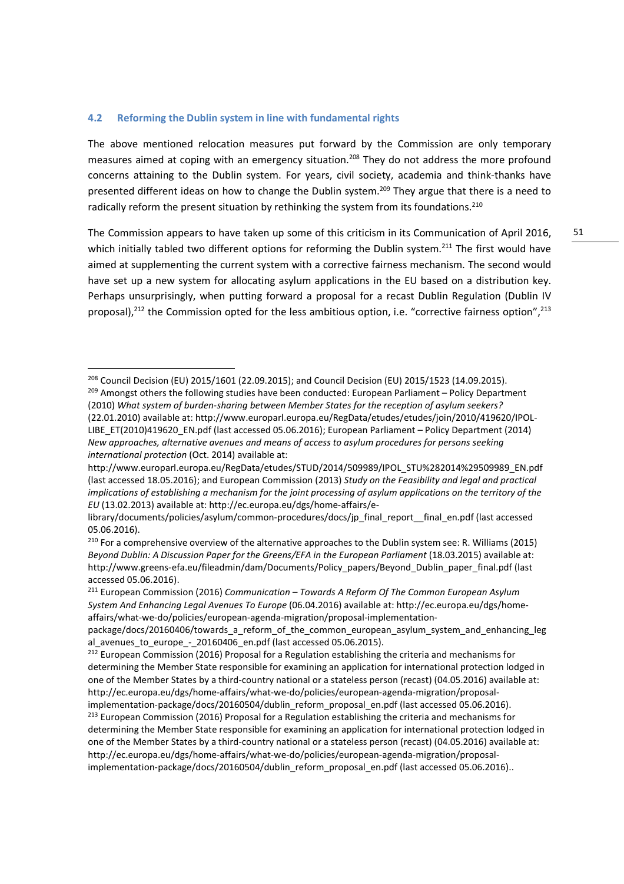#### **4.2 Reforming the Dublin system in line with fundamental rights**

<u>.</u>

The above mentioned relocation measures put forward by the Commission are only temporary measures aimed at coping with an emergency situation.<sup>208</sup> They do not address the more profound concerns attaining to the Dublin system. For years, civil society, academia and think-thanks have presented different ideas on how to change the Dublin system.<sup>209</sup> They argue that there is a need to radically reform the present situation by rethinking the system from its foundations.<sup>210</sup>

The Commission appears to have taken up some of this criticism in its Communication of April 2016, which initially tabled two different options for reforming the Dublin system.<sup>211</sup> The first would have aimed at supplementing the current system with a corrective fairness mechanism. The second would have set up a new system for allocating asylum applications in the EU based on a distribution key. Perhaps unsurprisingly, when putting forward a proposal for a recast Dublin Regulation (Dublin IV proposal), $^{212}$  the Commission opted for the less ambitious option, i.e. "corrective fairness option", $^{213}$ 

<sup>208</sup> Council Decision (EU) 2015/1601 (22.09.2015); and Council Decision (EU) 2015/1523 (14.09.2015).  $209$  Amongst others the following studies have been conducted: European Parliament – Policy Department (2010) *What system of burden-sharing between Member States for the reception of asylum seekers?* (22.01.2010) available at: http://www.europarl.europa.eu/RegData/etudes/etudes/join/2010/419620/IPOL-LIBE\_ET(2010)419620\_EN.pdf (last accessed 05.06.2016); European Parliament – Policy Department (2014) *New approaches, alternative avenues and means of access to asylum procedures for persons seeking international protection* (Oct. 2014) available at:

http://www.europarl.europa.eu/RegData/etudes/STUD/2014/509989/IPOL\_STU%282014%29509989\_EN.pdf (last accessed 18.05.2016); and European Commission (2013) *Study on the Feasibility and legal and practical implications of establishing a mechanism for the joint processing of asylum applications on the territory of the EU* (13.02.2013) available at: http://ec.europa.eu/dgs/home-affairs/e-

library/documents/policies/asylum/common-procedures/docs/jp\_final\_report\_\_final\_en.pdf (last accessed 05.06.2016).

<sup>&</sup>lt;sup>210</sup> For a comprehensive overview of the alternative approaches to the Dublin system see: R. Williams (2015) *Beyond Dublin: A Discussion Paper for the Greens/EFA in the European Parliament* (18.03.2015) available at: http://www.greens-efa.eu/fileadmin/dam/Documents/Policy\_papers/Beyond\_Dublin\_paper\_final.pdf (last accessed 05.06.2016).

<sup>211</sup> European Commission (2016) *Communication – Towards A Reform Of The Common European Asylum System And Enhancing Legal Avenues To Europe* (06.04.2016) available at: http://ec.europa.eu/dgs/homeaffairs/what-we-do/policies/european-agenda-migration/proposal-implementation-

package/docs/20160406/towards\_a\_reform\_of\_the\_common\_european\_asylum\_system\_and\_enhancing\_leg al\_avenues\_to\_europe\_-\_20160406\_en.pdf (last accessed 05.06.2015).

 $212$  European Commission (2016) Proposal for a Regulation establishing the criteria and mechanisms for determining the Member State responsible for examining an application for international protection lodged in one of the Member States by a third-country national or a stateless person (recast) (04.05.2016) available at: http://ec.europa.eu/dgs/home-affairs/what-we-do/policies/european-agenda-migration/proposalimplementation-package/docs/20160504/dublin\_reform\_proposal\_en.pdf (last accessed 05.06.2016).

<sup>&</sup>lt;sup>213</sup> European Commission (2016) Proposal for a Regulation establishing the criteria and mechanisms for determining the Member State responsible for examining an application for international protection lodged in one of the Member States by a third-country national or a stateless person (recast) (04.05.2016) available at: http://ec.europa.eu/dgs/home-affairs/what-we-do/policies/european-agenda-migration/proposalimplementation-package/docs/20160504/dublin\_reform\_proposal\_en.pdf (last accessed 05.06.2016)..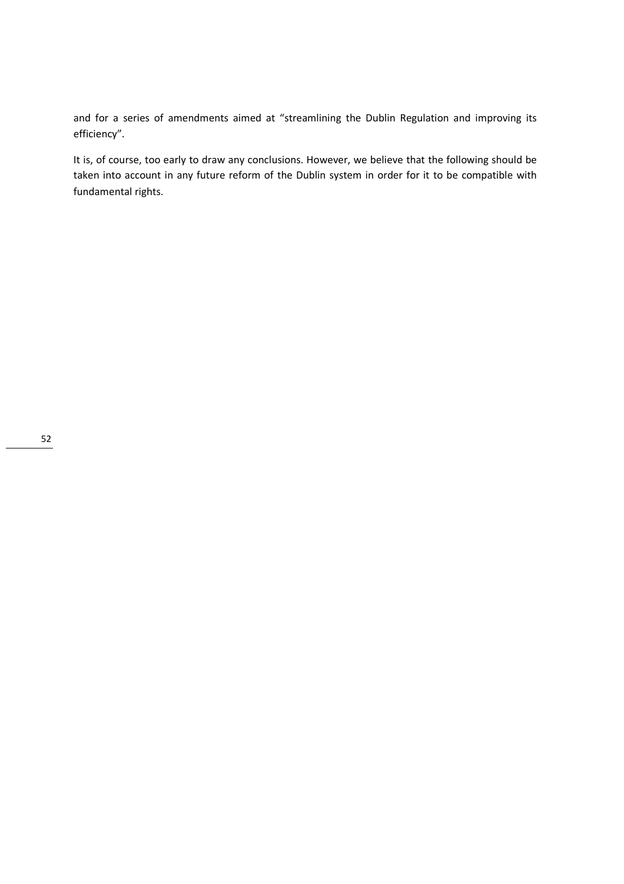and for a series of amendments aimed at "streamlining the Dublin Regulation and improving its efficiency".

It is, of course, too early to draw any conclusions. However, we believe that the following should be taken into account in any future reform of the Dublin system in order for it to be compatible with fundamental rights.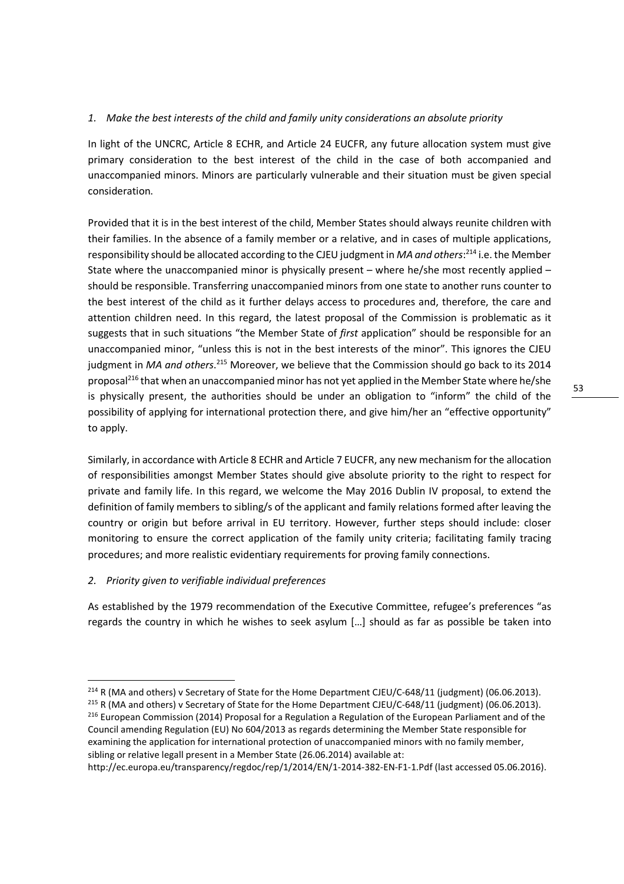# *1. Make the best interests of the child and family unity considerations an absolute priority*

In light of the UNCRC, Article 8 ECHR, and Article 24 EUCFR, any future allocation system must give primary consideration to the best interest of the child in the case of both accompanied and unaccompanied minors. Minors are particularly vulnerable and their situation must be given special consideration.

Provided that it is in the best interest of the child, Member States should always reunite children with their families. In the absence of a family member or a relative, and in cases of multiple applications, responsibility should be allocated according to the CJEU judgment in *MA and others*: <sup>214</sup> i.e. the Member State where the unaccompanied minor is physically present – where he/she most recently applied – should be responsible. Transferring unaccompanied minors from one state to another runs counter to the best interest of the child as it further delays access to procedures and, therefore, the care and attention children need. In this regard, the latest proposal of the Commission is problematic as it suggests that in such situations "the Member State of *first* application" should be responsible for an unaccompanied minor, "unless this is not in the best interests of the minor". This ignores the CJEU judgment in *MA and others*.<sup>215</sup> Moreover, we believe that the Commission should go back to its 2014 proposal<sup>216</sup> that when an unaccompanied minor has not yet applied in the Member State where he/she is physically present, the authorities should be under an obligation to "inform" the child of the possibility of applying for international protection there, and give him/her an "effective opportunity" to apply.

Similarly, in accordance with Article 8 ECHR and Article 7 EUCFR, any new mechanism for the allocation of responsibilities amongst Member States should give absolute priority to the right to respect for private and family life. In this regard, we welcome the May 2016 Dublin IV proposal, to extend the definition of family members to sibling/s of the applicant and family relations formed after leaving the country or origin but before arrival in EU territory. However, further steps should include: closer monitoring to ensure the correct application of the family unity criteria; facilitating family tracing procedures; and more realistic evidentiary requirements for proving family connections.

# *2. Priority given to verifiable individual preferences*

<u>.</u>

As established by the 1979 recommendation of the Executive Committee, refugee's preferences "as regards the country in which he wishes to seek asylum […] should as far as possible be taken into

http://ec.europa.eu/transparency/regdoc/rep/1/2014/EN/1-2014-382-EN-F1-1.Pdf (last accessed 05.06.2016).

<sup>&</sup>lt;sup>214</sup> R (MA and others) v Secretary of State for the Home Department CJEU/C-648/11 (judgment) (06.06.2013). <sup>215</sup> R (MA and others) v Secretary of State for the Home Department CJEU/C-648/11 (judgment) (06.06.2013). <sup>216</sup> European Commission (2014) Proposal for a Regulation a Regulation of the European Parliament and of the Council amending Regulation (EU) No 604/2013 as regards determining the Member State responsible for examining the application for international protection of unaccompanied minors with no family member, sibling or relative legall present in a Member State (26.06.2014) available at: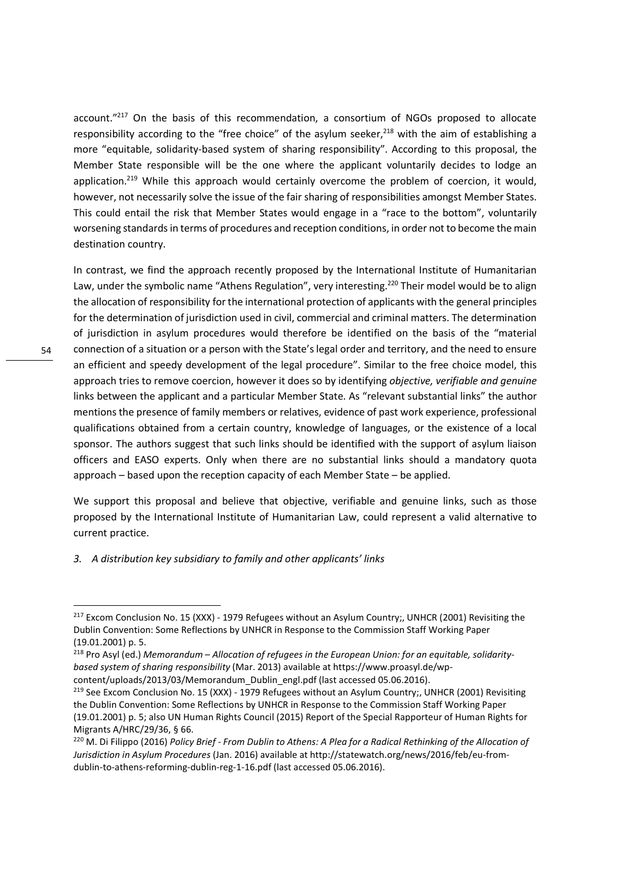account."<sup>217</sup> On the basis of this recommendation, a consortium of NGOs proposed to allocate responsibility according to the "free choice" of the asylum seeker,<sup>218</sup> with the aim of establishing a more "equitable, solidarity-based system of sharing responsibility". According to this proposal, the Member State responsible will be the one where the applicant voluntarily decides to lodge an application.<sup>219</sup> While this approach would certainly overcome the problem of coercion, it would, however, not necessarily solve the issue of the fair sharing of responsibilities amongst Member States. This could entail the risk that Member States would engage in a "race to the bottom", voluntarily worsening standards in terms of procedures and reception conditions, in order not to become the main destination country.

In contrast, we find the approach recently proposed by the International Institute of Humanitarian Law, under the symbolic name "Athens Regulation", very interesting.<sup>220</sup> Their model would be to align the allocation of responsibility for the international protection of applicants with the general principles for the determination of jurisdiction used in civil, commercial and criminal matters. The determination of jurisdiction in asylum procedures would therefore be identified on the basis of the "material connection of a situation or a person with the State's legal order and territory, and the need to ensure an efficient and speedy development of the legal procedure". Similar to the free choice model, this approach tries to remove coercion, however it does so by identifying *objective, verifiable and genuine* links between the applicant and a particular Member State. As "relevant substantial links" the author mentions the presence of family members or relatives, evidence of past work experience, professional qualifications obtained from a certain country, knowledge of languages, or the existence of a local sponsor. The authors suggest that such links should be identified with the support of asylum liaison officers and EASO experts. Only when there are no substantial links should a mandatory quota approach – based upon the reception capacity of each Member State – be applied.

We support this proposal and believe that objective, verifiable and genuine links, such as those proposed by the International Institute of Humanitarian Law, could represent a valid alternative to current practice.

#### *3. A distribution key subsidiary to family and other applicants' links*

<sup>&</sup>lt;sup>217</sup> Excom Conclusion No. 15 (XXX) - 1979 Refugees without an Asylum Country;, UNHCR (2001) Revisiting the Dublin Convention: Some Reflections by UNHCR in Response to the Commission Staff Working Paper (19.01.2001) p. 5.

<sup>218</sup> Pro Asyl (ed.) *Memorandum – Allocation of refugees in the European Union: for an equitable, solidaritybased system of sharing responsibility* (Mar. 2013) available at https://www.proasyl.de/wp-

content/uploads/2013/03/Memorandum\_Dublin\_engl.pdf (last accessed 05.06.2016).

<sup>&</sup>lt;sup>219</sup> See Excom Conclusion No. 15 (XXX) - 1979 Refugees without an Asylum Country;, UNHCR (2001) Revisiting the Dublin Convention: Some Reflections by UNHCR in Response to the Commission Staff Working Paper (19.01.2001) p. 5; also UN Human Rights Council (2015) Report of the Special Rapporteur of Human Rights for Migrants A/HRC/29/36, § 66.

<sup>&</sup>lt;sup>220</sup> M. Di Filippo (2016) *Policy Brief - From Dublin to Athens: A Plea for a Radical Rethinking of the Allocation of Jurisdiction in Asylum Procedures* (Jan. 2016) available at http://statewatch.org/news/2016/feb/eu-fromdublin-to-athens-reforming-dublin-reg-1-16.pdf (last accessed 05.06.2016).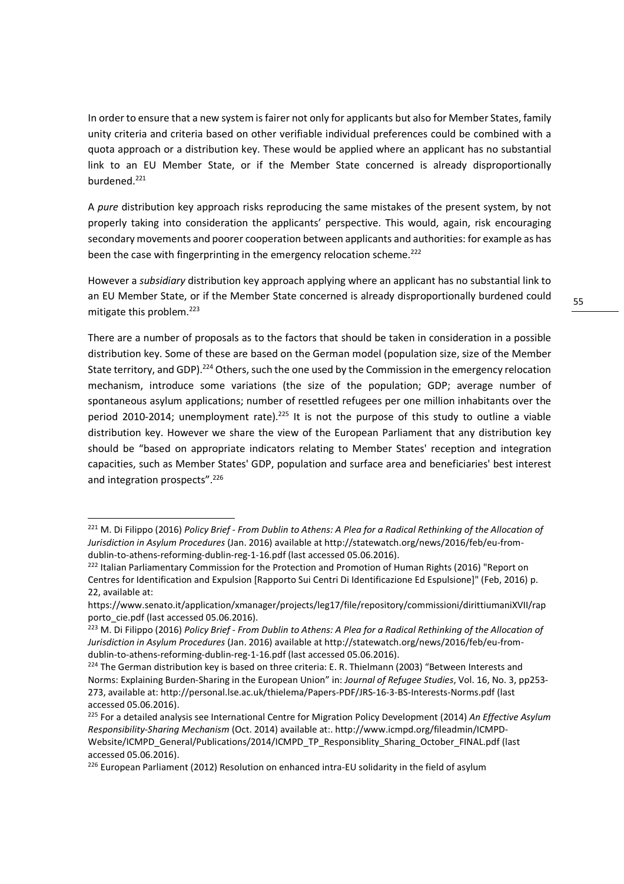In order to ensure that a new system is fairer not only for applicants but also for Member States, family unity criteria and criteria based on other verifiable individual preferences could be combined with a quota approach or a distribution key. These would be applied where an applicant has no substantial link to an EU Member State, or if the Member State concerned is already disproportionally burdened.<sup>221</sup>

A *pure* distribution key approach risks reproducing the same mistakes of the present system, by not properly taking into consideration the applicants' perspective. This would, again, risk encouraging secondary movements and poorer cooperation between applicants and authorities: for example as has been the case with fingerprinting in the emergency relocation scheme.<sup>222</sup>

However a *subsidiary* distribution key approach applying where an applicant has no substantial link to an EU Member State, or if the Member State concerned is already disproportionally burdened could mitigate this problem.<sup>223</sup>

There are a number of proposals as to the factors that should be taken in consideration in a possible distribution key. Some of these are based on the German model (population size, size of the Member State territory, and GDP).<sup>224</sup> Others, such the one used by the Commission in the emergency relocation mechanism, introduce some variations (the size of the population; GDP; average number of spontaneous asylum applications; number of resettled refugees per one million inhabitants over the period 2010-2014; unemployment rate).<sup>225</sup> It is not the purpose of this study to outline a viable distribution key. However we share the view of the European Parliament that any distribution key should be "based on appropriate indicators relating to Member States' reception and integration capacities, such as Member States' GDP, population and surface area and beneficiaries' best interest and integration prospects".<sup>226</sup>

<sup>221</sup> M. Di Filippo (2016) *Policy Brief - From Dublin to Athens: A Plea for a Radical Rethinking of the Allocation of Jurisdiction in Asylum Procedures* (Jan. 2016) available at http://statewatch.org/news/2016/feb/eu-fromdublin-to-athens-reforming-dublin-reg-1-16.pdf (last accessed 05.06.2016).

<sup>&</sup>lt;sup>222</sup> Italian Parliamentary Commission for the Protection and Promotion of Human Rights (2016) "Report on Centres for Identification and Expulsion [Rapporto Sui Centri Di Identificazione Ed Espulsione]" (Feb, 2016) p. 22, available at:

https://www.senato.it/application/xmanager/projects/leg17/file/repository/commissioni/dirittiumaniXVII/rap porto cie.pdf (last accessed 05.06.2016).

<sup>&</sup>lt;sup>223</sup> M. Di Filippo (2016) *Policy Brief - From Dublin to Athens: A Plea for a Radical Rethinking of the Allocation of Jurisdiction in Asylum Procedures* (Jan. 2016) available at http://statewatch.org/news/2016/feb/eu-fromdublin-to-athens-reforming-dublin-reg-1-16.pdf (last accessed 05.06.2016).

<sup>&</sup>lt;sup>224</sup> The German distribution key is based on three criteria: E. R. Thielmann (2003) "Between Interests and Norms: Explaining Burden-Sharing in the European Union" in: *Journal of Refugee Studies*, Vol. 16, No. 3, pp253- 273, available at: http://personal.lse.ac.uk/thielema/Papers-PDF/JRS-16-3-BS-Interests-Norms.pdf (last accessed 05.06.2016).

<sup>225</sup> For a detailed analysis see International Centre for Migration Policy Development (2014) *An Effective Asylum Responsibility-Sharing Mechanism* (Oct. 2014) available at:. http://www.icmpd.org/fileadmin/ICMPD-Website/ICMPD\_General/Publications/2014/ICMPD\_TP\_Responsiblity\_Sharing\_October\_FINAL.pdf (last accessed 05.06.2016).

<sup>&</sup>lt;sup>226</sup> European Parliament (2012) Resolution on enhanced intra-EU solidarity in the field of asylum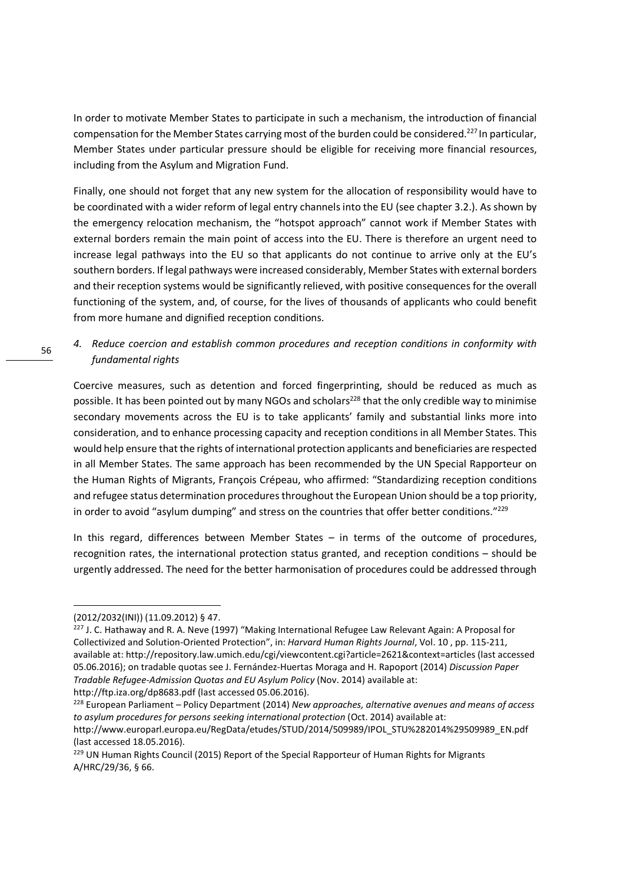In order to motivate Member States to participate in such a mechanism, the introduction of financial compensation for the Member States carrying most of the burden could be considered.<sup>227</sup> In particular, Member States under particular pressure should be eligible for receiving more financial resources, including from the Asylum and Migration Fund.

Finally, one should not forget that any new system for the allocation of responsibility would have to be coordinated with a wider reform of legal entry channels into the EU (see chapter 3.2.). As shown by the emergency relocation mechanism, the "hotspot approach" cannot work if Member States with external borders remain the main point of access into the EU. There is therefore an urgent need to increase legal pathways into the EU so that applicants do not continue to arrive only at the EU's southern borders. If legal pathways were increased considerably, Member States with external borders and their reception systems would be significantly relieved, with positive consequences for the overall functioning of the system, and, of course, for the lives of thousands of applicants who could benefit from more humane and dignified reception conditions.

# *4. Reduce coercion and establish common procedures and reception conditions in conformity with fundamental rights*

Coercive measures, such as detention and forced fingerprinting, should be reduced as much as possible. It has been pointed out by many NGOs and scholars<sup>228</sup> that the only credible way to minimise secondary movements across the EU is to take applicants' family and substantial links more into consideration, and to enhance processing capacity and reception conditions in all Member States. This would help ensure that the rights of international protection applicants and beneficiaries are respected in all Member States. The same approach has been recommended by the UN Special Rapporteur on the Human Rights of Migrants, François Crépeau, who affirmed: "Standardizing reception conditions and refugee status determination procedures throughout the European Union should be a top priority, in order to avoid "asylum dumping" and stress on the countries that offer better conditions."<sup>229</sup>

In this regard, differences between Member States – in terms of the outcome of procedures, recognition rates, the international protection status granted, and reception conditions – should be urgently addressed. The need for the better harmonisation of procedures could be addressed through

<sup>(2012/2032(</sup>INI)) (11.09.2012) § 47.

<sup>&</sup>lt;sup>227</sup> J. C. Hathaway and R. A. Neve (1997) "Making International Refugee Law Relevant Again: A Proposal for Collectivized and Solution-Oriented Protection", in: *Harvard Human Rights Journal*, Vol. 10 , pp. 115-211, available at: http://repository.law.umich.edu/cgi/viewcontent.cgi?article=2621&context=articles (last accessed 05.06.2016); on tradable quotas see J. Fernández-Huertas Moraga and H. Rapoport (2014) *Discussion Paper Tradable Refugee-Admission Quotas and EU Asylum Policy* (Nov. 2014) available at: http://ftp.iza.org/dp8683.pdf (last accessed 05.06.2016).

<sup>228</sup> European Parliament – Policy Department (2014) *New approaches, alternative avenues and means of access to asylum procedures for persons seeking international protection* (Oct. 2014) available at: http://www.europarl.europa.eu/RegData/etudes/STUD/2014/509989/IPOL\_STU%282014%29509989\_EN.pdf (last accessed 18.05.2016).

<sup>&</sup>lt;sup>229</sup> UN Human Rights Council (2015) Report of the Special Rapporteur of Human Rights for Migrants A/HRC/29/36, § 66.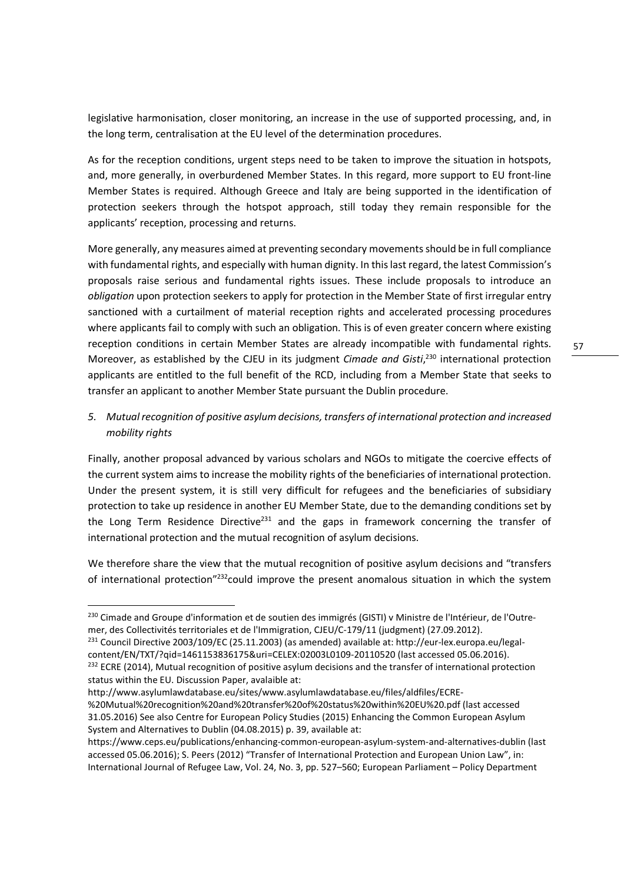legislative harmonisation, closer monitoring, an increase in the use of supported processing, and, in the long term, centralisation at the EU level of the determination procedures.

As for the reception conditions, urgent steps need to be taken to improve the situation in hotspots, and, more generally, in overburdened Member States. In this regard, more support to EU front-line Member States is required. Although Greece and Italy are being supported in the identification of protection seekers through the hotspot approach, still today they remain responsible for the applicants' reception, processing and returns.

More generally, any measures aimed at preventing secondary movements should be in full compliance with fundamental rights, and especially with human dignity. In this last regard, the latest Commission's proposals raise serious and fundamental rights issues. These include proposals to introduce an *obligation* upon protection seekers to apply for protection in the Member State of first irregular entry sanctioned with a curtailment of material reception rights and accelerated processing procedures where applicants fail to comply with such an obligation. This is of even greater concern where existing reception conditions in certain Member States are already incompatible with fundamental rights. Moreover, as established by the CJEU in its judgment *Cimade and Gisti*, <sup>230</sup> international protection applicants are entitled to the full benefit of the RCD, including from a Member State that seeks to transfer an applicant to another Member State pursuant the Dublin procedure.

# *5. Mutual recognition of positive asylum decisions, transfers of international protection and increased mobility rights*

Finally, another proposal advanced by various scholars and NGOs to mitigate the coercive effects of the current system aims to increase the mobility rights of the beneficiaries of international protection. Under the present system, it is still very difficult for refugees and the beneficiaries of subsidiary protection to take up residence in another EU Member State, due to the demanding conditions set by the Long Term Residence Directive<sup>231</sup> and the gaps in framework concerning the transfer of international protection and the mutual recognition of asylum decisions.

We therefore share the view that the mutual recognition of positive asylum decisions and "transfers of international protection"<sup>232</sup>could improve the present anomalous situation in which the system

231 Council Directive 2003/109/EC (25.11.2003) (as amended) available at: http://eur-lex.europa.eu/legalcontent/EN/TXT/?qid=1461153836175&uri=CELEX:02003L0109-20110520 (last accessed 05.06.2016). <sup>232</sup> ECRE (2014), Mutual recognition of positive asylum decisions and the transfer of international protection status within the EU. Discussion Paper, avalaible at:

http://www.asylumlawdatabase.eu/sites/www.asylumlawdatabase.eu/files/aldfiles/ECRE-

<u>.</u>

%20Mutual%20recognition%20and%20transfer%20of%20status%20within%20EU%20.pdf (last accessed 31.05.2016) See also Centre for European Policy Studies (2015) Enhancing the Common European Asylum System and Alternatives to Dublin (04.08.2015) p. 39, available at:

<sup>&</sup>lt;sup>230</sup> Cimade and Groupe d'information et de soutien des immigrés (GISTI) v Ministre de l'Intérieur, de l'Outremer, des Collectivités territoriales et de l'Immigration, CJEU/C-179/11 (judgment) (27.09.2012).

https://www.ceps.eu/publications/enhancing-common-european-asylum-system-and-alternatives-dublin (last accessed 05.06.2016); S. Peers (2012) "Transfer of International Protection and European Union Law", in: International Journal of Refugee Law, Vol. 24, No. 3, pp. 527–560; European Parliament – Policy Department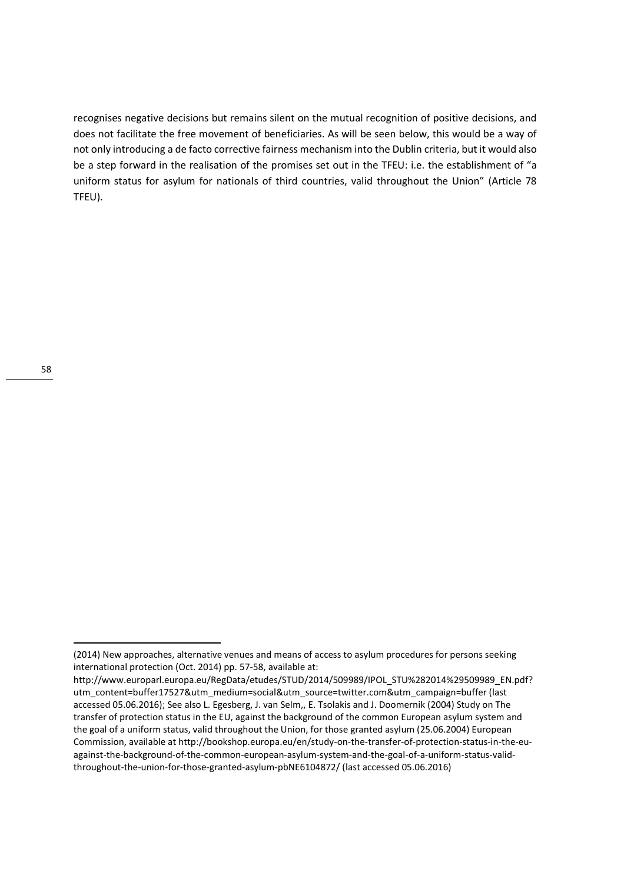recognises negative decisions but remains silent on the mutual recognition of positive decisions, and does not facilitate the free movement of beneficiaries. As will be seen below, this would be a way of not only introducing a de facto corrective fairness mechanism into the Dublin criteria, but it would also be a step forward in the realisation of the promises set out in the TFEU: i.e. the establishment of "a uniform status for asylum for nationals of third countries, valid throughout the Union" (Article 78 TFEU).

<sup>(2014)</sup> New approaches, alternative venues and means of access to asylum procedures for persons seeking international protection (Oct. 2014) pp. 57-58, available at:

http://www.europarl.europa.eu/RegData/etudes/STUD/2014/509989/IPOL\_STU%282014%29509989\_EN.pdf? utm\_content=buffer17527&utm\_medium=social&utm\_source=twitter.com&utm\_campaign=buffer (last accessed 05.06.2016); See also L. Egesberg, J. van Selm,, E. Tsolakis and J. Doomernik (2004) Study on The transfer of protection status in the EU, against the background of the common European asylum system and the goal of a uniform status, valid throughout the Union, for those granted asylum (25.06.2004) European Commission, available at http://bookshop.europa.eu/en/study-on-the-transfer-of-protection-status-in-the-euagainst-the-background-of-the-common-european-asylum-system-and-the-goal-of-a-uniform-status-validthroughout-the-union-for-those-granted-asylum-pbNE6104872/ (last accessed 05.06.2016)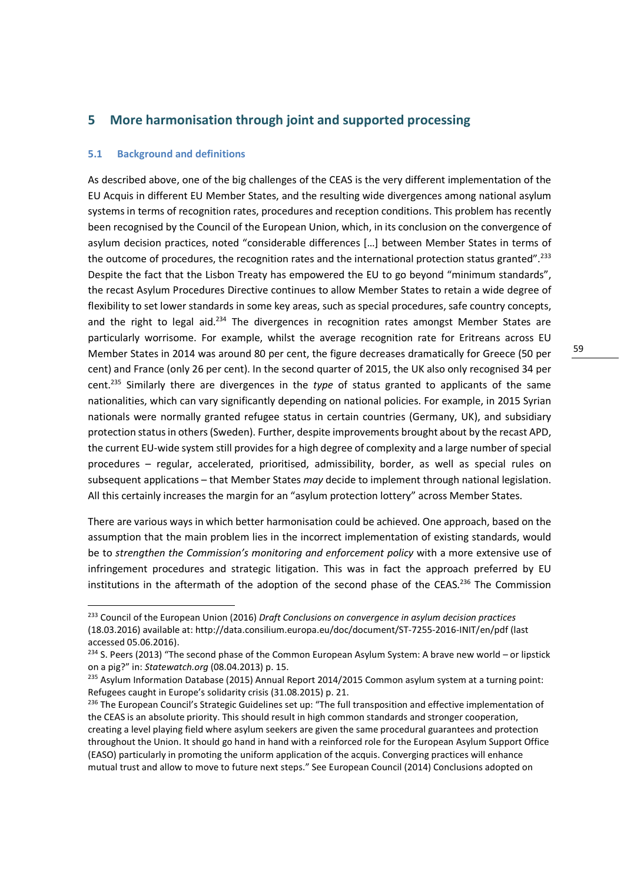# **5 More harmonisation through joint and supported processing**

#### **5.1 Background and definitions**

.<br>-

As described above, one of the big challenges of the CEAS is the very different implementation of the EU Acquis in different EU Member States, and the resulting wide divergences among national asylum systems in terms of recognition rates, procedures and reception conditions. This problem has recently been recognised by the Council of the European Union, which, in its conclusion on the convergence of asylum decision practices, noted "considerable differences […] between Member States in terms of the outcome of procedures, the recognition rates and the international protection status granted".<sup>233</sup> Despite the fact that the Lisbon Treaty has empowered the EU to go beyond "minimum standards", the recast Asylum Procedures Directive continues to allow Member States to retain a wide degree of flexibility to set lower standards in some key areas, such as special procedures, safe country concepts, and the right to legal aid.<sup>234</sup> The divergences in recognition rates amongst Member States are particularly worrisome. For example, whilst the average recognition rate for Eritreans across EU Member States in 2014 was around 80 per cent, the figure decreases dramatically for Greece (50 per cent) and France (only 26 per cent). In the second quarter of 2015, the UK also only recognised 34 per cent.<sup>235</sup> Similarly there are divergences in the *type* of status granted to applicants of the same nationalities, which can vary significantly depending on national policies. For example, in 2015 Syrian nationals were normally granted refugee status in certain countries (Germany, UK), and subsidiary protection status in others (Sweden). Further, despite improvements brought about by the recast APD, the current EU-wide system still provides for a high degree of complexity and a large number of special procedures – regular, accelerated, prioritised, admissibility, border, as well as special rules on subsequent applications – that Member States *may* decide to implement through national legislation. All this certainly increases the margin for an "asylum protection lottery" across Member States.

There are various ways in which better harmonisation could be achieved. One approach, based on the assumption that the main problem lies in the incorrect implementation of existing standards, would be to *strengthen the Commission's monitoring and enforcement policy* with a more extensive use of infringement procedures and strategic litigation. This was in fact the approach preferred by EU institutions in the aftermath of the adoption of the second phase of the CEAS.<sup>236</sup> The Commission

<sup>233</sup> Council of the European Union (2016) *Draft Conclusions on convergence in asylum decision practices* (18.03.2016) available at: http://data.consilium.europa.eu/doc/document/ST-7255-2016-INIT/en/pdf (last accessed 05.06.2016).

<sup>&</sup>lt;sup>234</sup> S. Peers (2013) "The second phase of the Common European Asylum System: A brave new world – or lipstick on a pig?" in: *Statewatch.org* (08.04.2013) p. 15.

<sup>&</sup>lt;sup>235</sup> Asylum Information Database (2015) Annual Report 2014/2015 Common asylum system at a turning point: Refugees caught in Europe's solidarity crisis (31.08.2015) p. 21.

<sup>&</sup>lt;sup>236</sup> The European Council's Strategic Guidelines set up: "The full transposition and effective implementation of the CEAS is an absolute priority. This should result in high common standards and stronger cooperation, creating a level playing field where asylum seekers are given the same procedural guarantees and protection throughout the Union. It should go hand in hand with a reinforced role for the European Asylum Support Office (EASO) particularly in promoting the uniform application of the acquis. Converging practices will enhance mutual trust and allow to move to future next steps." See European Council (2014) Conclusions adopted on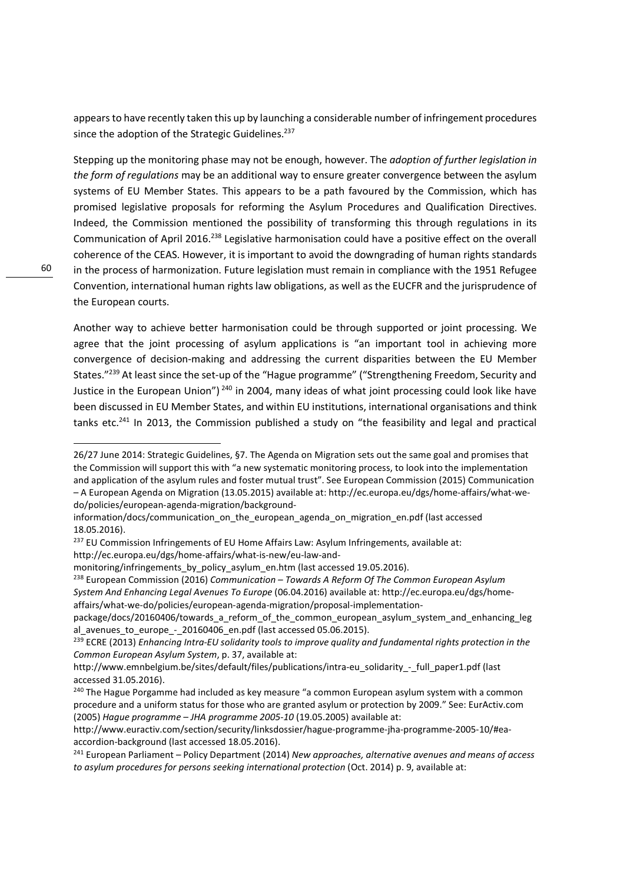appears to have recently taken this up by launching a considerable number of infringement procedures since the adoption of the Strategic Guidelines.<sup>237</sup>

Stepping up the monitoring phase may not be enough, however. The *adoption of further legislation in the form of regulations* may be an additional way to ensure greater convergence between the asylum systems of EU Member States. This appears to be a path favoured by the Commission, which has promised legislative proposals for reforming the Asylum Procedures and Qualification Directives. Indeed, the Commission mentioned the possibility of transforming this through regulations in its Communication of April 2016.<sup>238</sup> Legislative harmonisation could have a positive effect on the overall coherence of the CEAS. However, it is important to avoid the downgrading of human rights standards in the process of harmonization. Future legislation must remain in compliance with the 1951 Refugee Convention, international human rights law obligations, as well as the EUCFR and the jurisprudence of the European courts.

Another way to achieve better harmonisation could be through supported or joint processing. We agree that the joint processing of asylum applications is "an important tool in achieving more convergence of decision-making and addressing the current disparities between the EU Member States."<sup>239</sup> At least since the set-up of the "Hague programme" ("Strengthening Freedom, Security and Justice in the European Union")<sup>240</sup> in 2004, many ideas of what joint processing could look like have been discussed in EU Member States, and within EU institutions, international organisations and think tanks etc.<sup>241</sup> In 2013, the Commission published a study on "the feasibility and legal and practical

<sup>26/27</sup> June 2014: Strategic Guidelines, §7. The Agenda on Migration sets out the same goal and promises that the Commission will support this with "a new systematic monitoring process, to look into the implementation and application of the asylum rules and foster mutual trust". See European Commission (2015) Communication – A European Agenda on Migration (13.05.2015) available at: http://ec.europa.eu/dgs/home-affairs/what-wedo/policies/european-agenda-migration/background-

information/docs/communication\_on\_the\_european\_agenda\_on\_migration\_en.pdf (last accessed 18.05.2016).

 $237$  EU Commission Infringements of EU Home Affairs Law: Asylum Infringements, available at: http://ec.europa.eu/dgs/home-affairs/what-is-new/eu-law-and-

monitoring/infringements\_by\_policy\_asylum\_en.htm (last accessed 19.05.2016).

<sup>238</sup> European Commission (2016) *Communication – Towards A Reform Of The Common European Asylum System And Enhancing Legal Avenues To Europe* (06.04.2016) available at: http://ec.europa.eu/dgs/homeaffairs/what-we-do/policies/european-agenda-migration/proposal-implementation-

package/docs/20160406/towards\_a\_reform\_of\_the\_common\_european\_asylum\_system\_and\_enhancing\_leg al avenues to europe - 20160406 en.pdf (last accessed 05.06.2015).

<sup>239</sup> ECRE (2013) *Enhancing Intra-EU solidarity tools to improve quality and fundamental rights protection in the Common European Asylum System*, p. 37, available at:

http://www.emnbelgium.be/sites/default/files/publications/intra-eu\_solidarity\_-\_full\_paper1.pdf (last accessed 31.05.2016).

<sup>&</sup>lt;sup>240</sup> The Hague Porgamme had included as key measure "a common European asylum system with a common procedure and a uniform status for those who are granted asylum or protection by 2009." See: EurActiv.com (2005) *Hague programme – JHA programme 2005-10* (19.05.2005) available at:

http://www.euractiv.com/section/security/linksdossier/hague-programme-jha-programme-2005-10/#eaaccordion-background (last accessed 18.05.2016).

<sup>241</sup> European Parliament – Policy Department (2014) *New approaches, alternative avenues and means of access to asylum procedures for persons seeking international protection* (Oct. 2014) p. 9, available at: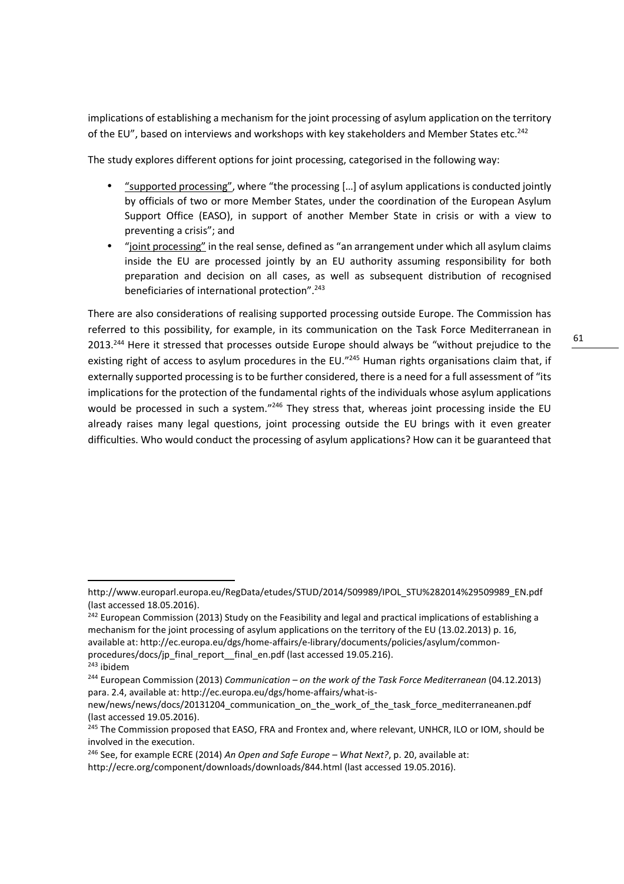implications of establishing a mechanism for the joint processing of asylum application on the territory of the EU", based on interviews and workshops with key stakeholders and Member States etc.<sup>242</sup>

The study explores different options for joint processing, categorised in the following way:

- "supported processing", where "the processing […] of asylum applications is conducted jointly by officials of two or more Member States, under the coordination of the European Asylum Support Office (EASO), in support of another Member State in crisis or with a view to preventing a crisis"; and
- "joint processing" in the real sense, defined as "an arrangement under which all asylum claims inside the EU are processed jointly by an EU authority assuming responsibility for both preparation and decision on all cases, as well as subsequent distribution of recognised beneficiaries of international protection".<sup>243</sup>

There are also considerations of realising supported processing outside Europe. The Commission has referred to this possibility, for example, in its communication on the Task Force Mediterranean in 2013.<sup>244</sup> Here it stressed that processes outside Europe should always be "without prejudice to the existing right of access to asylum procedures in the EU."245 Human rights organisations claim that, if externally supported processing is to be further considered, there is a need for a full assessment of "its implications for the protection of the fundamental rights of the individuals whose asylum applications would be processed in such a system."<sup>246</sup> They stress that, whereas joint processing inside the EU already raises many legal questions, joint processing outside the EU brings with it even greater difficulties. Who would conduct the processing of asylum applications? How can it be guaranteed that

.<br>-

http://www.europarl.europa.eu/RegData/etudes/STUD/2014/509989/IPOL\_STU%282014%29509989\_EN.pdf (last accessed 18.05.2016).

<sup>&</sup>lt;sup>242</sup> European Commission (2013) Study on the Feasibility and legal and practical implications of establishing a mechanism for the joint processing of asylum applications on the territory of the EU (13.02.2013) p. 16, available at: http://ec.europa.eu/dgs/home-affairs/e-library/documents/policies/asylum/commonprocedures/docs/jp\_final\_report\_\_final\_en.pdf (last accessed 19.05.216).

<sup>243</sup> ibidem

<sup>244</sup> European Commission (2013) *Communication – on the work of the Task Force Mediterranean* (04.12.2013) para. 2.4, available at: http://ec.europa.eu/dgs/home-affairs/what-is-

new/news/news/docs/20131204 communication on the work of the task force mediterraneanen.pdf (last accessed 19.05.2016).

<sup>&</sup>lt;sup>245</sup> The Commission proposed that EASO, FRA and Frontex and, where relevant, UNHCR, ILO or IOM, should be involved in the execution.

<sup>246</sup> See, for example ECRE (2014) *An Open and Safe Europe – What Next?*, p. 20, available at: http://ecre.org/component/downloads/downloads/844.html (last accessed 19.05.2016).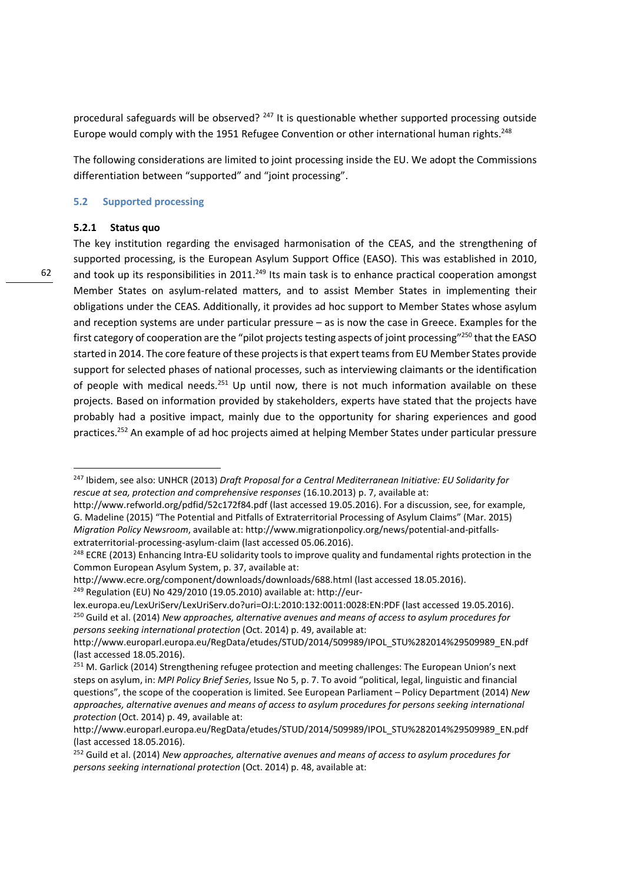procedural safeguards will be observed? <sup>247</sup> It is questionable whether supported processing outside Europe would comply with the 1951 Refugee Convention or other international human rights.<sup>248</sup>

The following considerations are limited to joint processing inside the EU. We adopt the Commissions differentiation between "supported" and "joint processing".

#### **5.2 Supported processing**

#### **5.2.1 Status quo**

.<br>-

The key institution regarding the envisaged harmonisation of the CEAS, and the strengthening of supported processing, is the European Asylum Support Office (EASO). This was established in 2010, and took up its responsibilities in 2011.<sup>249</sup> Its main task is to enhance practical cooperation amongst Member States on asylum-related matters, and to assist Member States in implementing their obligations under the CEAS. Additionally, it provides ad hoc support to Member States whose asylum and reception systems are under particular pressure – as is now the case in Greece. Examples for the first category of cooperation are the "pilot projects testing aspects of joint processing"<sup>250</sup> that the EASO started in 2014. The core feature of these projects is that expert teams from EU Member States provide support for selected phases of national processes, such as interviewing claimants or the identification of people with medical needs.<sup>251</sup> Up until now, there is not much information available on these projects. Based on information provided by stakeholders, experts have stated that the projects have probably had a positive impact, mainly due to the opportunity for sharing experiences and good practices.<sup>252</sup> An example of ad hoc projects aimed at helping Member States under particular pressure

<sup>247</sup> Ibidem, see also: UNHCR (2013) *Draft Proposal for a Central Mediterranean Initiative: EU Solidarity for rescue at sea, protection and comprehensive responses* (16.10.2013) p. 7, available at:

http://www.refworld.org/pdfid/52c172f84.pdf (last accessed 19.05.2016). For a discussion, see, for example, G. Madeline (2015) "The Potential and Pitfalls of Extraterritorial Processing of Asylum Claims" (Mar. 2015) *Migration Policy Newsroom*, available at: http://www.migrationpolicy.org/news/potential-and-pitfallsextraterritorial-processing-asylum-claim (last accessed 05.06.2016).

<sup>&</sup>lt;sup>248</sup> ECRE (2013) Enhancing Intra-EU solidarity tools to improve quality and fundamental rights protection in the Common European Asylum System, p. 37, available at:

http://www.ecre.org/component/downloads/downloads/688.html (last accessed 18.05.2016).

<sup>249</sup> Regulation (EU) No 429/2010 (19.05.2010) available at: http://eur-

lex.europa.eu/LexUriServ/LexUriServ.do?uri=OJ:L:2010:132:0011:0028:EN:PDF (last accessed 19.05.2016). <sup>250</sup> Guild et al. (2014) *New approaches, alternative avenues and means of access to asylum procedures for persons seeking international protection* (Oct. 2014) p. 49, available at:

http://www.europarl.europa.eu/RegData/etudes/STUD/2014/509989/IPOL\_STU%282014%29509989\_EN.pdf (last accessed 18.05.2016).

<sup>&</sup>lt;sup>251</sup> M. Garlick (2014) Strengthening refugee protection and meeting challenges: The European Union's next steps on asylum, in: *MPI Policy Brief Series*, Issue No 5, p. 7. To avoid "political, legal, linguistic and financial questions", the scope of the cooperation is limited. See European Parliament – Policy Department (2014) *New approaches, alternative avenues and means of access to asylum procedures for persons seeking international protection* (Oct. 2014) p. 49, available at:

http://www.europarl.europa.eu/RegData/etudes/STUD/2014/509989/IPOL\_STU%282014%29509989\_EN.pdf (last accessed 18.05.2016).

<sup>252</sup> Guild et al. (2014) *New approaches, alternative avenues and means of access to asylum procedures for persons seeking international protection* (Oct. 2014) p. 48, available at: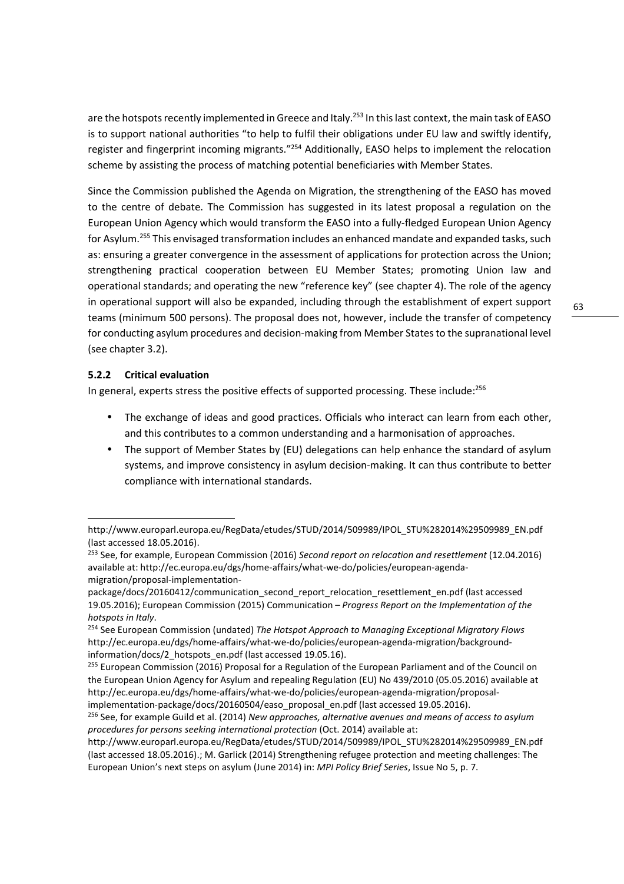are the hotspots recently implemented in Greece and Italy.<sup>253</sup> In this last context, the main task of EASO is to support national authorities "to help to fulfil their obligations under EU law and swiftly identify, register and fingerprint incoming migrants."<sup>254</sup> Additionally, EASO helps to implement the relocation scheme by assisting the process of matching potential beneficiaries with Member States.

Since the Commission published the Agenda on Migration, the strengthening of the EASO has moved to the centre of debate. The Commission has suggested in its latest proposal a regulation on the European Union Agency which would transform the EASO into a fully-fledged European Union Agency for Asylum.<sup>255</sup> This envisaged transformation includes an enhanced mandate and expanded tasks, such as: ensuring a greater convergence in the assessment of applications for protection across the Union; strengthening practical cooperation between EU Member States; promoting Union law and operational standards; and operating the new "reference key" (see chapter 4). The role of the agency in operational support will also be expanded, including through the establishment of expert support teams (minimum 500 persons). The proposal does not, however, include the transfer of competency for conducting asylum procedures and decision-making from Member States to the supranational level (see chapter 3.2).

# **5.2.2 Critical evaluation**

.<br>-

In general, experts stress the positive effects of supported processing. These include:<sup>256</sup>

- The exchange of ideas and good practices. Officials who interact can learn from each other, and this contributes to a common understanding and a harmonisation of approaches.
- The support of Member States by (EU) delegations can help enhance the standard of asylum systems, and improve consistency in asylum decision-making. It can thus contribute to better compliance with international standards.

63

http://www.europarl.europa.eu/RegData/etudes/STUD/2014/509989/IPOL\_STU%282014%29509989\_EN.pdf (last accessed 18.05.2016).

<sup>253</sup> See, for example, European Commission (2016) *Second report on relocation and resettlement* (12.04.2016) available at: http://ec.europa.eu/dgs/home-affairs/what-we-do/policies/european-agendamigration/proposal-implementation-

package/docs/20160412/communication\_second\_report\_relocation\_resettlement\_en.pdf (last accessed 19.05.2016); European Commission (2015) Communication – *Progress Report on the Implementation of the hotspots in Italy*.

<sup>254</sup> See European Commission (undated) *The Hotspot Approach to Managing Exceptional Migratory Flows* http://ec.europa.eu/dgs/home-affairs/what-we-do/policies/european-agenda-migration/backgroundinformation/docs/2\_hotspots\_en.pdf (last accessed 19.05.16).

<sup>&</sup>lt;sup>255</sup> European Commission (2016) Proposal for a Regulation of the European Parliament and of the Council on the European Union Agency for Asylum and repealing Regulation (EU) No 439/2010 (05.05.2016) available at http://ec.europa.eu/dgs/home-affairs/what-we-do/policies/european-agenda-migration/proposalimplementation-package/docs/20160504/easo\_proposal\_en.pdf (last accessed 19.05.2016).

<sup>256</sup> See, for example Guild et al. (2014) *New approaches, alternative avenues and means of access to asylum procedures for persons seeking international protection* (Oct. 2014) available at:

http://www.europarl.europa.eu/RegData/etudes/STUD/2014/509989/IPOL\_STU%282014%29509989\_EN.pdf (last accessed 18.05.2016).; M. Garlick (2014) Strengthening refugee protection and meeting challenges: The European Union's next steps on asylum (June 2014) in: *MPI Policy Brief Series*, Issue No 5, p. 7.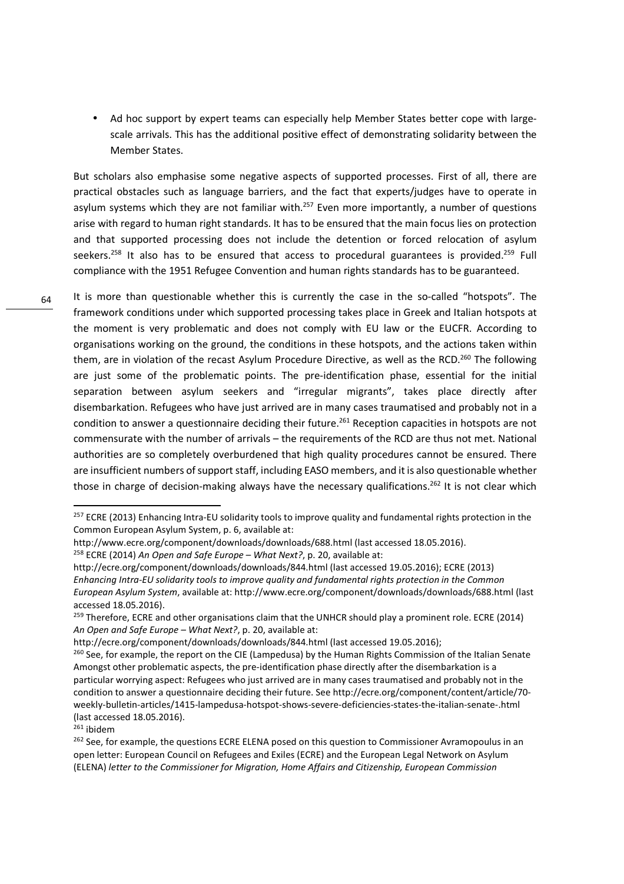• Ad hoc support by expert teams can especially help Member States better cope with largescale arrivals. This has the additional positive effect of demonstrating solidarity between the Member States.

But scholars also emphasise some negative aspects of supported processes. First of all, there are practical obstacles such as language barriers, and the fact that experts/judges have to operate in asylum systems which they are not familiar with.<sup>257</sup> Even more importantly, a number of questions arise with regard to human right standards. It has to be ensured that the main focus lies on protection and that supported processing does not include the detention or forced relocation of asylum seekers.<sup>258</sup> It also has to be ensured that access to procedural guarantees is provided.<sup>259</sup> Full compliance with the 1951 Refugee Convention and human rights standards has to be guaranteed.

It is more than questionable whether this is currently the case in the so-called "hotspots". The framework conditions under which supported processing takes place in Greek and Italian hotspots at the moment is very problematic and does not comply with EU law or the EUCFR. According to organisations working on the ground, the conditions in these hotspots, and the actions taken within them, are in violation of the recast Asylum Procedure Directive, as well as the RCD.<sup>260</sup> The following are just some of the problematic points. The pre-identification phase, essential for the initial separation between asylum seekers and "irregular migrants", takes place directly after disembarkation. Refugees who have just arrived are in many cases traumatised and probably not in a condition to answer a questionnaire deciding their future.<sup>261</sup> Reception capacities in hotspots are not commensurate with the number of arrivals – the requirements of the RCD are thus not met. National authorities are so completely overburdened that high quality procedures cannot be ensured. There are insufficient numbers of support staff, including EASO members, and it is also questionable whether those in charge of decision-making always have the necessary qualifications.<sup>262</sup> It is not clear which

.<br>-

<sup>&</sup>lt;sup>257</sup> ECRE (2013) Enhancing Intra-EU solidarity tools to improve quality and fundamental rights protection in the Common European Asylum System, p. 6, available at:

http://www.ecre.org/component/downloads/downloads/688.html (last accessed 18.05.2016).

<sup>258</sup> ECRE (2014) *An Open and Safe Europe – What Next?*, p. 20, available at:

http://ecre.org/component/downloads/downloads/844.html (last accessed 19.05.2016); ECRE (2013) *Enhancing Intra-EU solidarity tools to improve quality and fundamental rights protection in the Common European Asylum System*, available at: http://www.ecre.org/component/downloads/downloads/688.html (last accessed 18.05.2016).

<sup>&</sup>lt;sup>259</sup> Therefore, ECRE and other organisations claim that the UNHCR should play a prominent role. ECRE (2014) *An Open and Safe Europe – What Next?*, p. 20, available at:

http://ecre.org/component/downloads/downloads/844.html (last accessed 19.05.2016);

<sup>&</sup>lt;sup>260</sup> See, for example, the report on the CIE (Lampedusa) by the Human Rights Commission of the Italian Senate Amongst other problematic aspects, the pre-identification phase directly after the disembarkation is a particular worrying aspect: Refugees who just arrived are in many cases traumatised and probably not in the condition to answer a questionnaire deciding their future. See http://ecre.org/component/content/article/70 weekly-bulletin-articles/1415-lampedusa-hotspot-shows-severe-deficiencies-states-the-italian-senate-.html (last accessed 18.05.2016).

<sup>261</sup> ibidem

<sup>&</sup>lt;sup>262</sup> See, for example, the questions ECRE ELENA posed on this question to Commissioner Avramopoulus in an open letter: European Council on Refugees and Exiles (ECRE) and the European Legal Network on Asylum (ELENA) *letter to the Commissioner for Migration, Home Affairs and Citizenship, European Commission*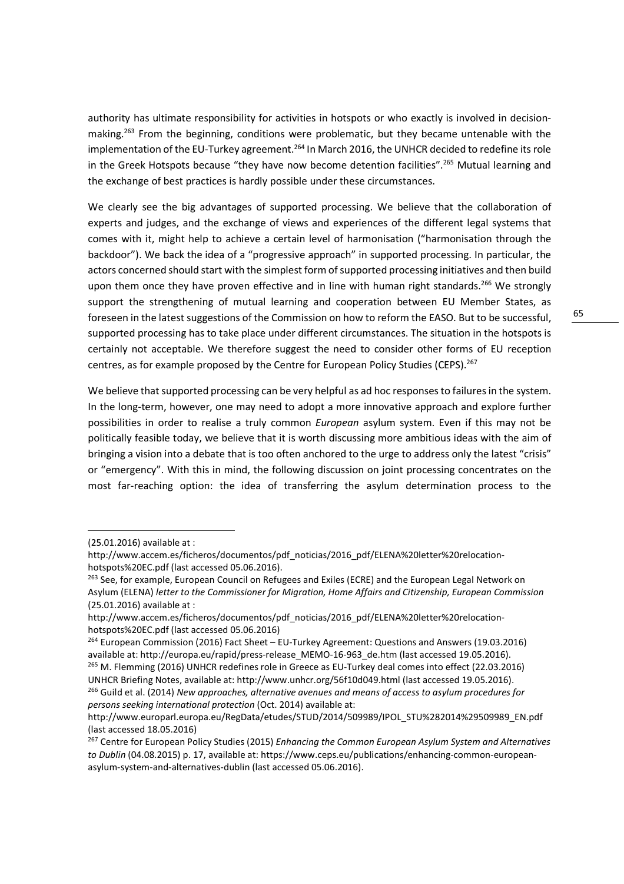authority has ultimate responsibility for activities in hotspots or who exactly is involved in decisionmaking.<sup>263</sup> From the beginning, conditions were problematic, but they became untenable with the implementation of the EU-Turkey agreement.<sup>264</sup> In March 2016, the UNHCR decided to redefine its role in the Greek Hotspots because "they have now become detention facilities".<sup>265</sup> Mutual learning and the exchange of best practices is hardly possible under these circumstances.

We clearly see the big advantages of supported processing. We believe that the collaboration of experts and judges, and the exchange of views and experiences of the different legal systems that comes with it, might help to achieve a certain level of harmonisation ("harmonisation through the backdoor"). We back the idea of a "progressive approach" in supported processing. In particular, the actors concerned should start with the simplest form of supported processing initiatives and then build upon them once they have proven effective and in line with human right standards.<sup>266</sup> We strongly support the strengthening of mutual learning and cooperation between EU Member States, as foreseen in the latest suggestions of the Commission on how to reform the EASO. But to be successful, supported processing has to take place under different circumstances. The situation in the hotspots is certainly not acceptable. We therefore suggest the need to consider other forms of EU reception centres, as for example proposed by the Centre for European Policy Studies (CEPS).<sup>267</sup>

We believe that supported processing can be very helpful as ad hoc responses to failures in the system. In the long-term, however, one may need to adopt a more innovative approach and explore further possibilities in order to realise a truly common *European* asylum system. Even if this may not be politically feasible today, we believe that it is worth discussing more ambitious ideas with the aim of bringing a vision into a debate that is too often anchored to the urge to address only the latest "crisis" or "emergency". With this in mind, the following discussion on joint processing concentrates on the most far-reaching option: the idea of transferring the asylum determination process to the

.<br>-

<sup>(25.01.2016)</sup> available at :

http://www.accem.es/ficheros/documentos/pdf\_noticias/2016\_pdf/ELENA%20letter%20relocationhotspots%20EC.pdf (last accessed 05.06.2016).

<sup>&</sup>lt;sup>263</sup> See, for example, European Council on Refugees and Exiles (ECRE) and the European Legal Network on Asylum (ELENA) *letter to the Commissioner for Migration, Home Affairs and Citizenship, European Commission*  (25.01.2016) available at :

http://www.accem.es/ficheros/documentos/pdf\_noticias/2016\_pdf/ELENA%20letter%20relocationhotspots%20EC.pdf (last accessed 05.06.2016)

<sup>264</sup> European Commission (2016) Fact Sheet – EU-Turkey Agreement: Questions and Answers (19.03.2016) available at: http://europa.eu/rapid/press-release MEMO-16-963 de.htm (last accessed 19.05.2016).

<sup>&</sup>lt;sup>265</sup> M. Flemming (2016) UNHCR redefines role in Greece as EU-Turkey deal comes into effect (22.03.2016) UNHCR Briefing Notes, available at: http://www.unhcr.org/56f10d049.html (last accessed 19.05.2016). <sup>266</sup> Guild et al. (2014) *New approaches, alternative avenues and means of access to asylum procedures for persons seeking international protection* (Oct. 2014) available at:

http://www.europarl.europa.eu/RegData/etudes/STUD/2014/509989/IPOL\_STU%282014%29509989\_EN.pdf (last accessed 18.05.2016)

<sup>267</sup> Centre for European Policy Studies (2015) *Enhancing the Common European Asylum System and Alternatives to Dublin* (04.08.2015) p. 17, available at: https://www.ceps.eu/publications/enhancing-common-europeanasylum-system-and-alternatives-dublin (last accessed 05.06.2016).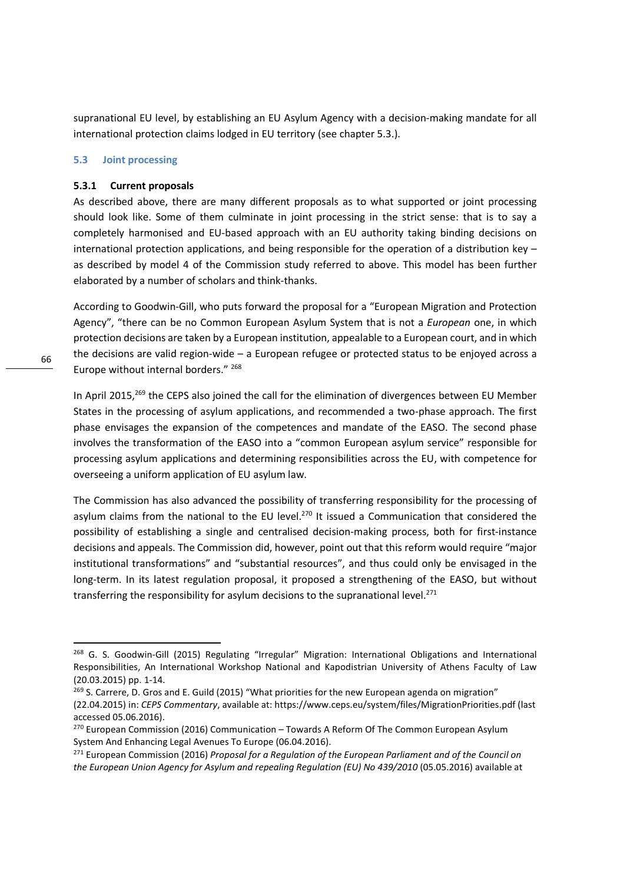supranational EU level, by establishing an EU Asylum Agency with a decision-making mandate for all international protection claims lodged in EU territory (see chapter 5.3.).

#### **5.3 Joint processing**

#### **5.3.1 Current proposals**

As described above, there are many different proposals as to what supported or joint processing should look like. Some of them culminate in joint processing in the strict sense: that is to say a completely harmonised and EU-based approach with an EU authority taking binding decisions on international protection applications, and being responsible for the operation of a distribution key – as described by model 4 of the Commission study referred to above. This model has been further elaborated by a number of scholars and think-thanks.

According to Goodwin-Gill, who puts forward the proposal for a "European Migration and Protection Agency", "there can be no Common European Asylum System that is not a *European* one, in which protection decisions are taken by a European institution, appealable to a European court, and in which the decisions are valid region-wide – a European refugee or protected status to be enjoyed across a Europe without internal borders."<sup>268</sup>

In April 2015,<sup>269</sup> the CEPS also joined the call for the elimination of divergences between EU Member States in the processing of asylum applications, and recommended a two-phase approach. The first phase envisages the expansion of the competences and mandate of the EASO. The second phase involves the transformation of the EASO into a "common European asylum service" responsible for processing asylum applications and determining responsibilities across the EU, with competence for overseeing a uniform application of EU asylum law.

The Commission has also advanced the possibility of transferring responsibility for the processing of asylum claims from the national to the EU level.<sup>270</sup> It issued a Communication that considered the possibility of establishing a single and centralised decision-making process, both for first-instance decisions and appeals. The Commission did, however, point out that this reform would require "major institutional transformations" and "substantial resources", and thus could only be envisaged in the long-term. In its latest regulation proposal, it proposed a strengthening of the EASO, but without transferring the responsibility for asylum decisions to the supranational level. $^{271}$ 

<sup>&</sup>lt;sup>268</sup> G. S. Goodwin-Gill (2015) Regulating "Irregular" Migration: International Obligations and International Responsibilities, An International Workshop National and Kapodistrian University of Athens Faculty of Law (20.03.2015) pp. 1-14.

<sup>&</sup>lt;sup>269</sup> S. Carrere, D. Gros and E. Guild (2015) "What priorities for the new European agenda on migration" (22.04.2015) in: *CEPS Commentary*, available at: https://www.ceps.eu/system/files/MigrationPriorities.pdf (last accessed 05.06.2016).

 $270$  European Commission (2016) Communication – Towards A Reform Of The Common European Asylum System And Enhancing Legal Avenues To Europe (06.04.2016).

<sup>271</sup> European Commission (2016) *Proposal for a Regulation of the European Parliament and of the Council on the European Union Agency for Asylum and repealing Regulation (EU) No 439/2010* (05.05.2016) available at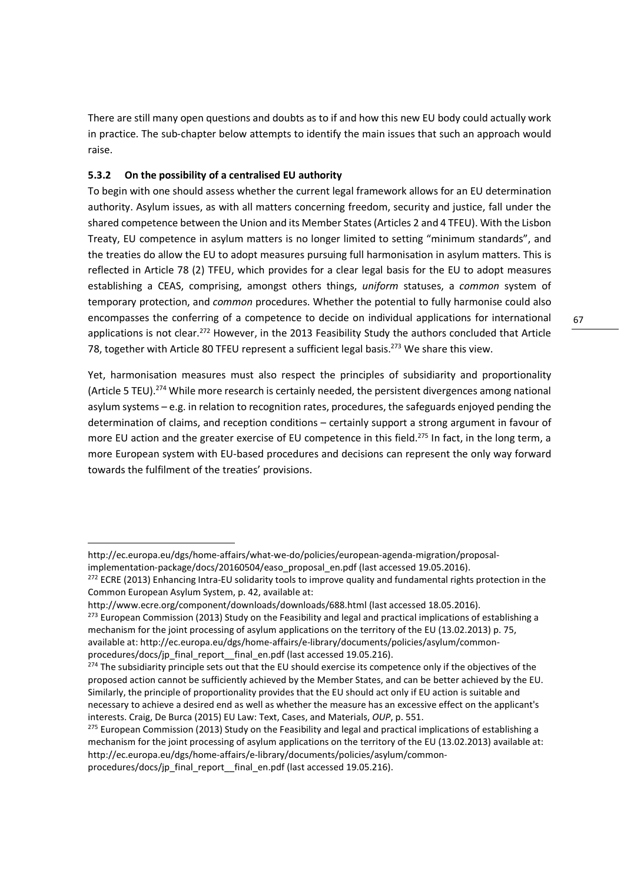There are still many open questions and doubts as to if and how this new EU body could actually work in practice. The sub-chapter below attempts to identify the main issues that such an approach would raise.

## **5.3.2 On the possibility of a centralised EU authority**

.<br>-

To begin with one should assess whether the current legal framework allows for an EU determination authority. Asylum issues, as with all matters concerning freedom, security and justice, fall under the shared competence between the Union and its Member States (Articles 2 and 4 TFEU). With the Lisbon Treaty, EU competence in asylum matters is no longer limited to setting "minimum standards", and the treaties do allow the EU to adopt measures pursuing full harmonisation in asylum matters. This is reflected in Article 78 (2) TFEU, which provides for a clear legal basis for the EU to adopt measures establishing a CEAS, comprising, amongst others things, *uniform* statuses, a *common* system of temporary protection, and *common* procedures. Whether the potential to fully harmonise could also encompasses the conferring of a competence to decide on individual applications for international applications is not clear.<sup>272</sup> However, in the 2013 Feasibility Study the authors concluded that Article 78, together with Article 80 TFEU represent a sufficient legal basis.<sup>273</sup> We share this view.

Yet, harmonisation measures must also respect the principles of subsidiarity and proportionality (Article 5 TEU).<sup>274</sup> While more research is certainly needed, the persistent divergences among national asylum systems – e.g. in relation to recognition rates, procedures, the safeguards enjoyed pending the determination of claims, and reception conditions – certainly support a strong argument in favour of more EU action and the greater exercise of EU competence in this field.<sup>275</sup> In fact, in the long term, a more European system with EU-based procedures and decisions can represent the only way forward towards the fulfilment of the treaties' provisions.

http://ec.europa.eu/dgs/home-affairs/what-we-do/policies/european-agenda-migration/proposalimplementation-package/docs/20160504/easo\_proposal\_en.pdf (last accessed 19.05.2016).

<sup>&</sup>lt;sup>272</sup> ECRE (2013) Enhancing Intra-EU solidarity tools to improve quality and fundamental rights protection in the Common European Asylum System, p. 42, available at:

http://www.ecre.org/component/downloads/downloads/688.html (last accessed 18.05.2016).

<sup>&</sup>lt;sup>273</sup> European Commission (2013) Study on the Feasibility and legal and practical implications of establishing a mechanism for the joint processing of asylum applications on the territory of the EU (13.02.2013) p. 75, available at: http://ec.europa.eu/dgs/home-affairs/e-library/documents/policies/asylum/commonprocedures/docs/jp\_final\_report\_\_final\_en.pdf (last accessed 19.05.216).

<sup>&</sup>lt;sup>274</sup> The subsidiarity principle sets out that the EU should exercise its competence only if the objectives of the proposed action cannot be sufficiently achieved by the Member States, and can be better achieved by the EU. Similarly, the principle of proportionality provides that the EU should act only if EU action is suitable and necessary to achieve a desired end as well as whether the measure has an excessive effect on the applicant's interests. Craig, De Burca (2015) EU Law: Text, Cases, and Materials, *OUP*, p. 551.

<sup>&</sup>lt;sup>275</sup> European Commission (2013) Study on the Feasibility and legal and practical implications of establishing a mechanism for the joint processing of asylum applications on the territory of the EU (13.02.2013) available at: http://ec.europa.eu/dgs/home-affairs/e-library/documents/policies/asylum/commonprocedures/docs/jp\_final\_report\_\_final\_en.pdf (last accessed 19.05.216).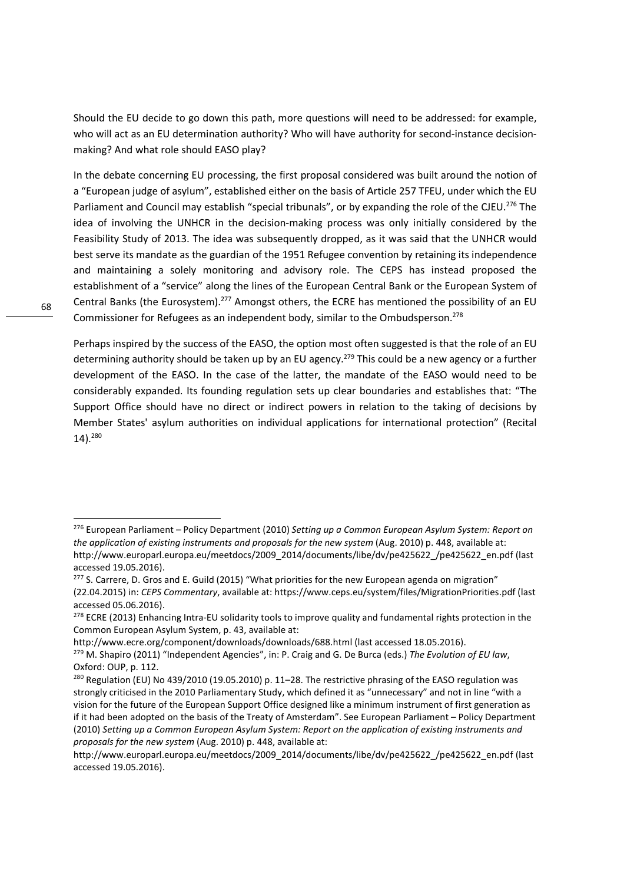Should the EU decide to go down this path, more questions will need to be addressed: for example, who will act as an EU determination authority? Who will have authority for second-instance decisionmaking? And what role should EASO play?

In the debate concerning EU processing, the first proposal considered was built around the notion of a "European judge of asylum", established either on the basis of Article 257 TFEU, under which the EU Parliament and Council may establish "special tribunals", or by expanding the role of the CJEU.<sup>276</sup> The idea of involving the UNHCR in the decision-making process was only initially considered by the Feasibility Study of 2013. The idea was subsequently dropped, as it was said that the UNHCR would best serve its mandate as the guardian of the 1951 Refugee convention by retaining its independence and maintaining a solely monitoring and advisory role. The CEPS has instead proposed the establishment of a "service" along the lines of the European Central Bank or the European System of Central Banks (the Eurosystem).<sup>277</sup> Amongst others, the ECRE has mentioned the possibility of an EU Commissioner for Refugees as an independent body, similar to the Ombudsperson.<sup>278</sup>

Perhaps inspired by the success of the EASO, the option most often suggested is that the role of an EU determining authority should be taken up by an EU agency.<sup>279</sup> This could be a new agency or a further development of the EASO. In the case of the latter, the mandate of the EASO would need to be considerably expanded. Its founding regulation sets up clear boundaries and establishes that: "The Support Office should have no direct or indirect powers in relation to the taking of decisions by Member States' asylum authorities on individual applications for international protection" (Recital 14).<sup>280</sup>

http://www.ecre.org/component/downloads/downloads/688.html (last accessed 18.05.2016).

.<br>-

<sup>276</sup> European Parliament – Policy Department (2010) *Setting up a Common European Asylum System: Report on the application of existing instruments and proposals for the new system* (Aug. 2010) p. 448, available at: http://www.europarl.europa.eu/meetdocs/2009\_2014/documents/libe/dv/pe425622\_/pe425622\_en.pdf (last accessed 19.05.2016).

<sup>&</sup>lt;sup>277</sup> S. Carrere, D. Gros and E. Guild (2015) "What priorities for the new European agenda on migration" (22.04.2015) in: *CEPS Commentary*, available at: https://www.ceps.eu/system/files/MigrationPriorities.pdf (last accessed 05.06.2016).

<sup>&</sup>lt;sup>278</sup> ECRE (2013) Enhancing Intra-EU solidarity tools to improve quality and fundamental rights protection in the Common European Asylum System, p. 43, available at:

<sup>279</sup> M. Shapiro (2011) "Independent Agencies", in: P. Craig and G. De Burca (eds.) *The Evolution of EU law*, Oxford: OUP, p. 112.

<sup>&</sup>lt;sup>280</sup> Regulation (EU) No 439/2010 (19.05.2010) p. 11–28. The restrictive phrasing of the EASO regulation was strongly criticised in the 2010 Parliamentary Study, which defined it as "unnecessary" and not in line "with a vision for the future of the European Support Office designed like a minimum instrument of first generation as if it had been adopted on the basis of the Treaty of Amsterdam". See European Parliament – Policy Department (2010) *Setting up a Common European Asylum System: Report on the application of existing instruments and proposals for the new system* (Aug. 2010) p. 448, available at:

http://www.europarl.europa.eu/meetdocs/2009\_2014/documents/libe/dv/pe425622\_/pe425622\_en.pdf (last accessed 19.05.2016).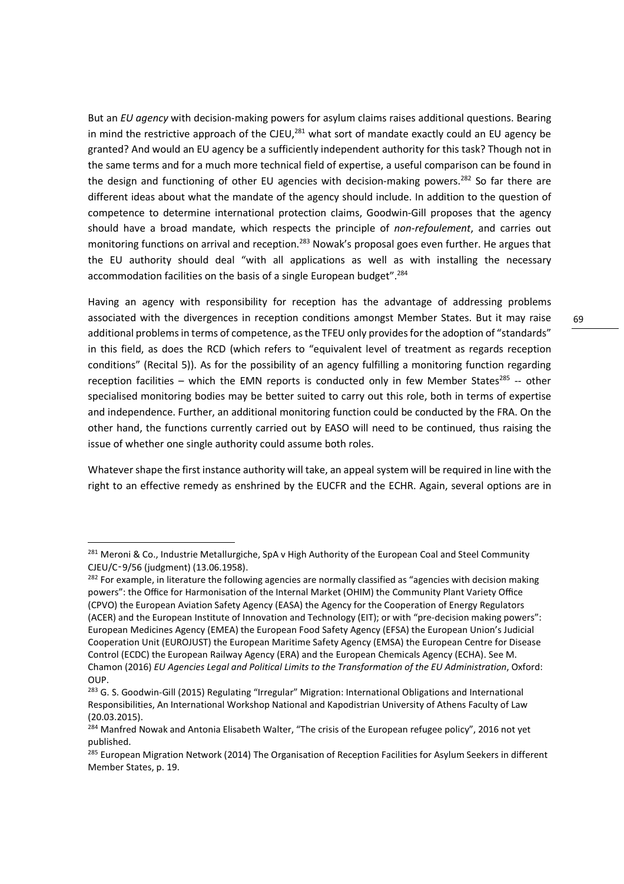But an *EU agency* with decision-making powers for asylum claims raises additional questions. Bearing in mind the restrictive approach of the CJEU, $^{281}$  what sort of mandate exactly could an EU agency be granted? And would an EU agency be a sufficiently independent authority for this task? Though not in the same terms and for a much more technical field of expertise, a useful comparison can be found in the design and functioning of other EU agencies with decision-making powers.<sup>282</sup> So far there are different ideas about what the mandate of the agency should include. In addition to the question of competence to determine international protection claims, Goodwin-Gill proposes that the agency should have a broad mandate, which respects the principle of *non-refoulement*, and carries out monitoring functions on arrival and reception.<sup>283</sup> Nowak's proposal goes even further. He argues that the EU authority should deal "with all applications as well as with installing the necessary accommodation facilities on the basis of a single European budget".<sup>284</sup>

Having an agency with responsibility for reception has the advantage of addressing problems associated with the divergences in reception conditions amongst Member States. But it may raise additional problems in terms of competence, as the TFEU only provides for the adoption of "standards" in this field, as does the RCD (which refers to "equivalent level of treatment as regards reception conditions" (Recital 5)). As for the possibility of an agency fulfilling a monitoring function regarding reception facilities – which the EMN reports is conducted only in few Member States<sup>285</sup> -- other specialised monitoring bodies may be better suited to carry out this role, both in terms of expertise and independence. Further, an additional monitoring function could be conducted by the FRA. On the other hand, the functions currently carried out by EASO will need to be continued, thus raising the issue of whether one single authority could assume both roles.

Whatever shape the first instance authority will take, an appeal system will be required in line with the right to an effective remedy as enshrined by the EUCFR and the ECHR. Again, several options are in

<sup>&</sup>lt;sup>281</sup> Meroni & Co., Industrie Metallurgiche, SpA v High Authority of the European Coal and Steel Community CJEU/C‑9/56 (judgment) (13.06.1958).

<sup>&</sup>lt;sup>282</sup> For example, in literature the following agencies are normally classified as "agencies with decision making powers": the Office for Harmonisation of the Internal Market (OHIM) the Community Plant Variety Office (CPVO) the European Aviation Safety Agency (EASA) the Agency for the Cooperation of Energy Regulators (ACER) and the European Institute of Innovation and Technology (EIT); or with "pre-decision making powers": European Medicines Agency (EMEA) the European Food Safety Agency (EFSA) the European Union's Judicial Cooperation Unit (EUROJUST) the European Maritime Safety Agency (EMSA) the European Centre for Disease Control (ECDC) the European Railway Agency (ERA) and the European Chemicals Agency (ECHA). See M. Chamon (2016) *EU Agencies Legal and Political Limits to the Transformation of the EU Administration*, Oxford: OUP.

<sup>&</sup>lt;sup>283</sup> G. S. Goodwin-Gill (2015) Regulating "Irregular" Migration: International Obligations and International Responsibilities, An International Workshop National and Kapodistrian University of Athens Faculty of Law (20.03.2015).

<sup>&</sup>lt;sup>284</sup> Manfred Nowak and Antonia Elisabeth Walter, "The crisis of the European refugee policy", 2016 not yet published.

<sup>&</sup>lt;sup>285</sup> European Migration Network (2014) The Organisation of Reception Facilities for Asylum Seekers in different Member States, p. 19.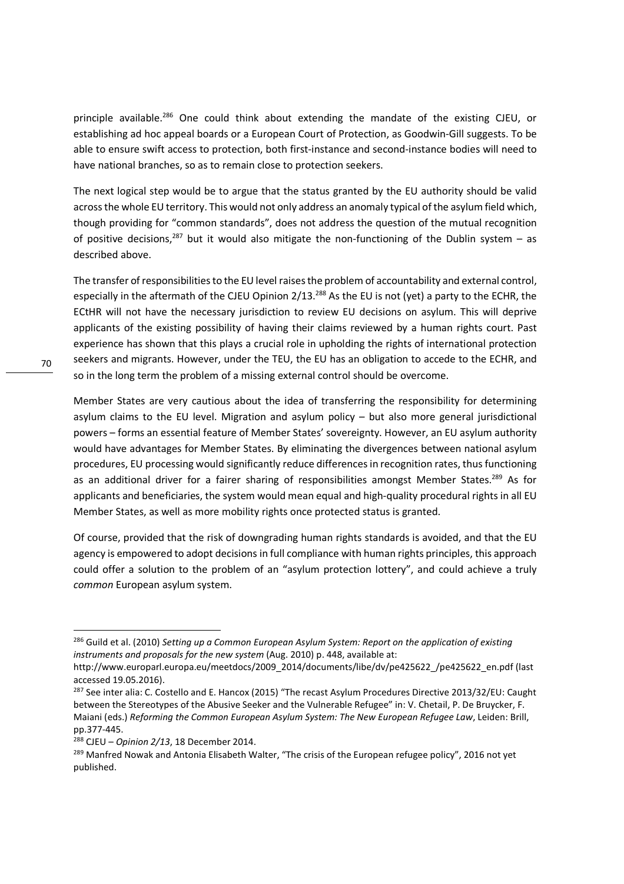principle available.<sup>286</sup> One could think about extending the mandate of the existing CJEU, or establishing ad hoc appeal boards or a European Court of Protection, as Goodwin-Gill suggests. To be able to ensure swift access to protection, both first-instance and second-instance bodies will need to have national branches, so as to remain close to protection seekers.

The next logical step would be to argue that the status granted by the EU authority should be valid across the whole EU territory. This would not only address an anomaly typical of the asylum field which, though providing for "common standards", does not address the question of the mutual recognition of positive decisions,<sup>287</sup> but it would also mitigate the non-functioning of the Dublin system – as described above.

The transfer of responsibilities to the EU level raises the problem of accountability and external control, especially in the aftermath of the CJEU Opinion 2/13.<sup>288</sup> As the EU is not (yet) a party to the ECHR, the ECtHR will not have the necessary jurisdiction to review EU decisions on asylum. This will deprive applicants of the existing possibility of having their claims reviewed by a human rights court. Past experience has shown that this plays a crucial role in upholding the rights of international protection seekers and migrants. However, under the TEU, the EU has an obligation to accede to the ECHR, and so in the long term the problem of a missing external control should be overcome.

Member States are very cautious about the idea of transferring the responsibility for determining asylum claims to the EU level. Migration and asylum policy – but also more general jurisdictional powers – forms an essential feature of Member States' sovereignty. However, an EU asylum authority would have advantages for Member States. By eliminating the divergences between national asylum procedures, EU processing would significantly reduce differences in recognition rates, thus functioning as an additional driver for a fairer sharing of responsibilities amongst Member States.<sup>289</sup> As for applicants and beneficiaries, the system would mean equal and high-quality procedural rights in all EU Member States, as well as more mobility rights once protected status is granted.

Of course, provided that the risk of downgrading human rights standards is avoided, and that the EU agency is empowered to adopt decisions in full compliance with human rights principles, this approach could offer a solution to the problem of an "asylum protection lottery", and could achieve a truly *common* European asylum system.

.<br>-

<sup>286</sup> Guild et al. (2010) *Setting up a Common European Asylum System: Report on the application of existing instruments and proposals for the new system* (Aug. 2010) p. 448, available at:

http://www.europarl.europa.eu/meetdocs/2009\_2014/documents/libe/dv/pe425622\_/pe425622\_en.pdf (last accessed 19.05.2016).

<sup>&</sup>lt;sup>287</sup> See inter alia: C. Costello and E. Hancox (2015) "The recast Asylum Procedures Directive 2013/32/EU: Caught between the Stereotypes of the Abusive Seeker and the Vulnerable Refugee" in: V. Chetail, P. De Bruycker, F. Maiani (eds.) *Reforming the Common European Asylum System: The New European Refugee Law*, Leiden: Brill, pp.377-445.

<sup>288</sup> CJEU – *Opinion 2/13*, 18 December 2014.

<sup>&</sup>lt;sup>289</sup> Manfred Nowak and Antonia Elisabeth Walter, "The crisis of the European refugee policy", 2016 not yet published.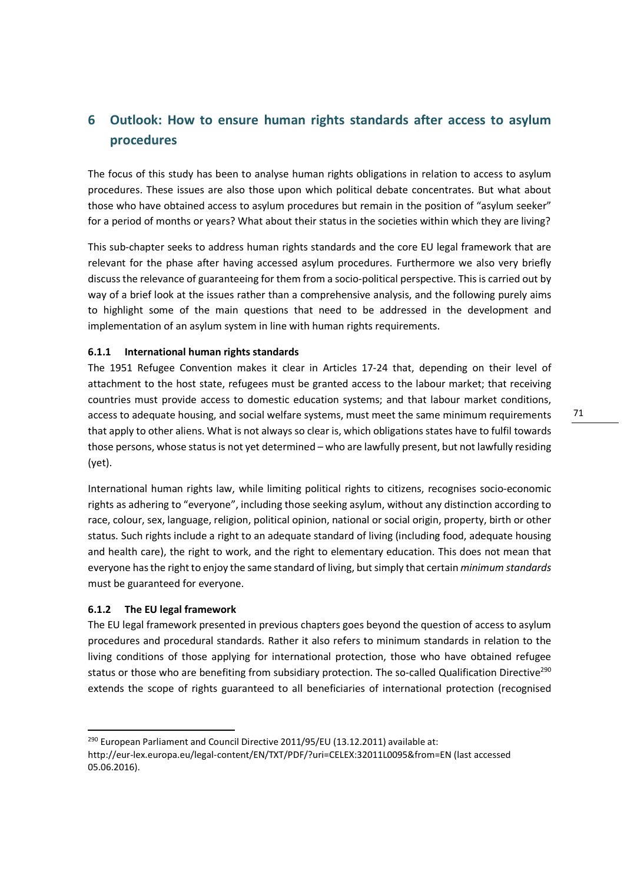# **6 Outlook: How to ensure human rights standards after access to asylum procedures**

The focus of this study has been to analyse human rights obligations in relation to access to asylum procedures. These issues are also those upon which political debate concentrates. But what about those who have obtained access to asylum procedures but remain in the position of "asylum seeker" for a period of months or years? What about their status in the societies within which they are living?

This sub-chapter seeks to address human rights standards and the core EU legal framework that are relevant for the phase after having accessed asylum procedures. Furthermore we also very briefly discuss the relevance of guaranteeing for them from a socio-political perspective. This is carried out by way of a brief look at the issues rather than a comprehensive analysis, and the following purely aims to highlight some of the main questions that need to be addressed in the development and implementation of an asylum system in line with human rights requirements.

#### **6.1.1 International human rights standards**

The 1951 Refugee Convention makes it clear in Articles 17-24 that, depending on their level of attachment to the host state, refugees must be granted access to the labour market; that receiving countries must provide access to domestic education systems; and that labour market conditions, access to adequate housing, and social welfare systems, must meet the same minimum requirements that apply to other aliens. What is not always so clear is, which obligations states have to fulfil towards those persons, whose status is not yet determined – who are lawfully present, but not lawfully residing (yet).

International human rights law, while limiting political rights to citizens, recognises socio-economic rights as adhering to "everyone", including those seeking asylum, without any distinction according to race, colour, sex, language, religion, political opinion, national or social origin, property, birth or other status. Such rights include a right to an adequate standard of living (including food, adequate housing and health care), the right to work, and the right to elementary education. This does not mean that everyone has the right to enjoy the same standard of living, but simply that certain *minimum standards* must be guaranteed for everyone.

#### **6.1.2 The EU legal framework**

<u>.</u>

The EU legal framework presented in previous chapters goes beyond the question of access to asylum procedures and procedural standards. Rather it also refers to minimum standards in relation to the living conditions of those applying for international protection, those who have obtained refugee status or those who are benefiting from subsidiary protection. The so-called Qualification Directive<sup>290</sup> extends the scope of rights guaranteed to all beneficiaries of international protection (recognised

<sup>&</sup>lt;sup>290</sup> European Parliament and Council Directive 2011/95/EU (13.12.2011) available at: http://eur-lex.europa.eu/legal-content/EN/TXT/PDF/?uri=CELEX:32011L0095&from=EN (last accessed 05.06.2016).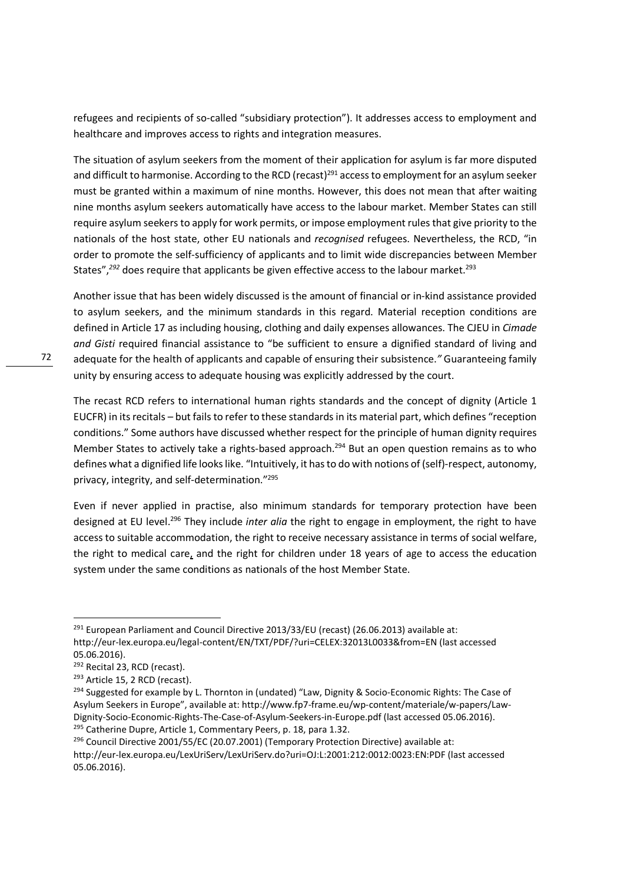refugees and recipients of so-called "subsidiary protection"). It addresses access to employment and healthcare and improves access to rights and integration measures.

The situation of asylum seekers from the moment of their application for asylum is far more disputed and difficult to harmonise. According to the RCD (recast)<sup>291</sup> access to employment for an asylum seeker must be granted within a maximum of nine months. However, this does not mean that after waiting nine months asylum seekers automatically have access to the labour market. Member States can still require asylum seekers to apply for work permits, or impose employment rules that give priority to the nationals of the host state, other EU nationals and *recognised* refugees. Nevertheless, the RCD, "in order to promote the self-sufficiency of applicants and to limit wide discrepancies between Member States",<sup>292</sup> does require that applicants be given effective access to the labour market.<sup>293</sup>

Another issue that has been widely discussed is the amount of financial or in-kind assistance provided to asylum seekers, and the minimum standards in this regard. Material reception conditions are defined in Article 17 as including housing, clothing and daily expenses allowances. The CJEU in *Cimade and Gisti* required financial assistance to "be sufficient to ensure a dignified standard of living and adequate for the health of applicants and capable of ensuring their subsistence.*"* Guaranteeing family unity by ensuring access to adequate housing was explicitly addressed by the court.

The recast RCD refers to international human rights standards and the concept of dignity (Article 1 EUCFR) in its recitals – but fails to refer to these standards in its material part, which defines "reception conditions." Some authors have discussed whether respect for the principle of human dignity requires Member States to actively take a rights-based approach.<sup>294</sup> But an open question remains as to who defines what a dignified life looks like. "Intuitively, it has to do with notions of (self)-respect, autonomy, privacy, integrity, and self-determination."<sup>295</sup>

Even if never applied in practise, also minimum standards for temporary protection have been designed at EU level.<sup>296</sup> They include *inter alia* the right to engage in employment, the right to have access to suitable accommodation, the right to receive necessary assistance in terms of social welfare, the right to medical care, and the right for children under 18 years of age to access the education system under the same conditions as nationals of the host Member State.

<u>.</u>

<sup>&</sup>lt;sup>291</sup> European Parliament and Council Directive 2013/33/EU (recast) (26.06.2013) available at: http://eur-lex.europa.eu/legal-content/EN/TXT/PDF/?uri=CELEX:32013L0033&from=EN (last accessed 05.06.2016).

<sup>292</sup> Recital 23, RCD (recast).

<sup>&</sup>lt;sup>293</sup> Article 15, 2 RCD (recast).

<sup>&</sup>lt;sup>294</sup> Suggested for example by L. Thornton in (undated) "Law, Dignity & Socio-Economic Rights: The Case of Asylum Seekers in Europe", available at: http://www.fp7-frame.eu/wp-content/materiale/w-papers/Law-Dignity-Socio-Economic-Rights-The-Case-of-Asylum-Seekers-in-Europe.pdf (last accessed 05.06.2016). <sup>295</sup> Catherine Dupre, Article 1, Commentary Peers, p. 18, para 1.32.

<sup>&</sup>lt;sup>296</sup> Council Directive 2001/55/EC (20.07.2001) (Temporary Protection Directive) available at: http://eur-lex.europa.eu/LexUriServ/LexUriServ.do?uri=OJ:L:2001:212:0012:0023:EN:PDF (last accessed 05.06.2016).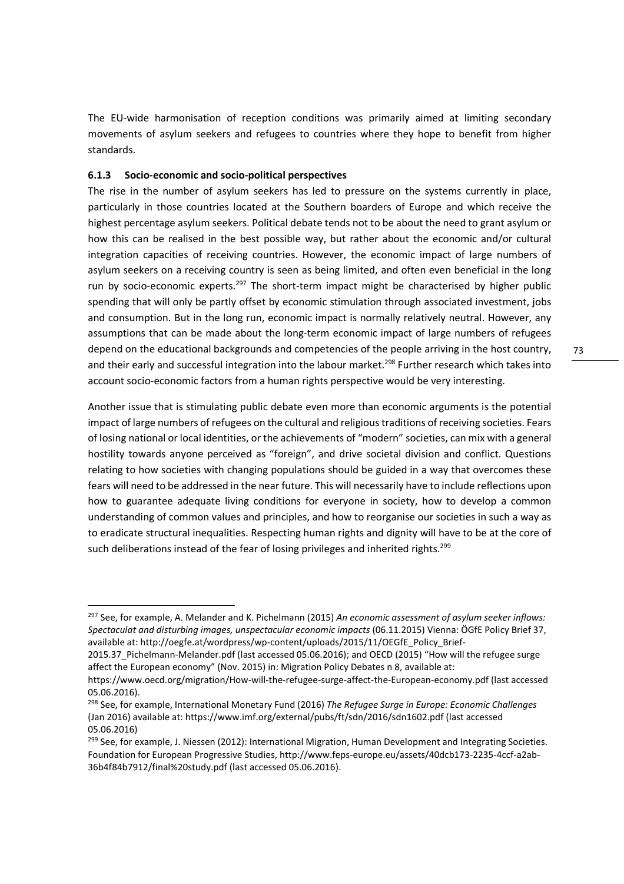The EU-wide harmonisation of reception conditions was primarily aimed at limiting secondary movements of asylum seekers and refugees to countries where they hope to benefit from higher standards.

#### **6.1.3 Socio-economic and socio-political perspectives**

<u>.</u>

The rise in the number of asylum seekers has led to pressure on the systems currently in place, particularly in those countries located at the Southern boarders of Europe and which receive the highest percentage asylum seekers. Political debate tends not to be about the need to grant asylum or how this can be realised in the best possible way, but rather about the economic and/or cultural integration capacities of receiving countries. However, the economic impact of large numbers of asylum seekers on a receiving country is seen as being limited, and often even beneficial in the long run by socio-economic experts.<sup>297</sup> The short-term impact might be characterised by higher public spending that will only be partly offset by economic stimulation through associated investment, jobs and consumption. But in the long run, economic impact is normally relatively neutral. However, any assumptions that can be made about the long-term economic impact of large numbers of refugees depend on the educational backgrounds and competencies of the people arriving in the host country, and their early and successful integration into the labour market.<sup>298</sup> Further research which takes into account socio-economic factors from a human rights perspective would be very interesting.

Another issue that is stimulating public debate even more than economic arguments is the potential impact of large numbers of refugees on the cultural and religious traditions of receiving societies. Fears of losing national or local identities, or the achievements of "modern" societies, can mix with a general hostility towards anyone perceived as "foreign", and drive societal division and conflict. Questions relating to how societies with changing populations should be guided in a way that overcomes these fears will need to be addressed in the near future. This will necessarily have to include reflections upon how to guarantee adequate living conditions for everyone in society, how to develop a common understanding of common values and principles, and how to reorganise our societies in such a way as to eradicate structural inequalities. Respecting human rights and dignity will have to be at the core of such deliberations instead of the fear of losing privileges and inherited rights.<sup>299</sup>

<sup>297</sup> See, for example, A. Melander and K. Pichelmann (2015) *An economic assessment of asylum seeker inflows: Spectaculat and disturbing images, unspectacular economic impacts* (06.11.2015) Vienna: ÖGfE Policy Brief 37, available at: http://oegfe.at/wordpress/wp-content/uploads/2015/11/OEGfE\_Policy\_Brief-

<sup>2015.37</sup> Pichelmann-Melander.pdf (last accessed 05.06.2016); and OECD (2015) "How will the refugee surge affect the European economy" (Nov. 2015) in: Migration Policy Debates n 8, available at:

https://www.oecd.org/migration/How-will-the-refugee-surge-affect-the-European-economy.pdf (last accessed 05.06.2016).

<sup>298</sup> See, for example, International Monetary Fund (2016) *The Refugee Surge in Europe: Economic Challenges* (Jan 2016) available at: https://www.imf.org/external/pubs/ft/sdn/2016/sdn1602.pdf (last accessed 05.06.2016)

 $^{299}$  See, for example, J. Niessen (2012): International Migration, Human Development and Integrating Societies. Foundation for European Progressive Studies, http://www.feps-europe.eu/assets/40dcb173-2235-4ccf-a2ab-36b4f84b7912/final%20study.pdf (last accessed 05.06.2016).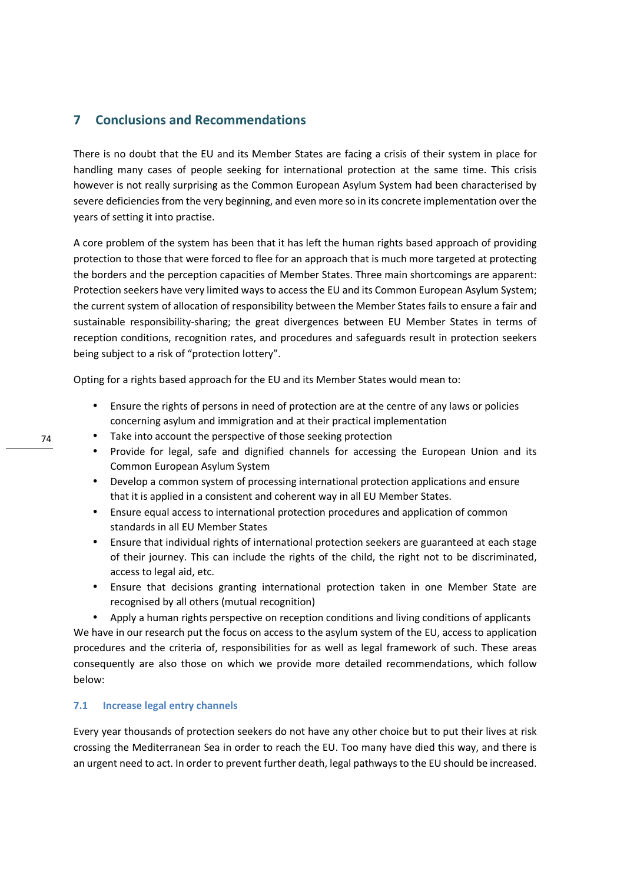## **7 Conclusions and Recommendations**

There is no doubt that the EU and its Member States are facing a crisis of their system in place for handling many cases of people seeking for international protection at the same time. This crisis however is not really surprising as the Common European Asylum System had been characterised by severe deficiencies from the very beginning, and even more so in its concrete implementation over the years of setting it into practise.

A core problem of the system has been that it has left the human rights based approach of providing protection to those that were forced to flee for an approach that is much more targeted at protecting the borders and the perception capacities of Member States. Three main shortcomings are apparent: Protection seekers have very limited ways to access the EU and its Common European Asylum System; the current system of allocation of responsibility between the Member States fails to ensure a fair and sustainable responsibility-sharing; the great divergences between EU Member States in terms of reception conditions, recognition rates, and procedures and safeguards result in protection seekers being subject to a risk of "protection lottery".

Opting for a rights based approach for the EU and its Member States would mean to:

- Ensure the rights of persons in need of protection are at the centre of any laws or policies concerning asylum and immigration and at their practical implementation
- Take into account the perspective of those seeking protection
- Provide for legal, safe and dignified channels for accessing the European Union and its Common European Asylum System
- Develop a common system of processing international protection applications and ensure that it is applied in a consistent and coherent way in all EU Member States.
- Ensure equal access to international protection procedures and application of common standards in all EU Member States
- Ensure that individual rights of international protection seekers are guaranteed at each stage of their journey. This can include the rights of the child, the right not to be discriminated, access to legal aid, etc.
- Ensure that decisions granting international protection taken in one Member State are recognised by all others (mutual recognition)
- Apply a human rights perspective on reception conditions and living conditions of applicants

We have in our research put the focus on access to the asylum system of the EU, access to application procedures and the criteria of, responsibilities for as well as legal framework of such. These areas consequently are also those on which we provide more detailed recommendations, which follow below:

#### **7.1 Increase legal entry channels**

Every year thousands of protection seekers do not have any other choice but to put their lives at risk crossing the Mediterranean Sea in order to reach the EU. Too many have died this way, and there is an urgent need to act. In order to prevent further death, legal pathways to the EU should be increased.

74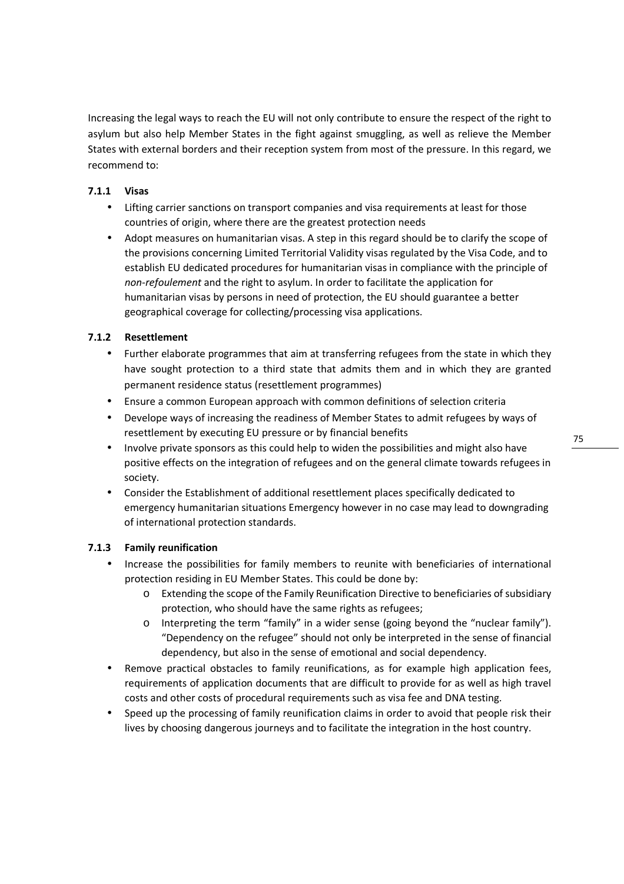Increasing the legal ways to reach the EU will not only contribute to ensure the respect of the right to asylum but also help Member States in the fight against smuggling, as well as relieve the Member States with external borders and their reception system from most of the pressure. In this regard, we recommend to:

## **7.1.1 Visas**

- Lifting carrier sanctions on transport companies and visa requirements at least for those countries of origin, where there are the greatest protection needs
- Adopt measures on humanitarian visas. A step in this regard should be to clarify the scope of the provisions concerning Limited Territorial Validity visas regulated by the Visa Code, and to establish EU dedicated procedures for humanitarian visas in compliance with the principle of *non-refoulement* and the right to asylum. In order to facilitate the application for humanitarian visas by persons in need of protection, the EU should guarantee a better geographical coverage for collecting/processing visa applications.

## **7.1.2 Resettlement**

- Further elaborate programmes that aim at transferring refugees from the state in which they have sought protection to a third state that admits them and in which they are granted permanent residence status (resettlement programmes)
- Ensure a common European approach with common definitions of selection criteria
- Develope ways of increasing the readiness of Member States to admit refugees by ways of resettlement by executing EU pressure or by financial benefits
- Involve private sponsors as this could help to widen the possibilities and might also have positive effects on the integration of refugees and on the general climate towards refugees in society.
- Consider the Establishment of additional resettlement places specifically dedicated to emergency humanitarian situations Emergency however in no case may lead to downgrading of international protection standards.

## **7.1.3 Family reunification**

- Increase the possibilities for family members to reunite with beneficiaries of international protection residing in EU Member States. This could be done by:
	- o Extending the scope of the Family Reunification Directive to beneficiaries of subsidiary protection, who should have the same rights as refugees;
	- $\circ$  Interpreting the term "family" in a wider sense (going beyond the "nuclear family"). "Dependency on the refugee" should not only be interpreted in the sense of financial dependency, but also in the sense of emotional and social dependency.
- Remove practical obstacles to family reunifications, as for example high application fees, requirements of application documents that are difficult to provide for as well as high travel costs and other costs of procedural requirements such as visa fee and DNA testing.
- Speed up the processing of family reunification claims in order to avoid that people risk their lives by choosing dangerous journeys and to facilitate the integration in the host country.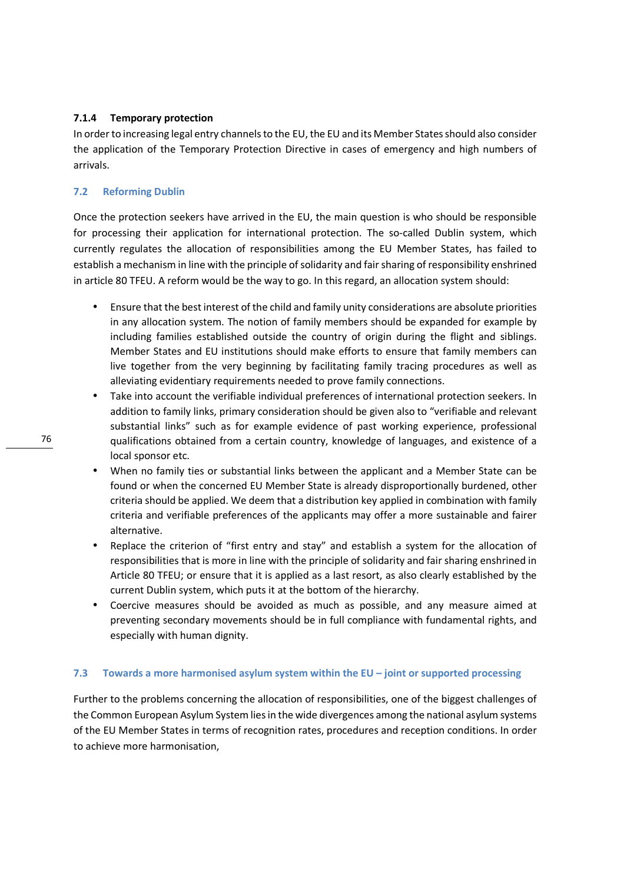#### **7.1.4 Temporary protection**

In order to increasing legal entry channels to the EU, the EU and its Member States should also consider the application of the Temporary Protection Directive in cases of emergency and high numbers of arrivals.

#### **7.2 Reforming Dublin**

Once the protection seekers have arrived in the EU, the main question is who should be responsible for processing their application for international protection. The so-called Dublin system, which currently regulates the allocation of responsibilities among the EU Member States, has failed to establish a mechanism in line with the principle of solidarity and fair sharing of responsibility enshrined in article 80 TFEU. A reform would be the way to go. In this regard, an allocation system should:

- Ensure that the best interest of the child and family unity considerations are absolute priorities in any allocation system. The notion of family members should be expanded for example by including families established outside the country of origin during the flight and siblings. Member States and EU institutions should make efforts to ensure that family members can live together from the very beginning by facilitating family tracing procedures as well as alleviating evidentiary requirements needed to prove family connections.
- Take into account the verifiable individual preferences of international protection seekers. In addition to family links, primary consideration should be given also to "verifiable and relevant substantial links" such as for example evidence of past working experience, professional qualifications obtained from a certain country, knowledge of languages, and existence of a local sponsor etc.
- When no family ties or substantial links between the applicant and a Member State can be found or when the concerned EU Member State is already disproportionally burdened, other criteria should be applied. We deem that a distribution key applied in combination with family criteria and verifiable preferences of the applicants may offer a more sustainable and fairer alternative.
- Replace the criterion of "first entry and stay" and establish a system for the allocation of responsibilities that is more in line with the principle of solidarity and fair sharing enshrined in Article 80 TFEU; or ensure that it is applied as a last resort, as also clearly established by the current Dublin system, which puts it at the bottom of the hierarchy.
- Coercive measures should be avoided as much as possible, and any measure aimed at preventing secondary movements should be in full compliance with fundamental rights, and especially with human dignity.

## **7.3 Towards a more harmonised asylum system within the EU – joint or supported processing**

Further to the problems concerning the allocation of responsibilities, one of the biggest challenges of the Common European Asylum System lies in the wide divergences among the national asylum systems of the EU Member States in terms of recognition rates, procedures and reception conditions. In order to achieve more harmonisation,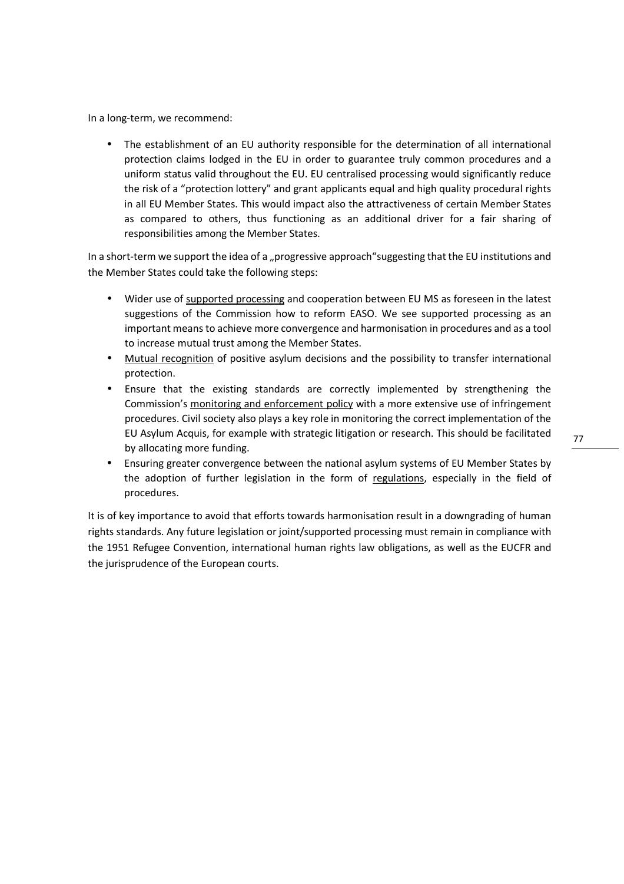In a long-term, we recommend:

• The establishment of an EU authority responsible for the determination of all international protection claims lodged in the EU in order to guarantee truly common procedures and a uniform status valid throughout the EU. EU centralised processing would significantly reduce the risk of a "protection lottery" and grant applicants equal and high quality procedural rights in all EU Member States. This would impact also the attractiveness of certain Member States as compared to others, thus functioning as an additional driver for a fair sharing of responsibilities among the Member States.

In a short-term we support the idea of a "progressive approach"suggesting that the EU institutions and the Member States could take the following steps:

- Wider use of supported processing and cooperation between EU MS as foreseen in the latest suggestions of the Commission how to reform EASO. We see supported processing as an important means to achieve more convergence and harmonisation in procedures and as a tool to increase mutual trust among the Member States.
- Mutual recognition of positive asylum decisions and the possibility to transfer international protection.
- Ensure that the existing standards are correctly implemented by strengthening the Commission's monitoring and enforcement policy with a more extensive use of infringement procedures. Civil society also plays a key role in monitoring the correct implementation of the EU Asylum Acquis, for example with strategic litigation or research. This should be facilitated by allocating more funding.
- Ensuring greater convergence between the national asylum systems of EU Member States by the adoption of further legislation in the form of regulations, especially in the field of procedures.

It is of key importance to avoid that efforts towards harmonisation result in a downgrading of human rights standards. Any future legislation or joint/supported processing must remain in compliance with the 1951 Refugee Convention, international human rights law obligations, as well as the EUCFR and the jurisprudence of the European courts.